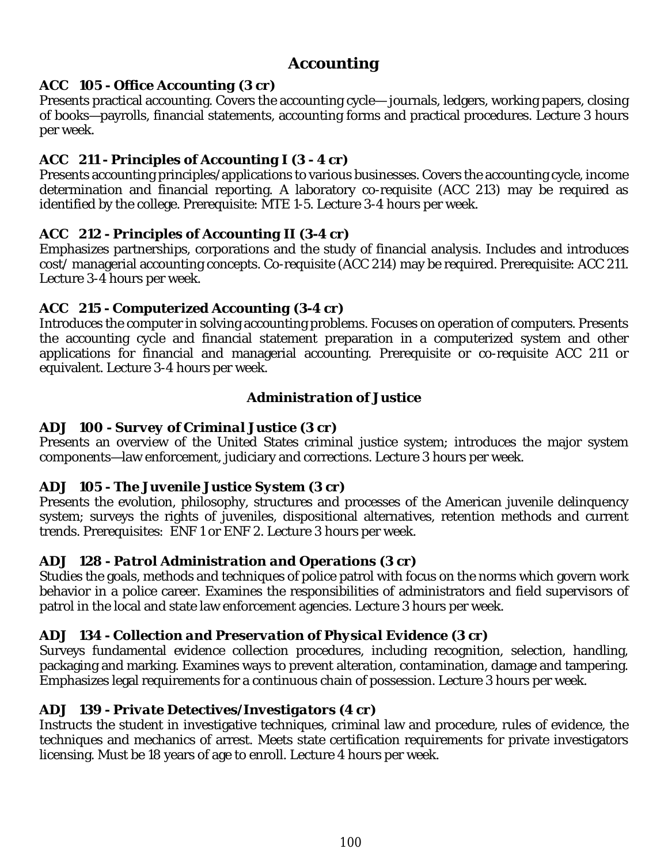# *Accounting*

#### *ACC 105 - Office Accounting (3 cr)*

Presents practical accounting. Covers the accounting cycle— journals, ledgers, working papers, closing of books—payrolls, financial statements, accounting forms and practical procedures. Lecture 3 hours per week.

#### *ACC 211 - Principles of Accounting I (3 - 4 cr)*

Presents accounting principles/applications to various businesses. Covers the accounting cycle, income determination and financial reporting. A laboratory co-requisite (ACC 213) may be required as identified by the college. Prerequisite: MTE 1-5. Lecture 3-4 hours per week.

#### *ACC 212 - Principles of Accounting II (3-4 cr)*

Emphasizes partnerships, corporations and the study of financial analysis. Includes and introduces cost/ managerial accounting concepts. Co-requisite (ACC 214) may be required. Prerequisite: ACC 211. Lecture 3-4 hours per week.

#### *ACC 215 - Computerized Accounting (3-4 cr)*

Introduces the computer in solving accounting problems. Focuses on operation of computers. Presents the accounting cycle and financial statement preparation in a computerized system and other applications for financial and managerial accounting. Prerequisite or co-requisite ACC 211 or equivalent. Lecture 3-4 hours per week.

#### *Administration of Justice*

## *ADJ 100 - Survey of Criminal Justice (3 cr)*

Presents an overview of the United States criminal justice system; introduces the major system components—law enforcement, judiciary and corrections. Lecture 3 hours per week.

#### *ADJ 105 - The Juvenile Justice System (3 cr)*

Presents the evolution, philosophy, structures and processes of the American juvenile delinquency system; surveys the rights of juveniles, dispositional alternatives, retention methods and current trends. Prerequisites: ENF 1 or ENF 2. Lecture 3 hours per week.

## *ADJ 128 - Patrol Administration and Operations (3 cr)*

Studies the goals, methods and techniques of police patrol with focus on the norms which govern work behavior in a police career. Examines the responsibilities of administrators and field supervisors of patrol in the local and state law enforcement agencies. Lecture 3 hours per week.

## *ADJ 134 - Collection and Preservation of Physical Evidence (3 cr)*

Surveys fundamental evidence collection procedures, including recognition, selection, handling, packaging and marking. Examines ways to prevent alteration, contamination, damage and tampering. Emphasizes legal requirements for a continuous chain of possession. Lecture 3 hours per week.

#### *ADJ 139 - Private Detectives/Investigators (4 cr)*

Instructs the student in investigative techniques, criminal law and procedure, rules of evidence, the techniques and mechanics of arrest. Meets state certification requirements for private investigators licensing. Must be 18 years of age to enroll. Lecture 4 hours per week.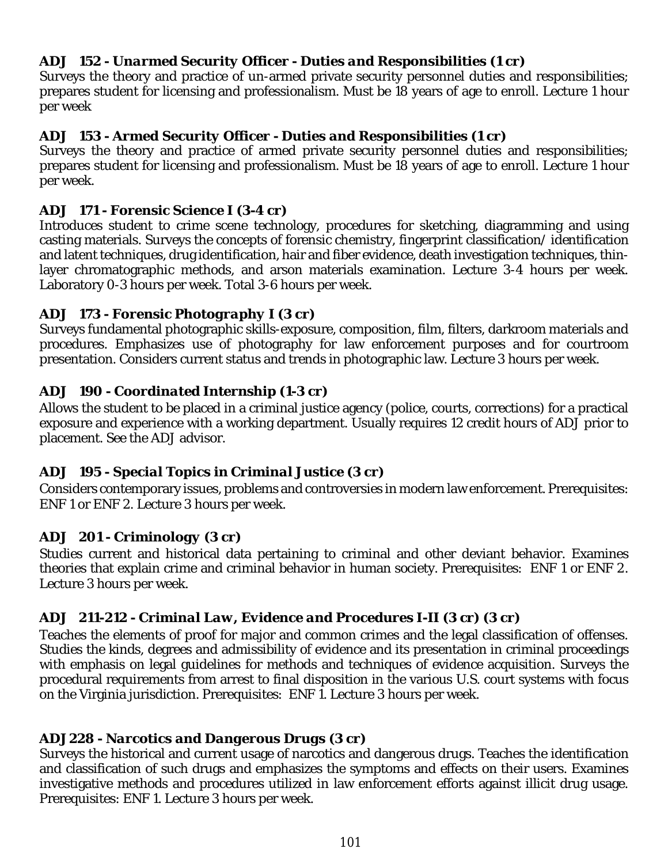## *ADJ 152 - Unarmed Security Officer - Duties and Responsibilities (1 cr)*

Surveys the theory and practice of un-armed private security personnel duties and responsibilities; prepares student for licensing and professionalism. Must be 18 years of age to enroll. Lecture 1 hour per week

#### *ADJ 153 - Armed Security Officer - Duties and Responsibilities (1 cr)*

Surveys the theory and practice of armed private security personnel duties and responsibilities; prepares student for licensing and professionalism. Must be 18 years of age to enroll. Lecture 1 hour per week.

#### *ADJ 171 - Forensic Science I (3-4 cr)*

Introduces student to crime scene technology, procedures for sketching, diagramming and using casting materials. Surveys the concepts of forensic chemistry, fingerprint classification/ identification and latent techniques, drug identification, hair and fiber evidence, death investigation techniques, thinlayer chromatographic methods, and arson materials examination. Lecture 3-4 hours per week. Laboratory 0-3 hours per week. Total 3-6 hours per week.

#### *ADJ 173 - Forensic Photography I (3 cr)*

Surveys fundamental photographic skills-exposure, composition, film, filters, darkroom materials and procedures. Emphasizes use of photography for law enforcement purposes and for courtroom presentation. Considers current status and trends in photographic law. Lecture 3 hours per week.

#### *ADJ 190 - Coordinated Internship (1-3 cr)*

Allows the student to be placed in a criminal justice agency (police, courts, corrections) for a practical exposure and experience with a working department. Usually requires 12 credit hours of ADJ prior to placement. See the ADJ advisor.

#### *ADJ 195 - Special Topics in Criminal Justice (3 cr)*

Considers contemporary issues, problems and controversies in modern law enforcement. Prerequisites: ENF 1 or ENF 2. Lecture 3 hours per week.

#### *ADJ 201 - Criminology (3 cr)*

Studies current and historical data pertaining to criminal and other deviant behavior. Examines theories that explain crime and criminal behavior in human society. Prerequisites: ENF 1 or ENF 2. Lecture 3 hours per week.

## *ADJ 211-212 - Criminal Law, Evidence and Procedures I-II (3 cr) (3 cr)*

Teaches the elements of proof for major and common crimes and the legal classification of offenses. Studies the kinds, degrees and admissibility of evidence and its presentation in criminal proceedings with emphasis on legal guidelines for methods and techniques of evidence acquisition. Surveys the procedural requirements from arrest to final disposition in the various U.S. court systems with focus on the Virginia jurisdiction. Prerequisites: ENF 1. Lecture 3 hours per week.

#### *ADJ228 - Narcotics and Dangerous Drugs (3 cr)*

Surveys the historical and current usage of narcotics and dangerous drugs. Teaches the identification and classification of such drugs and emphasizes the symptoms and effects on their users. Examines investigative methods and procedures utilized in law enforcement efforts against illicit drug usage. Prerequisites: ENF 1. Lecture 3 hours per week.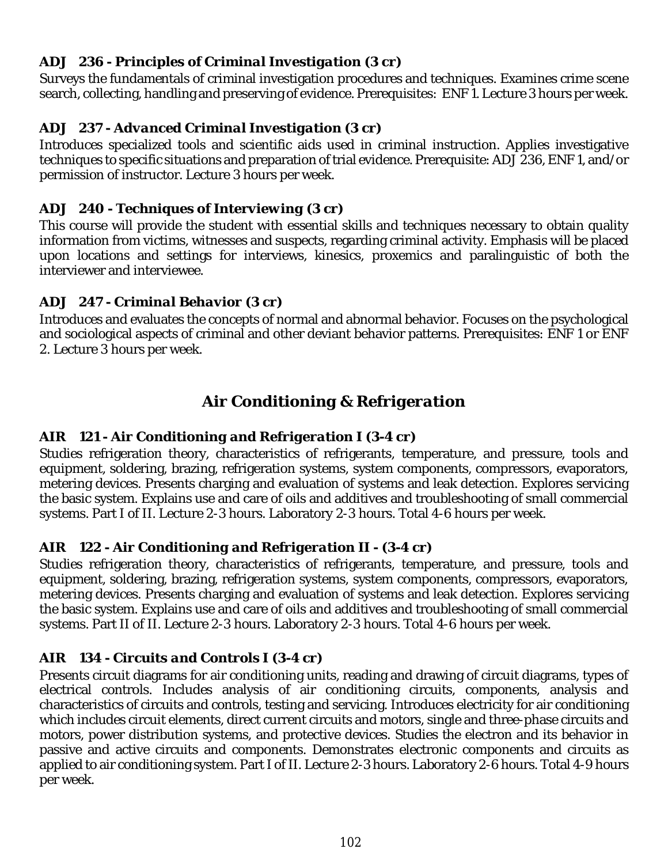## *ADJ 236 - Principles of Criminal Investigation (3 cr)*

Surveys the fundamentals of criminal investigation procedures and techniques. Examines crime scene search, collecting, handling and preserving of evidence. Prerequisites: ENF 1. Lecture 3 hours per week.

## *ADJ 237 - Advanced Criminal Investigation (3 cr)*

Introduces specialized tools and scientific aids used in criminal instruction. Applies investigative techniques to specific situations and preparation of trial evidence. Prerequisite: ADJ 236, ENF 1, and/or permission of instructor. Lecture 3 hours per week.

## *ADJ 240 - Techniques of Interviewing (3 cr)*

This course will provide the student with essential skills and techniques necessary to obtain quality information from victims, witnesses and suspects, regarding criminal activity. Emphasis will be placed upon locations and settings for interviews, kinesics, proxemics and paralinguistic of both the interviewer and interviewee.

## *ADJ 247 - Criminal Behavior (3 cr)*

Introduces and evaluates the concepts of normal and abnormal behavior. Focuses on the psychological and sociological aspects of criminal and other deviant behavior patterns. Prerequisites: ENF 1 or ENF 2. Lecture 3 hours per week.

# *Air Conditioning & Refrigeration*

# *AIR 121 - Air Conditioning and Refrigeration I (3-4 cr)*

Studies refrigeration theory, characteristics of refrigerants, temperature, and pressure, tools and equipment, soldering, brazing, refrigeration systems, system components, compressors, evaporators, metering devices. Presents charging and evaluation of systems and leak detection. Explores servicing the basic system. Explains use and care of oils and additives and troubleshooting of small commercial systems. Part I of II. Lecture 2-3 hours. Laboratory 2-3 hours. Total 4-6 hours per week.

## *AIR 122 - Air Conditioning and Refrigeration II - (3-4 cr)*

Studies refrigeration theory, characteristics of refrigerants, temperature, and pressure, tools and equipment, soldering, brazing, refrigeration systems, system components, compressors, evaporators, metering devices. Presents charging and evaluation of systems and leak detection. Explores servicing the basic system. Explains use and care of oils and additives and troubleshooting of small commercial systems. Part II of II. Lecture 2-3 hours. Laboratory 2-3 hours. Total 4-6 hours per week.

## *AIR 134 - Circuits and Controls I (3-4 cr)*

Presents circuit diagrams for air conditioning units, reading and drawing of circuit diagrams, types of electrical controls. Includes analysis of air conditioning circuits, components, analysis and characteristics of circuits and controls, testing and servicing. Introduces electricity for air conditioning which includes circuit elements, direct current circuits and motors, single and three-phase circuits and motors, power distribution systems, and protective devices. Studies the electron and its behavior in passive and active circuits and components. Demonstrates electronic components and circuits as applied to air conditioning system. Part I of II. Lecture 2-3 hours. Laboratory 2-6 hours. Total 4-9 hours per week.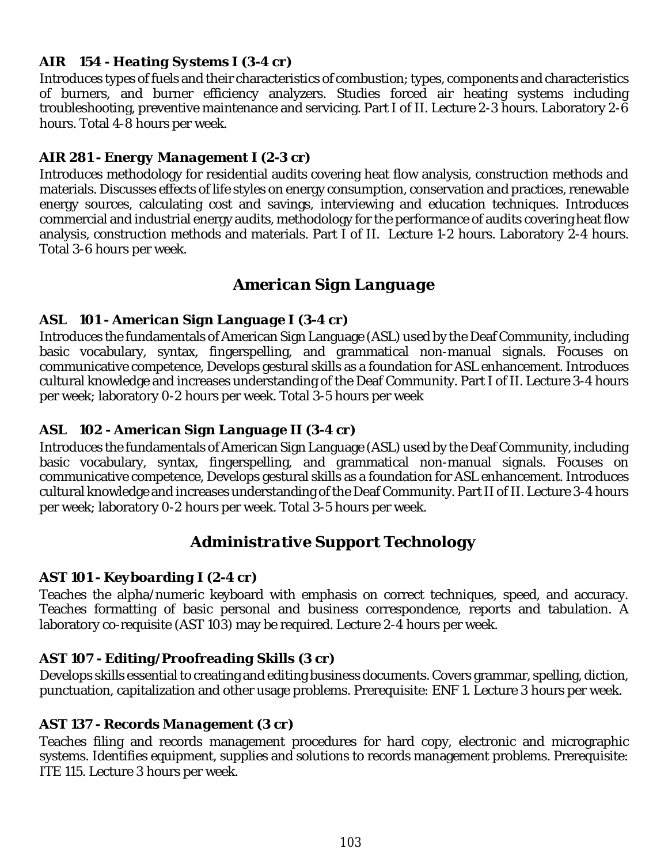# *AIR 154 - Heating Systems I (3-4 cr)*

Introduces types of fuels and their characteristics of combustion; types, components and characteristics of burners, and burner efficiency analyzers. Studies forced air heating systems including troubleshooting, preventive maintenance and servicing. Part I of II. Lecture 2-3 hours. Laboratory 2-6 hours. Total 4-8 hours per week.

# *AIR 281 - Energy Management I (2-3 cr)*

Introduces methodology for residential audits covering heat flow analysis, construction methods and materials. Discusses effects of life styles on energy consumption, conservation and practices, renewable energy sources, calculating cost and savings, interviewing and education techniques. Introduces commercial and industrial energy audits, methodology for the performance of audits covering heat flow analysis, construction methods and materials. Part I of II. Lecture 1-2 hours. Laboratory 2-4 hours. Total 3-6 hours per week.

# *American Sign Language*

## *ASL 101 - American Sign Language I (3-4 cr)*

Introduces the fundamentals of American Sign Language (ASL) used by the Deaf Community, including basic vocabulary, syntax, fingerspelling, and grammatical non-manual signals. Focuses on communicative competence, Develops gestural skills as a foundation for ASL enhancement. Introduces cultural knowledge and increases understanding of the Deaf Community. Part I of II. Lecture 3-4 hours per week; laboratory 0-2 hours per week. Total 3-5 hours per week

## *ASL 102 - American Sign Language II (3-4 cr)*

Introduces the fundamentals of American Sign Language (ASL) used by the Deaf Community, including basic vocabulary, syntax, fingerspelling, and grammatical non-manual signals. Focuses on communicative competence, Develops gestural skills as a foundation for ASL enhancement. Introduces cultural knowledge and increases understanding of the Deaf Community. Part II of II. Lecture 3-4 hours per week; laboratory 0-2 hours per week. Total 3-5 hours per week.

# *Administrative Support Technology*

## *AST 101 - Keyboarding I (2-4 cr)*

Teaches the alpha/numeric keyboard with emphasis on correct techniques, speed, and accuracy. Teaches formatting of basic personal and business correspondence, reports and tabulation. A laboratory co-requisite (AST 103) may be required. Lecture 2-4 hours per week.

## *AST 107 - Editing/Proofreading Skills (3 cr)*

Develops skills essential to creating and editing business documents. Covers grammar, spelling, diction, punctuation, capitalization and other usage problems. Prerequisite: ENF 1. Lecture 3 hours per week.

## *AST 137 - Records Management (3 cr)*

Teaches filing and records management procedures for hard copy, electronic and micrographic systems. Identifies equipment, supplies and solutions to records management problems. Prerequisite: ITE 115. Lecture 3 hours per week.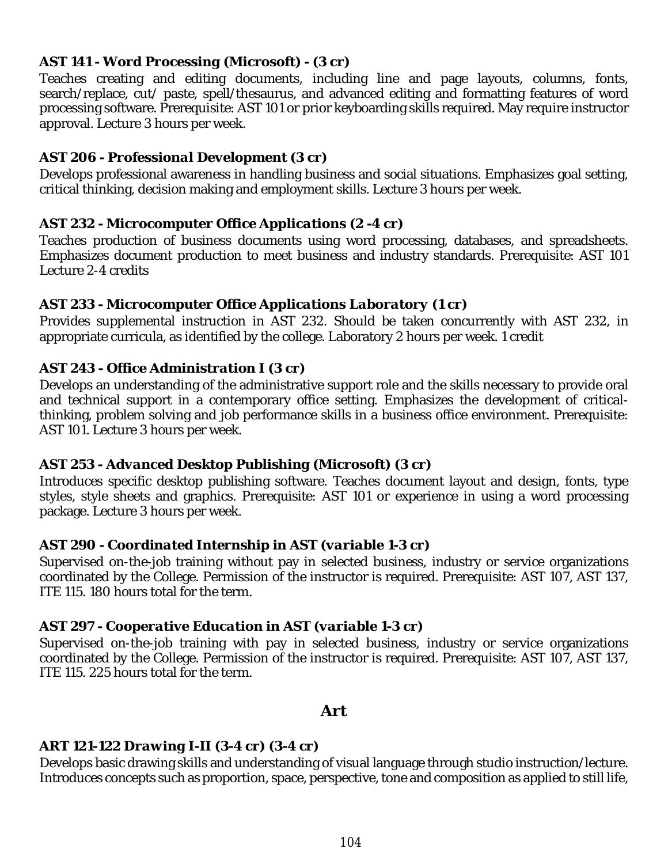#### *AST 141 - Word Processing (Microsoft) - (3 cr)*

Teaches creating and editing documents, including line and page layouts, columns, fonts, search/replace, cut/ paste, spell/thesaurus, and advanced editing and formatting features of word processing software. Prerequisite: AST 101 or prior keyboarding skills required. May require instructor approval. Lecture 3 hours per week.

#### *AST 206 - Professional Development (3 cr)*

Develops professional awareness in handling business and social situations. Emphasizes goal setting, critical thinking, decision making and employment skills. Lecture 3 hours per week.

#### *AST 232 - Microcomputer Office Applications (2 -4 cr)*

Teaches production of business documents using word processing, databases, and spreadsheets. Emphasizes document production to meet business and industry standards. Prerequisite: AST 101 Lecture 2-4 credits

#### *AST 233 - Microcomputer Office Applications Laboratory (1 cr)*

Provides supplemental instruction in AST 232. Should be taken concurrently with AST 232, in appropriate curricula, as identified by the college. Laboratory 2 hours per week. 1 credit

#### *AST 243 - Office Administration I (3 cr)*

Develops an understanding of the administrative support role and the skills necessary to provide oral and technical support in a contemporary office setting. Emphasizes the development of criticalthinking, problem solving and job performance skills in a business office environment. Prerequisite: AST 101. Lecture 3 hours per week.

#### *AST 253 - Advanced Desktop Publishing (Microsoft) (3 cr)*

Introduces specific desktop publishing software. Teaches document layout and design, fonts, type styles, style sheets and graphics. Prerequisite: AST 101 or experience in using a word processing package. Lecture 3 hours per week.

#### *AST 290 - Coordinated Internship in AST (variable 1-3 cr)*

Supervised on-the-job training without pay in selected business, industry or service organizations coordinated by the College. Permission of the instructor is required. Prerequisite: AST 107, AST 137, ITE 115. 180 hours total for the term.

#### *AST 297 - Cooperative Education in AST (variable 1-3 cr)*

Supervised on-the-job training with pay in selected business, industry or service organizations coordinated by the College. Permission of the instructor is required. Prerequisite: AST 107, AST 137, ITE 115. 225 hours total for the term.

#### *Art*

## *ART 121-122 Drawing I-II (3-4 cr) (3-4 cr)*

Develops basic drawing skills and understanding of visual language through studio instruction/lecture. Introduces concepts such as proportion, space, perspective, tone and composition as applied to still life,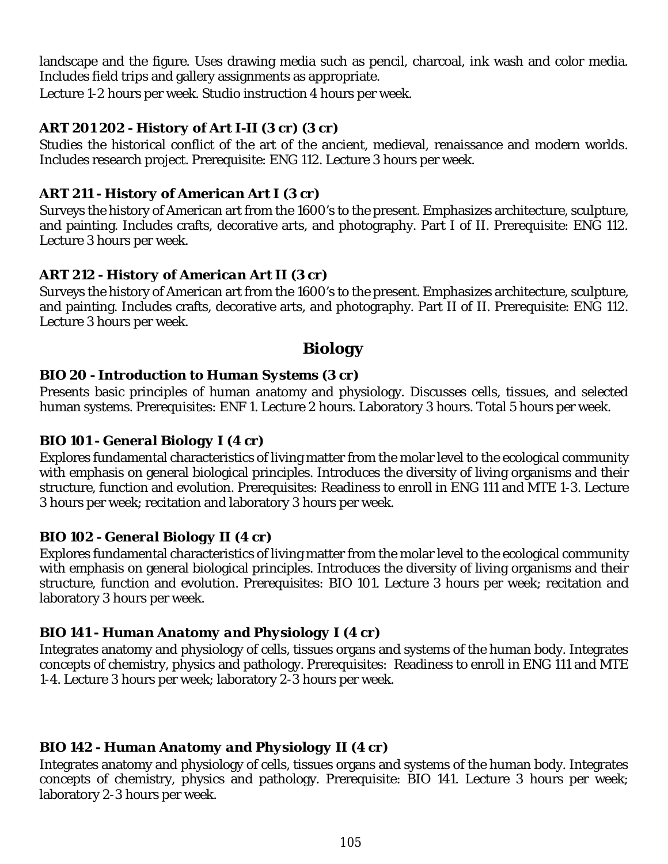landscape and the figure. Uses drawing media such as pencil, charcoal, ink wash and color media. Includes field trips and gallery assignments as appropriate.

Lecture 1-2 hours per week. Studio instruction 4 hours per week.

## *ART 201 202 - History of Art I-II (3 cr) (3 cr)*

Studies the historical conflict of the art of the ancient, medieval, renaissance and modern worlds. Includes research project. Prerequisite: ENG 112. Lecture 3 hours per week.

## *ART 211 - History of American Art I (3 cr)*

Surveys the history of American art from the 1600's to the present. Emphasizes architecture, sculpture, and painting. Includes crafts, decorative arts, and photography. Part I of II. Prerequisite: ENG 112. Lecture 3 hours per week.

## *ART 212 - History of American Art II (3 cr)*

Surveys the history of American art from the 1600's to the present. Emphasizes architecture, sculpture, and painting. Includes crafts, decorative arts, and photography. Part II of II. Prerequisite: ENG 112. Lecture 3 hours per week.

# *Biology*

## *BIO 20 - Introduction to Human Systems (3 cr)*

Presents basic principles of human anatomy and physiology. Discusses cells, tissues, and selected human systems. Prerequisites: ENF 1. Lecture 2 hours. Laboratory 3 hours. Total 5 hours per week.

#### *BIO 101 - General Biology I (4 cr)*

Explores fundamental characteristics of living matter from the molar level to the ecological community with emphasis on general biological principles. Introduces the diversity of living organisms and their structure, function and evolution. Prerequisites: Readiness to enroll in ENG 111 and MTE 1-3. Lecture 3 hours per week; recitation and laboratory 3 hours per week.

## *BIO 102 - General Biology II (4 cr)*

Explores fundamental characteristics of living matter from the molar level to the ecological community with emphasis on general biological principles. Introduces the diversity of living organisms and their structure, function and evolution. Prerequisites: BIO 101. Lecture 3 hours per week; recitation and laboratory 3 hours per week.

## *BIO 141 - Human Anatomy and Physiology I (4 cr)*

Integrates anatomy and physiology of cells, tissues organs and systems of the human body. Integrates concepts of chemistry, physics and pathology. Prerequisites: Readiness to enroll in ENG 111 and MTE 1-4. Lecture 3 hours per week; laboratory 2-3 hours per week.

## *BIO 142 - Human Anatomy and Physiology II (4 cr)*

Integrates anatomy and physiology of cells, tissues organs and systems of the human body. Integrates concepts of chemistry, physics and pathology. Prerequisite: BIO 141. Lecture 3 hours per week; laboratory 2-3 hours per week.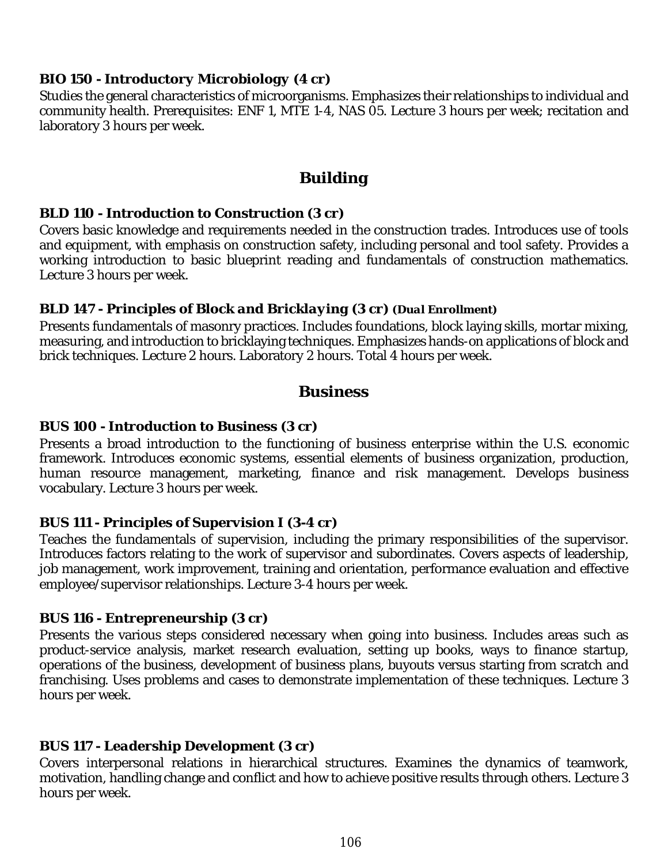#### *BIO 150 - Introductory Microbiology (4 cr)*

Studies the general characteristics of microorganisms. Emphasizes their relationships to individual and community health. Prerequisites: ENF 1, MTE 1-4, NAS 05. Lecture 3 hours per week; recitation and laboratory 3 hours per week.

# *Building*

#### *BLD 110 - Introduction to Construction (3 cr)*

Covers basic knowledge and requirements needed in the construction trades. Introduces use of tools and equipment, with emphasis on construction safety, including personal and tool safety. Provides a working introduction to basic blueprint reading and fundamentals of construction mathematics. Lecture 3 hours per week.

#### *BLD 147 - Principles of Block and Bricklaying (3 cr) (Dual Enrollment)*

Presents fundamentals of masonry practices. Includes foundations, block laying skills, mortar mixing, measuring, and introduction to bricklaying techniques. Emphasizes hands-on applications of block and brick techniques. Lecture 2 hours. Laboratory 2 hours. Total 4 hours per week.

# *Business*

## *BUS 100 - Introduction to Business (3 cr)*

Presents a broad introduction to the functioning of business enterprise within the U.S. economic framework. Introduces economic systems, essential elements of business organization, production, human resource management, marketing, finance and risk management. Develops business vocabulary. Lecture 3 hours per week.

#### *BUS 111 - Principles of Supervision I (3-4 cr)*

Teaches the fundamentals of supervision, including the primary responsibilities of the supervisor. Introduces factors relating to the work of supervisor and subordinates. Covers aspects of leadership, job management, work improvement, training and orientation, performance evaluation and effective employee/supervisor relationships. Lecture 3-4 hours per week.

#### *BUS 116 - Entrepreneurship (3 cr)*

Presents the various steps considered necessary when going into business. Includes areas such as product-service analysis, market research evaluation, setting up books, ways to finance startup, operations of the business, development of business plans, buyouts versus starting from scratch and franchising. Uses problems and cases to demonstrate implementation of these techniques. Lecture 3 hours per week.

## *BUS 117 - Leadership Development (3 cr)*

Covers interpersonal relations in hierarchical structures. Examines the dynamics of teamwork, motivation, handling change and conflict and how to achieve positive results through others. Lecture 3 hours per week.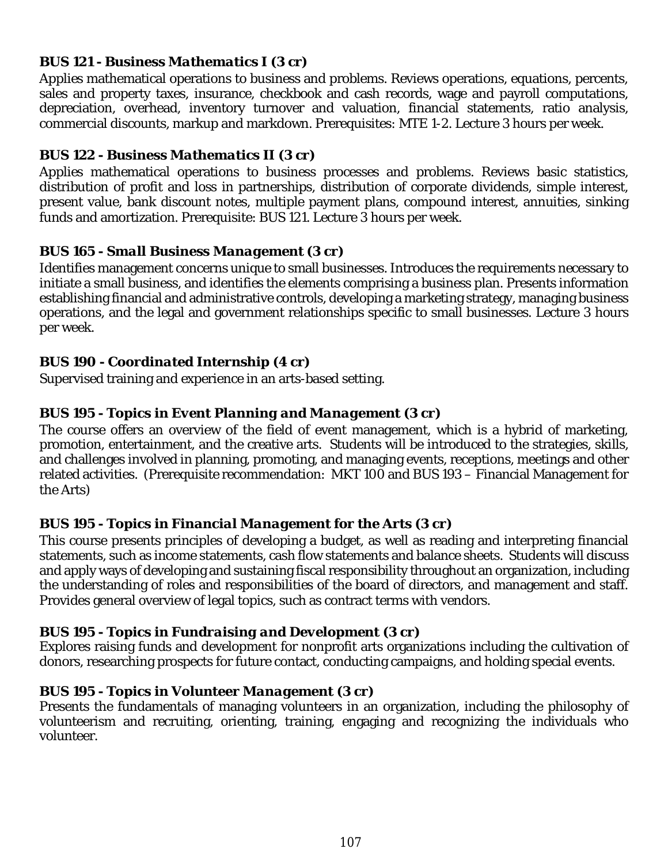## *BUS 121 - Business Mathematics I (3 cr)*

Applies mathematical operations to business and problems. Reviews operations, equations, percents, sales and property taxes, insurance, checkbook and cash records, wage and payroll computations, depreciation, overhead, inventory turnover and valuation, financial statements, ratio analysis, commercial discounts, markup and markdown. Prerequisites: MTE 1-2. Lecture 3 hours per week.

## *BUS 122 - Business Mathematics II (3 cr)*

Applies mathematical operations to business processes and problems. Reviews basic statistics, distribution of profit and loss in partnerships, distribution of corporate dividends, simple interest, present value, bank discount notes, multiple payment plans, compound interest, annuities, sinking funds and amortization. Prerequisite: BUS 121. Lecture 3 hours per week.

## *BUS 165 - Small Business Management (3 cr)*

Identifies management concerns unique to small businesses. Introduces the requirements necessary to initiate a small business, and identifies the elements comprising a business plan. Presents information establishing financial and administrative controls, developing a marketing strategy, managing business operations, and the legal and government relationships specific to small businesses. Lecture 3 hours per week.

#### *BUS 190 - Coordinated Internship (4 cr)*

Supervised training and experience in an arts-based setting.

## *BUS 195 - Topics in Event Planning and Management (3 cr)*

The course offers an overview of the field of event management, which is a hybrid of marketing, promotion, entertainment, and the creative arts. Students will be introduced to the strategies, skills, and challenges involved in planning, promoting, and managing events, receptions, meetings and other related activities. (Prerequisite recommendation: MKT 100 and BUS 193 – Financial Management for the Arts)

#### *BUS 195 - Topics in Financial Management for the Arts (3 cr)*

This course presents principles of developing a budget, as well as reading and interpreting financial statements, such as income statements, cash flow statements and balance sheets. Students will discuss and apply ways of developing and sustaining fiscal responsibility throughout an organization, including the understanding of roles and responsibilities of the board of directors, and management and staff. Provides general overview of legal topics, such as contract terms with vendors.

#### *BUS 195 - Topics in Fundraising and Development (3 cr)*

Explores raising funds and development for nonprofit arts organizations including the cultivation of donors, researching prospects for future contact, conducting campaigns, and holding special events.

#### *BUS 195 - Topics in Volunteer Management (3 cr)*

Presents the fundamentals of managing volunteers in an organization, including the philosophy of volunteerism and recruiting, orienting, training, engaging and recognizing the individuals who volunteer.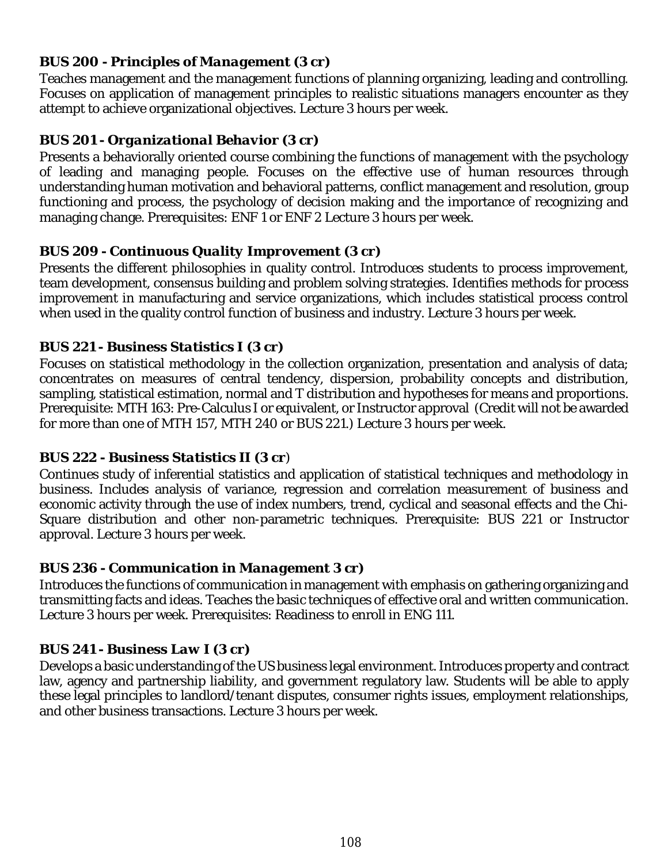## *BUS 200 - Principles of Management (3 cr)*

Teaches management and the management functions of planning organizing, leading and controlling. Focuses on application of management principles to realistic situations managers encounter as they attempt to achieve organizational objectives. Lecture 3 hours per week.

## *BUS 201 - Organizational Behavior (3 cr)*

Presents a behaviorally oriented course combining the functions of management with the psychology of leading and managing people. Focuses on the effective use of human resources through understanding human motivation and behavioral patterns, conflict management and resolution, group functioning and process, the psychology of decision making and the importance of recognizing and managing change. Prerequisites: ENF 1 or ENF 2 Lecture 3 hours per week.

## *BUS 209 - Continuous Quality Improvement (3 cr)*

Presents the different philosophies in quality control. Introduces students to process improvement, team development, consensus building and problem solving strategies. Identifies methods for process improvement in manufacturing and service organizations, which includes statistical process control when used in the quality control function of business and industry. Lecture 3 hours per week.

## *BUS 221 - Business Statistics I (3 cr)*

Focuses on statistical methodology in the collection organization, presentation and analysis of data; concentrates on measures of central tendency, dispersion, probability concepts and distribution, sampling, statistical estimation, normal and T distribution and hypotheses for means and proportions. Prerequisite: MTH 163: Pre-Calculus I or equivalent, or Instructor approval (Credit will not be awarded for more than one of MTH 157, MTH 240 or BUS 221.) Lecture 3 hours per week.

## *BUS 222 - Business Statistics II (3 cr)*

Continues study of inferential statistics and application of statistical techniques and methodology in business. Includes analysis of variance, regression and correlation measurement of business and economic activity through the use of index numbers, trend, cyclical and seasonal effects and the Chi-Square distribution and other non-parametric techniques. Prerequisite: BUS 221 or Instructor approval. Lecture 3 hours per week.

## *BUS 236 - Communication in Management 3 cr)*

Introduces the functions of communication in management with emphasis on gathering organizing and transmitting facts and ideas. Teaches the basic techniques of effective oral and written communication. Lecture 3 hours per week. Prerequisites: Readiness to enroll in ENG 111.

## *BUS 241 - Business Law I (3 cr)*

Develops a basic understanding of the US business legal environment. Introduces property and contract law, agency and partnership liability, and government regulatory law. Students will be able to apply these legal principles to landlord/tenant disputes, consumer rights issues, employment relationships, and other business transactions. Lecture 3 hours per week.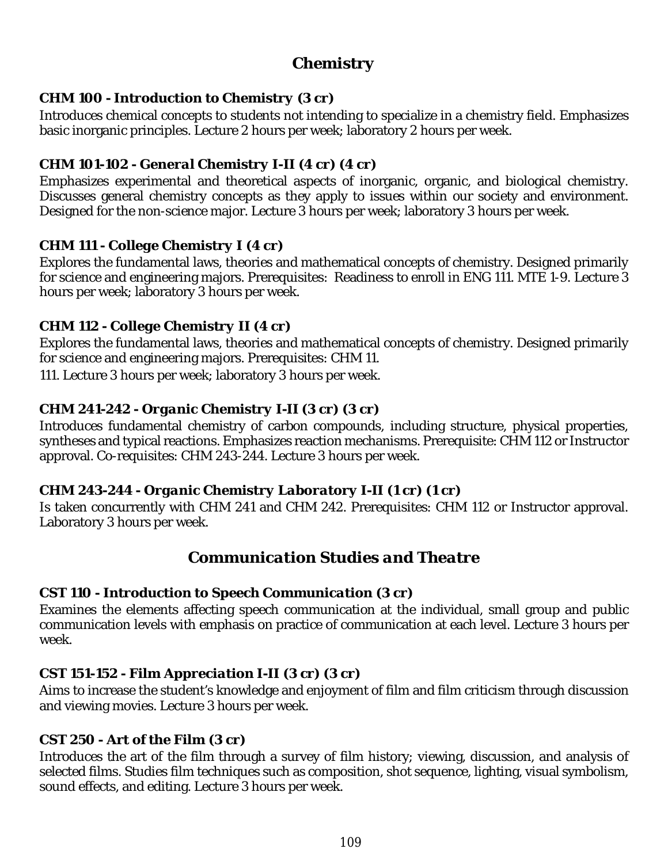# *Chemistry*

## *CHM 100 - Introduction to Chemistry (3 cr)*

Introduces chemical concepts to students not intending to specialize in a chemistry field. Emphasizes basic inorganic principles. Lecture 2 hours per week; laboratory 2 hours per week.

# *CHM 101-102 - General Chemistry I-II (4 cr) (4 cr)*

Emphasizes experimental and theoretical aspects of inorganic, organic, and biological chemistry. Discusses general chemistry concepts as they apply to issues within our society and environment. Designed for the non-science major. Lecture 3 hours per week; laboratory 3 hours per week.

## *CHM 111 - College Chemistry I (4 cr)*

Explores the fundamental laws, theories and mathematical concepts of chemistry. Designed primarily for science and engineering majors. Prerequisites: Readiness to enroll in ENG 111. MTE 1-9. Lecture 3 hours per week; laboratory 3 hours per week.

## *CHM 112 - College Chemistry II (4 cr)*

Explores the fundamental laws, theories and mathematical concepts of chemistry. Designed primarily for science and engineering majors. Prerequisites: CHM 11.

111. Lecture 3 hours per week; laboratory 3 hours per week.

# *CHM 241-242 - Organic Chemistry I-II (3 cr) (3 cr)*

Introduces fundamental chemistry of carbon compounds, including structure, physical properties, syntheses and typical reactions. Emphasizes reaction mechanisms. Prerequisite: CHM 112 or Instructor approval. Co-requisites: CHM 243-244. Lecture 3 hours per week.

# *CHM 243-244 - Organic Chemistry Laboratory I-II (1 cr) (1 cr)*

Is taken concurrently with CHM 241 and CHM 242. Prerequisites: CHM 112 or Instructor approval. Laboratory 3 hours per week.

# *Communication Studies and Theatre*

## *CST 110 - Introduction to Speech Communication (3 cr)*

Examines the elements affecting speech communication at the individual, small group and public communication levels with emphasis on practice of communication at each level. Lecture 3 hours per week.

# *CST 151-152 - Film Appreciation I-II (3 cr) (3 cr)*

Aims to increase the student's knowledge and enjoyment of film and film criticism through discussion and viewing movies. Lecture 3 hours per week.

## *CST 250 - Art of the Film (3 cr)*

Introduces the art of the film through a survey of film history; viewing, discussion, and analysis of selected films. Studies film techniques such as composition, shot sequence, lighting, visual symbolism, sound effects, and editing. Lecture 3 hours per week.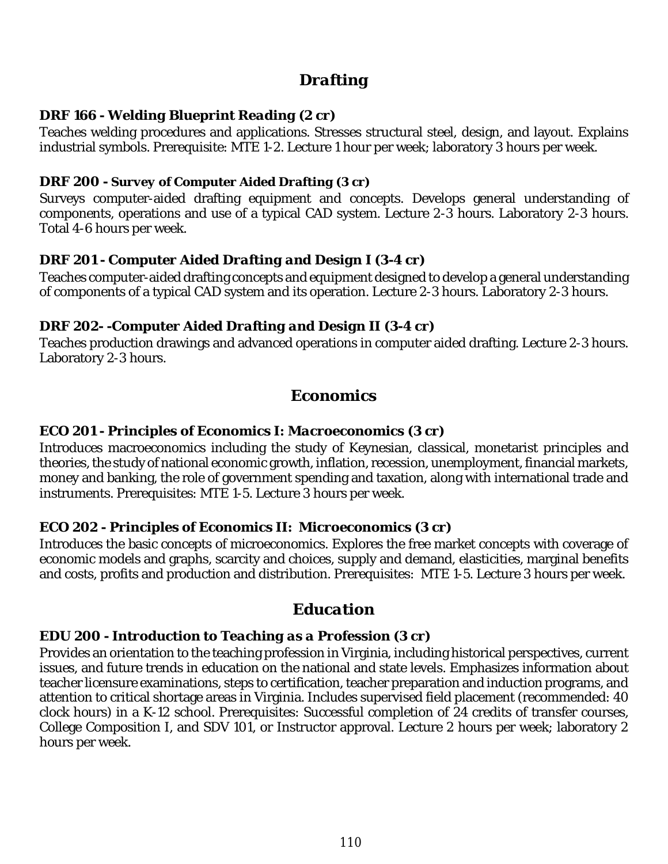# *Drafting*

## *DRF 166 - Welding Blueprint Reading (2 cr)*

Teaches welding procedures and applications. Stresses structural steel, design, and layout. Explains industrial symbols. Prerequisite: MTE 1-2. Lecture 1 hour per week; laboratory 3 hours per week.

## *DRF 200 - Survey of Computer Aided Drafting (3 cr)*

Surveys computer-aided drafting equipment and concepts. Develops general understanding of components, operations and use of a typical CAD system. Lecture 2-3 hours. Laboratory 2-3 hours. Total 4-6 hours per week.

# *DRF 201 - Computer Aided Drafting and Design I (3-4 cr)*

Teaches computer-aided drafting concepts and equipment designed to develop a general understanding of components of a typical CAD system and its operation. Lecture 2-3 hours. Laboratory 2-3 hours.

## *DRF 202- -Computer Aided Drafting and Design II (3-4 cr)*

Teaches production drawings and advanced operations in computer aided drafting. Lecture 2-3 hours. Laboratory 2-3 hours.

# *Economics*

## *ECO 201 - Principles of Economics I: Macroeconomics (3 cr)*

Introduces macroeconomics including the study of Keynesian, classical, monetarist principles and theories, the study of national economic growth, inflation, recession, unemployment, financial markets, money and banking, the role of government spending and taxation, along with international trade and instruments. Prerequisites: MTE 1-5. Lecture 3 hours per week.

## *ECO 202 - Principles of Economics II: Microeconomics (3 cr)*

Introduces the basic concepts of microeconomics. Explores the free market concepts with coverage of economic models and graphs, scarcity and choices, supply and demand, elasticities, marginal benefits and costs, profits and production and distribution. Prerequisites: MTE 1-5. Lecture 3 hours per week.

# *Education*

## *EDU 200 - Introduction to Teaching as a Profession (3 cr)*

Provides an orientation to the teaching profession in Virginia, including historical perspectives, current issues, and future trends in education on the national and state levels. Emphasizes information about teacher licensure examinations, steps to certification, teacher preparation and induction programs, and attention to critical shortage areas in Virginia. Includes supervised field placement (recommended: 40 clock hours) in a K-12 school. Prerequisites: Successful completion of 24 credits of transfer courses, College Composition I, and SDV 101, or Instructor approval. Lecture 2 hours per week; laboratory 2 hours per week.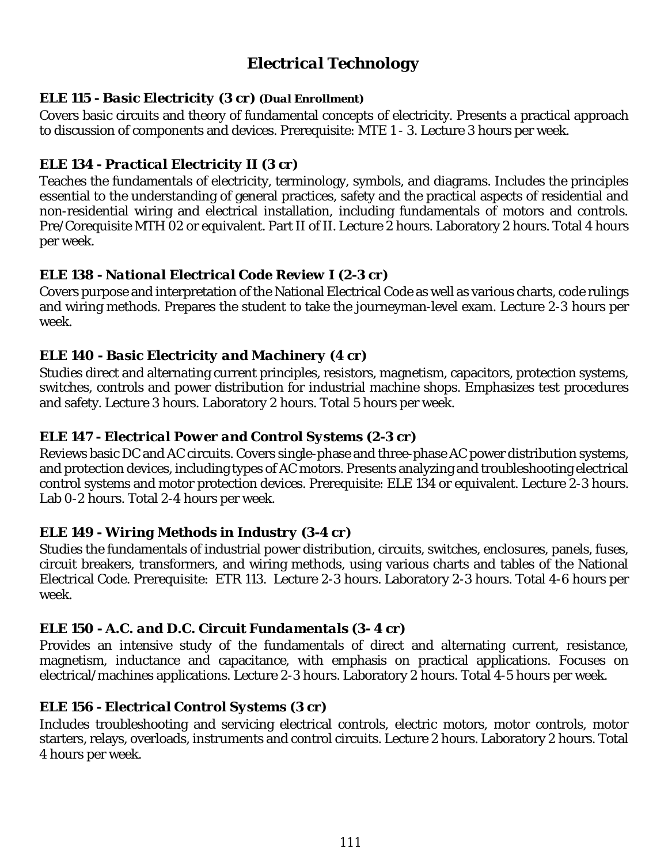# *Electrical Technology*

#### *ELE 115 - Basic Electricity (3 cr) (Dual Enrollment)*

Covers basic circuits and theory of fundamental concepts of electricity. Presents a practical approach to discussion of components and devices. Prerequisite: MTE 1 - 3. Lecture 3 hours per week.

## *ELE 134 - Practical Electricity II (3 cr)*

Teaches the fundamentals of electricity, terminology, symbols, and diagrams. Includes the principles essential to the understanding of general practices, safety and the practical aspects of residential and non-residential wiring and electrical installation, including fundamentals of motors and controls. Pre/Corequisite MTH 02 or equivalent. Part II of II. Lecture 2 hours. Laboratory 2 hours. Total 4 hours per week.

## *ELE 138 - National Electrical Code Review I (2-3 cr)*

Covers purpose and interpretation of the National Electrical Code as well as various charts, code rulings and wiring methods. Prepares the student to take the journeyman-level exam. Lecture 2-3 hours per week.

## *ELE 140 - Basic Electricity and Machinery (4 cr)*

Studies direct and alternating current principles, resistors, magnetism, capacitors, protection systems, switches, controls and power distribution for industrial machine shops. Emphasizes test procedures and safety. Lecture 3 hours. Laboratory 2 hours. Total 5 hours per week.

## *ELE 147 - Electrical Power and Control Systems (2-3 cr)*

Reviews basic DC and AC circuits. Covers single-phase and three-phase AC power distribution systems, and protection devices, including types of AC motors. Presents analyzing and troubleshooting electrical control systems and motor protection devices. Prerequisite: ELE 134 or equivalent. Lecture 2-3 hours. Lab 0-2 hours. Total 2-4 hours per week.

## *ELE 149 - Wiring Methods in Industry (3-4 cr)*

Studies the fundamentals of industrial power distribution, circuits, switches, enclosures, panels, fuses, circuit breakers, transformers, and wiring methods, using various charts and tables of the National Electrical Code. Prerequisite: ETR 113. Lecture 2-3 hours. Laboratory 2-3 hours. Total 4-6 hours per week.

## *ELE 150 - A.C. and D.C. Circuit Fundamentals (3- 4 cr)*

Provides an intensive study of the fundamentals of direct and alternating current, resistance, magnetism, inductance and capacitance, with emphasis on practical applications. Focuses on electrical/machines applications. Lecture 2-3 hours. Laboratory 2 hours. Total 4-5 hours per week.

## *ELE 156 - Electrical Control Systems (3 cr)*

Includes troubleshooting and servicing electrical controls, electric motors, motor controls, motor starters, relays, overloads, instruments and control circuits. Lecture 2 hours. Laboratory 2 hours. Total 4 hours per week.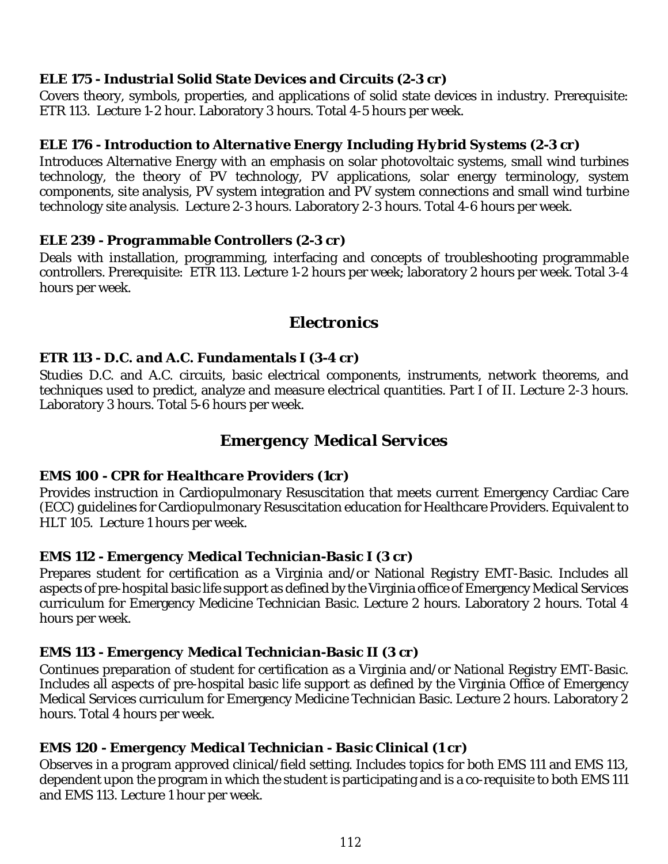## *ELE 175 - Industrial Solid State Devices and Circuits (2-3 cr)*

Covers theory, symbols, properties, and applications of solid state devices in industry. Prerequisite: ETR 113. Lecture 1-2 hour. Laboratory 3 hours. Total 4-5 hours per week.

#### *ELE 176 - Introduction to Alternative Energy Including Hybrid Systems (2-3 cr)*

Introduces Alternative Energy with an emphasis on solar photovoltaic systems, small wind turbines technology, the theory of PV technology, PV applications, solar energy terminology, system components, site analysis, PV system integration and PV system connections and small wind turbine technology site analysis. Lecture 2-3 hours. Laboratory 2-3 hours. Total 4-6 hours per week.

#### *ELE 239 - Programmable Controllers (2-3 cr)*

Deals with installation, programming, interfacing and concepts of troubleshooting programmable controllers. Prerequisite: ETR 113. Lecture 1-2 hours per week; laboratory 2 hours per week. Total 3-4 hours per week.

# *Electronics*

#### *ETR 113 - D.C. and A.C. Fundamentals I (3-4 cr)*

Studies D.C. and A.C. circuits, basic electrical components, instruments, network theorems, and techniques used to predict, analyze and measure electrical quantities. Part I of II. Lecture 2-3 hours. Laboratory 3 hours. Total 5-6 hours per week.

# *Emergency Medical Services*

#### *EMS 100 - CPR for Healthcare Providers (1cr)*

Provides instruction in Cardiopulmonary Resuscitation that meets current Emergency Cardiac Care (ECC) guidelines for Cardiopulmonary Resuscitation education for Healthcare Providers. Equivalent to HLT 105. Lecture 1 hours per week.

#### *EMS 112 - Emergency Medical Technician-Basic I (3 cr)*

Prepares student for certification as a Virginia and/or National Registry EMT-Basic. Includes all aspects of pre-hospital basic life support as defined by the Virginia office of Emergency Medical Services curriculum for Emergency Medicine Technician Basic. Lecture 2 hours. Laboratory 2 hours. Total 4 hours per week.

## *EMS 113 - Emergency Medical Technician-Basic II (3 cr)*

Continues preparation of student for certification as a Virginia and/or National Registry EMT-Basic. Includes all aspects of pre-hospital basic life support as defined by the Virginia Office of Emergency Medical Services curriculum for Emergency Medicine Technician Basic. Lecture 2 hours. Laboratory 2 hours. Total 4 hours per week.

## *EMS 120 - Emergency Medical Technician - Basic Clinical (1 cr)*

Observes in a program approved clinical/field setting. Includes topics for both EMS 111 and EMS 113, dependent upon the program in which the student is participating and is a co-requisite to both EMS 111 and EMS 113. Lecture 1 hour per week.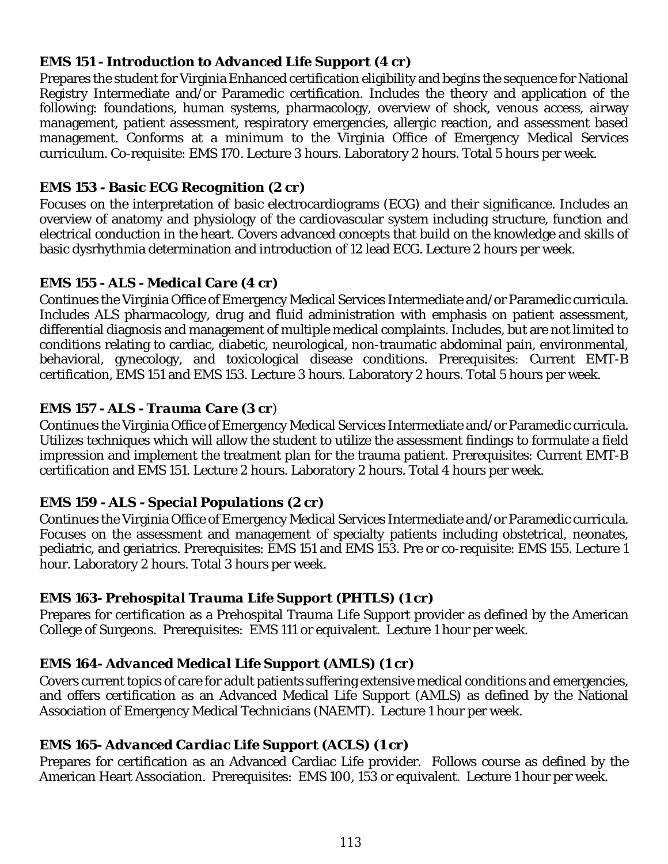## *EMS 151 - Introduction to Advanced Life Support (4 cr)*

Prepares the student for Virginia Enhanced certification eligibility and begins the sequence for National Registry Intermediate and/or Paramedic certification. Includes the theory and application of the following: foundations, human systems, pharmacology, overview of shock, venous access, airway management, patient assessment, respiratory emergencies, allergic reaction, and assessment based management. Conforms at a minimum to the Virginia Office of Emergency Medical Services curriculum. Co-requisite: EMS 170. Lecture 3 hours. Laboratory 2 hours. Total 5 hours per week.

# *EMS 153 - Basic ECG Recognition (2 cr)*

Focuses on the interpretation of basic electrocardiograms (ECG) and their significance. Includes an overview of anatomy and physiology of the cardiovascular system including structure, function and electrical conduction in the heart. Covers advanced concepts that build on the knowledge and skills of basic dysrhythmia determination and introduction of 12 lead ECG. Lecture 2 hours per week.

# *EMS 155 - ALS - Medical Care (4 cr)*

Continues the Virginia Office of Emergency Medical Services Intermediate and/or Paramedic curricula. Includes ALS pharmacology, drug and fluid administration with emphasis on patient assessment, differential diagnosis and management of multiple medical complaints. Includes, but are not limited to conditions relating to cardiac, diabetic, neurological, non-traumatic abdominal pain, environmental, behavioral, gynecology, and toxicological disease conditions. Prerequisites: Current EMT-B certification, EMS 151 and EMS 153. Lecture 3 hours. Laboratory 2 hours. Total 5 hours per week.

# *EMS 157 - ALS - Trauma Care (3 cr)*

Continues the Virginia Office of Emergency Medical Services Intermediate and/or Paramedic curricula. Utilizes techniques which will allow the student to utilize the assessment findings to formulate a field impression and implement the treatment plan for the trauma patient. Prerequisites: Current EMT-B certification and EMS 151. Lecture 2 hours. Laboratory 2 hours. Total 4 hours per week.

## *EMS 159 - ALS - Special Populations (2 cr)*

Continues the Virginia Office of Emergency Medical Services Intermediate and/or Paramedic curricula. Focuses on the assessment and management of specialty patients including obstetrical, neonates, pediatric, and geriatrics. Prerequisites: EMS 151 and EMS 153. Pre or co-requisite: EMS 155. Lecture 1 hour. Laboratory 2 hours. Total 3 hours per week.

# *EMS 163- Prehospital Trauma Life Support (PHTLS) (1 cr)*

Prepares for certification as a Prehospital Trauma Life Support provider as defined by the American College of Surgeons. Prerequisites: EMS 111 or equivalent. Lecture 1 hour per week.

# *EMS 164- Advanced Medical Life Support (AMLS) (1 cr)*

Covers current topics of care for adult patients suffering extensive medical conditions and emergencies, and offers certification as an Advanced Medical Life Support (AMLS) as defined by the National Association of Emergency Medical Technicians (NAEMT). Lecture 1 hour per week.

# *EMS 165- Advanced Cardiac Life Support (ACLS) (1 cr)*

Prepares for certification as an Advanced Cardiac Life provider. Follows course as defined by the American Heart Association. Prerequisites: EMS 100, 153 or equivalent. Lecture 1 hour per week.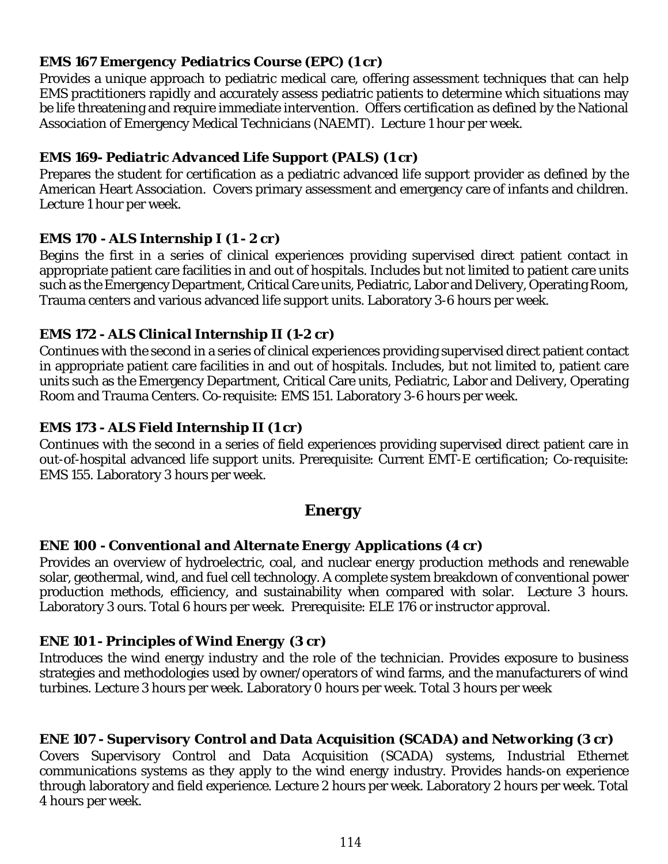## *EMS 167 Emergency Pediatrics Course (EPC) (1 cr)*

Provides a unique approach to pediatric medical care, offering assessment techniques that can help EMS practitioners rapidly and accurately assess pediatric patients to determine which situations may be life threatening and require immediate intervention. Offers certification as defined by the National Association of Emergency Medical Technicians (NAEMT). Lecture 1 hour per week.

# *EMS 169- Pediatric Advanced Life Support (PALS) (1 cr)*

Prepares the student for certification as a pediatric advanced life support provider as defined by the American Heart Association. Covers primary assessment and emergency care of infants and children. Lecture 1 hour per week.

# *EMS 170 - ALS Internship I (1 - 2 cr)*

Begins the first in a series of clinical experiences providing supervised direct patient contact in appropriate patient care facilities in and out of hospitals. Includes but not limited to patient care units such as the Emergency Department, Critical Care units, Pediatric, Labor and Delivery, Operating Room, Trauma centers and various advanced life support units. Laboratory 3-6 hours per week.

# *EMS 172 - ALS Clinical Internship II (1-2 cr)*

Continues with the second in a series of clinical experiences providing supervised direct patient contact in appropriate patient care facilities in and out of hospitals. Includes, but not limited to, patient care units such as the Emergency Department, Critical Care units, Pediatric, Labor and Delivery, Operating Room and Trauma Centers. Co-requisite: EMS 151. Laboratory 3-6 hours per week.

# *EMS 173 - ALS Field Internship II (1 cr)*

Continues with the second in a series of field experiences providing supervised direct patient care in out-of-hospital advanced life support units. Prerequisite: Current EMT-E certification; Co-requisite: EMS 155. Laboratory 3 hours per week.

# *Energy*

# *ENE 100 - Conventional and Alternate Energy Applications (4 cr)*

Provides an overview of hydroelectric, coal, and nuclear energy production methods and renewable solar, geothermal, wind, and fuel cell technology. A complete system breakdown of conventional power production methods, efficiency, and sustainability when compared with solar. Lecture 3 hours. Laboratory 3 ours. Total 6 hours per week. Prerequisite: ELE 176 or instructor approval.

# *ENE 101 - Principles of Wind Energy (3 cr)*

Introduces the wind energy industry and the role of the technician. Provides exposure to business strategies and methodologies used by owner/operators of wind farms, and the manufacturers of wind turbines. Lecture 3 hours per week. Laboratory 0 hours per week. Total 3 hours per week

# *ENE 107 - Supervisory Control and Data Acquisition (SCADA) and Networking (3 cr)*

Covers Supervisory Control and Data Acquisition (SCADA) systems, Industrial Ethernet communications systems as they apply to the wind energy industry. Provides hands-on experience through laboratory and field experience. Lecture 2 hours per week. Laboratory 2 hours per week. Total 4 hours per week.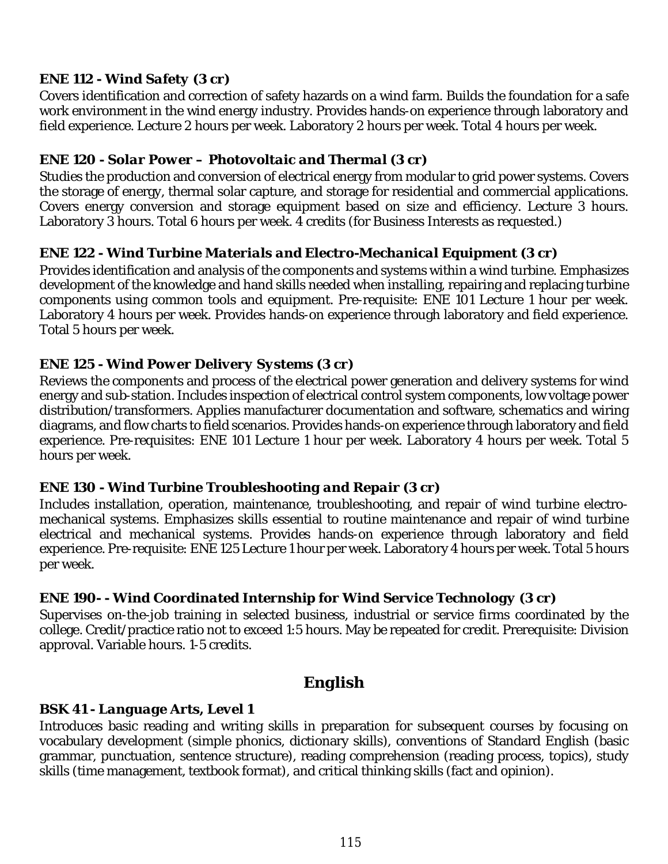## *ENE 112 - Wind Safety (3 cr)*

Covers identification and correction of safety hazards on a wind farm. Builds the foundation for a safe work environment in the wind energy industry. Provides hands-on experience through laboratory and field experience. Lecture 2 hours per week. Laboratory 2 hours per week. Total 4 hours per week.

## *ENE 120 - Solar Power – Photovoltaic and Thermal (3 cr)*

Studies the production and conversion of electrical energy from modular to grid power systems. Covers the storage of energy, thermal solar capture, and storage for residential and commercial applications. Covers energy conversion and storage equipment based on size and efficiency. Lecture 3 hours. Laboratory 3 hours. Total 6 hours per week. 4 credits (for Business Interests as requested.)

## *ENE 122 - Wind Turbine Materials and Electro-Mechanical Equipment (3 cr)*

Provides identification and analysis of the components and systems within a wind turbine. Emphasizes development of the knowledge and hand skills needed when installing, repairing and replacing turbine components using common tools and equipment. Pre-requisite: ENE 101 Lecture 1 hour per week. Laboratory 4 hours per week. Provides hands-on experience through laboratory and field experience. Total 5 hours per week.

## *ENE 125 - Wind Power Delivery Systems (3 cr)*

Reviews the components and process of the electrical power generation and delivery systems for wind energy and sub-station. Includes inspection of electrical control system components, low voltage power distribution/transformers. Applies manufacturer documentation and software, schematics and wiring diagrams, and flow charts to field scenarios. Provides hands-on experience through laboratory and field experience. Pre-requisites: ENE 101 Lecture 1 hour per week. Laboratory 4 hours per week. Total 5 hours per week.

## *ENE 130 - Wind Turbine Troubleshooting and Repair (3 cr)*

Includes installation, operation, maintenance, troubleshooting, and repair of wind turbine electromechanical systems. Emphasizes skills essential to routine maintenance and repair of wind turbine electrical and mechanical systems. Provides hands-on experience through laboratory and field experience. Pre-requisite: ENE 125 Lecture 1 hour per week. Laboratory 4 hours per week. Total 5 hours per week.

## *ENE 190- - Wind Coordinated Internship for Wind Service Technology (3 cr)*

Supervises on-the-job training in selected business, industrial or service firms coordinated by the college. Credit/practice ratio not to exceed 1:5 hours. May be repeated for credit. Prerequisite: Division approval. Variable hours. 1-5 credits.

# *English*

## *BSK 41 - Language Arts, Level 1*

Introduces basic reading and writing skills in preparation for subsequent courses by focusing on vocabulary development (simple phonics, dictionary skills), conventions of Standard English (basic grammar, punctuation, sentence structure), reading comprehension (reading process, topics), study skills (time management, textbook format), and critical thinking skills (fact and opinion).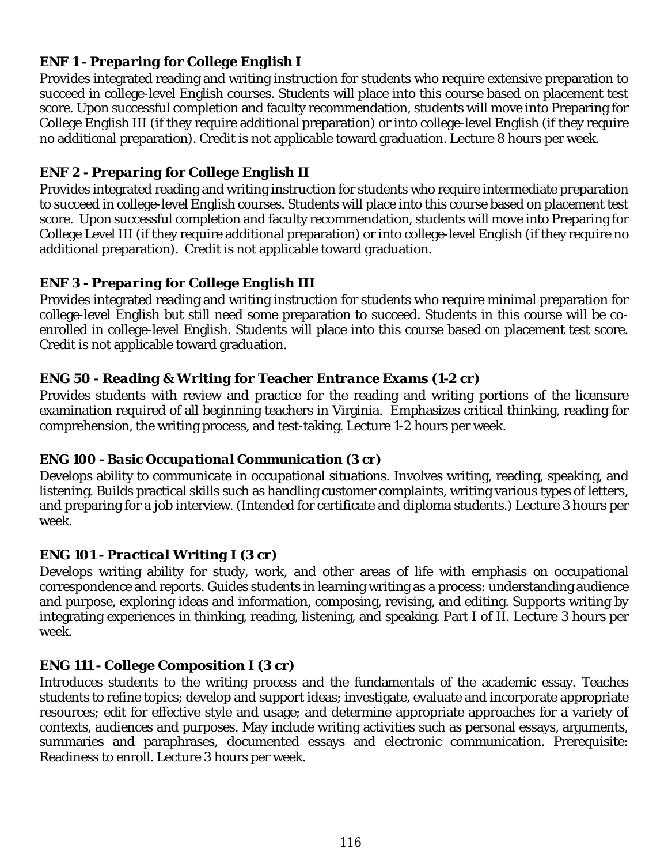## *ENF 1 - Preparing for College English I*

Provides integrated reading and writing instruction for students who require extensive preparation to succeed in college-level English courses. Students will place into this course based on placement test score. Upon successful completion and faculty recommendation, students will move into Preparing for College English III (if they require additional preparation) or into college-level English (if they require no additional preparation). Credit is not applicable toward graduation. Lecture 8 hours per week.

# *ENF 2 - Preparing for College English II*

Provides integrated reading and writing instruction for students who require intermediate preparation to succeed in college-level English courses. Students will place into this course based on placement test score. Upon successful completion and faculty recommendation, students will move into Preparing for College Level III (if they require additional preparation) or into college-level English (if they require no additional preparation). Credit is not applicable toward graduation.

# *ENF 3 - Preparing for College English III*

Provides integrated reading and writing instruction for students who require minimal preparation for college-level English but still need some preparation to succeed. Students in this course will be coenrolled in college-level English. Students will place into this course based on placement test score. Credit is not applicable toward graduation.

## *ENG 50 - Reading & Writing for Teacher Entrance Exams (1-2 cr)*

Provides students with review and practice for the reading and writing portions of the licensure examination required of all beginning teachers in Virginia. Emphasizes critical thinking, reading for comprehension, the writing process, and test-taking. Lecture 1-2 hours per week.

## *ENG 100 - Basic Occupational Communication (3 cr)*

Develops ability to communicate in occupational situations. Involves writing, reading, speaking, and listening. Builds practical skills such as handling customer complaints, writing various types of letters, and preparing for a job interview. (Intended for certificate and diploma students.) Lecture 3 hours per week.

# *ENG 101 - Practical Writing I (3 cr)*

Develops writing ability for study, work, and other areas of life with emphasis on occupational correspondence and reports. Guides students in learning writing as a process: understanding audience and purpose, exploring ideas and information, composing, revising, and editing. Supports writing by integrating experiences in thinking, reading, listening, and speaking. Part I of II. Lecture 3 hours per week.

# *ENG 111 - College Composition I (3 cr)*

Introduces students to the writing process and the fundamentals of the academic essay. Teaches students to refine topics; develop and support ideas; investigate, evaluate and incorporate appropriate resources; edit for effective style and usage; and determine appropriate approaches for a variety of contexts, audiences and purposes. May include writing activities such as personal essays, arguments, summaries and paraphrases, documented essays and electronic communication. Prerequisite: Readiness to enroll. Lecture 3 hours per week.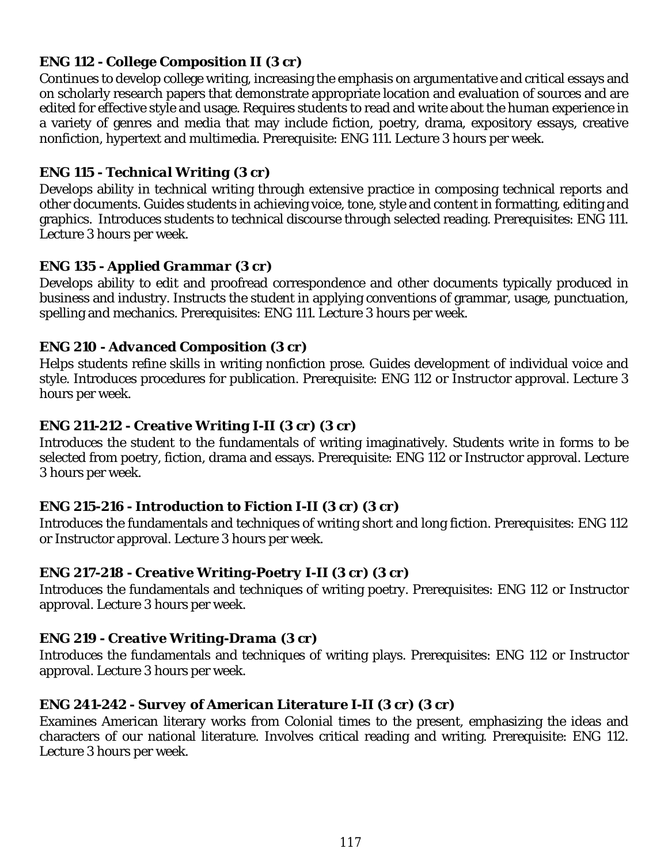## *ENG 112 - College Composition II (3 cr)*

Continues to develop college writing, increasing the emphasis on argumentative and critical essays and on scholarly research papers that demonstrate appropriate location and evaluation of sources and are edited for effective style and usage. Requires students to read and write about the human experience in a variety of genres and media that may include fiction, poetry, drama, expository essays, creative nonfiction, hypertext and multimedia. Prerequisite: ENG 111. Lecture 3 hours per week.

#### *ENG 115 - Technical Writing (3 cr)*

Develops ability in technical writing through extensive practice in composing technical reports and other documents. Guides students in achieving voice, tone, style and content in formatting, editing and graphics. Introduces students to technical discourse through selected reading. Prerequisites: ENG 111. Lecture 3 hours per week.

## *ENG 135 - Applied Grammar (3 cr)*

Develops ability to edit and proofread correspondence and other documents typically produced in business and industry. Instructs the student in applying conventions of grammar, usage, punctuation, spelling and mechanics. Prerequisites: ENG 111. Lecture 3 hours per week.

## *ENG 210 - Advanced Composition (3 cr)*

Helps students refine skills in writing nonfiction prose. Guides development of individual voice and style. Introduces procedures for publication. Prerequisite: ENG 112 or Instructor approval. Lecture 3 hours per week.

# *ENG 211-212 - Creative Writing I-II (3 cr) (3 cr)*

Introduces the student to the fundamentals of writing imaginatively. Students write in forms to be selected from poetry, fiction, drama and essays. Prerequisite: ENG 112 or Instructor approval. Lecture 3 hours per week.

## *ENG 215-216 - Introduction to Fiction I-II (3 cr) (3 cr)*

Introduces the fundamentals and techniques of writing short and long fiction. Prerequisites: ENG 112 or Instructor approval. Lecture 3 hours per week.

## *ENG 217-218 - Creative Writing-Poetry I-II (3 cr) (3 cr)*

Introduces the fundamentals and techniques of writing poetry. Prerequisites: ENG 112 or Instructor approval. Lecture 3 hours per week.

## *ENG 219 - Creative Writing-Drama (3 cr)*

Introduces the fundamentals and techniques of writing plays. Prerequisites: ENG 112 or Instructor approval. Lecture 3 hours per week.

## *ENG 241-242 - Survey of American Literature I-II (3 cr) (3 cr)*

Examines American literary works from Colonial times to the present, emphasizing the ideas and characters of our national literature. Involves critical reading and writing. Prerequisite: ENG 112. Lecture 3 hours per week.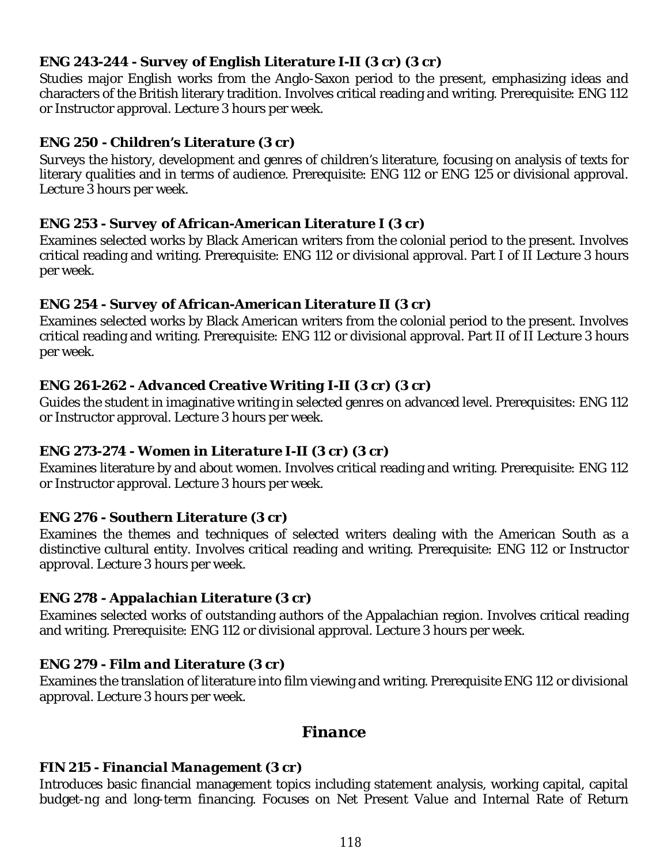## *ENG 243-244 - Survey of English Literature I-II (3 cr) (3 cr)*

Studies major English works from the Anglo-Saxon period to the present, emphasizing ideas and characters of the British literary tradition. Involves critical reading and writing. Prerequisite: ENG 112 or Instructor approval. Lecture 3 hours per week.

#### *ENG 250 - Children's Literature (3 cr)*

Surveys the history, development and genres of children's literature, focusing on analysis of texts for literary qualities and in terms of audience. Prerequisite: ENG 112 or ENG 125 or divisional approval. Lecture 3 hours per week.

#### *ENG 253 - Survey of African-American Literature I (3 cr)*

Examines selected works by Black American writers from the colonial period to the present. Involves critical reading and writing. Prerequisite: ENG 112 or divisional approval. Part I of II Lecture 3 hours per week.

#### *ENG 254 - Survey of African-American Literature II (3 cr)*

Examines selected works by Black American writers from the colonial period to the present. Involves critical reading and writing. Prerequisite: ENG 112 or divisional approval. Part II of II Lecture 3 hours per week.

## *ENG 261-262 - Advanced Creative Writing I-II (3 cr) (3 cr)*

Guides the student in imaginative writing in selected genres on advanced level. Prerequisites: ENG 112 or Instructor approval. Lecture 3 hours per week.

## *ENG 273-274 - Women in Literature I-II (3 cr) (3 cr)*

Examines literature by and about women. Involves critical reading and writing. Prerequisite: ENG 112 or Instructor approval. Lecture 3 hours per week.

## *ENG 276 - Southern Literature (3 cr)*

Examines the themes and techniques of selected writers dealing with the American South as a distinctive cultural entity. Involves critical reading and writing. Prerequisite: ENG 112 or Instructor approval. Lecture 3 hours per week.

## *ENG 278 - Appalachian Literature (3 cr)*

Examines selected works of outstanding authors of the Appalachian region. Involves critical reading and writing. Prerequisite: ENG 112 or divisional approval. Lecture 3 hours per week.

## *ENG 279 - Film and Literature (3 cr)*

Examines the translation of literature into film viewing and writing. Prerequisite ENG 112 or divisional approval. Lecture 3 hours per week.

## *Finance*

## *FIN 215 - Financial Management (3 cr)*

Introduces basic financial management topics including statement analysis, working capital, capital budget-ng and long-term financing. Focuses on Net Present Value and Internal Rate of Return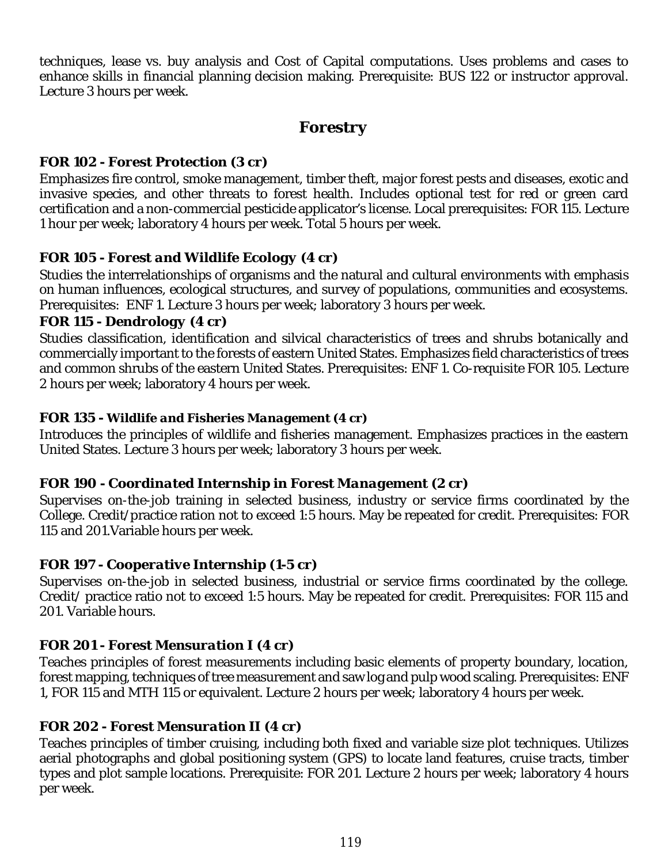techniques, lease vs. buy analysis and Cost of Capital computations. Uses problems and cases to enhance skills in financial planning decision making. Prerequisite: BUS 122 or instructor approval. Lecture 3 hours per week.

# *Forestry*

## *FOR 102 - Forest Protection (3 cr)*

Emphasizes fire control, smoke management, timber theft, major forest pests and diseases, exotic and invasive species, and other threats to forest health. Includes optional test for red or green card certification and a non-commercial pesticide applicator's license. Local prerequisites: FOR 115. Lecture 1 hour per week; laboratory 4 hours per week. Total 5 hours per week.

# *FOR 105 - Forest and Wildlife Ecology (4 cr)*

Studies the interrelationships of organisms and the natural and cultural environments with emphasis on human influences, ecological structures, and survey of populations, communities and ecosystems. Prerequisites: ENF 1. Lecture 3 hours per week; laboratory 3 hours per week.

## *FOR 115 - Dendrology (4 cr)*

Studies classification, identification and silvical characteristics of trees and shrubs botanically and commercially important to the forests of eastern United States. Emphasizes field characteristics of trees and common shrubs of the eastern United States. Prerequisites: ENF 1. Co-requisite FOR 105. Lecture 2 hours per week; laboratory 4 hours per week.

## *FOR 135 - Wildlife and Fisheries Management (4 cr)*

Introduces the principles of wildlife and fisheries management. Emphasizes practices in the eastern United States. Lecture 3 hours per week; laboratory 3 hours per week.

# *FOR 190 - Coordinated Internship in Forest Management (2 cr)*

Supervises on-the-job training in selected business, industry or service firms coordinated by the College. Credit/practice ration not to exceed 1:5 hours. May be repeated for credit. Prerequisites: FOR 115 and 201.Variable hours per week.

# *FOR 197 - Cooperative Internship (1-5 cr)*

Supervises on-the-job in selected business, industrial or service firms coordinated by the college. Credit/ practice ratio not to exceed 1:5 hours. May be repeated for credit. Prerequisites: FOR 115 and 201. Variable hours.

# *FOR 201 - Forest Mensuration I (4 cr)*

Teaches principles of forest measurements including basic elements of property boundary, location, forest mapping, techniques of tree measurement and saw log and pulp wood scaling. Prerequisites: ENF 1, FOR 115 and MTH 115 or equivalent. Lecture 2 hours per week; laboratory 4 hours per week.

# *FOR 202 - Forest Mensuration II (4 cr)*

Teaches principles of timber cruising, including both fixed and variable size plot techniques. Utilizes aerial photographs and global positioning system (GPS) to locate land features, cruise tracts, timber types and plot sample locations. Prerequisite: FOR 201. Lecture 2 hours per week; laboratory 4 hours per week.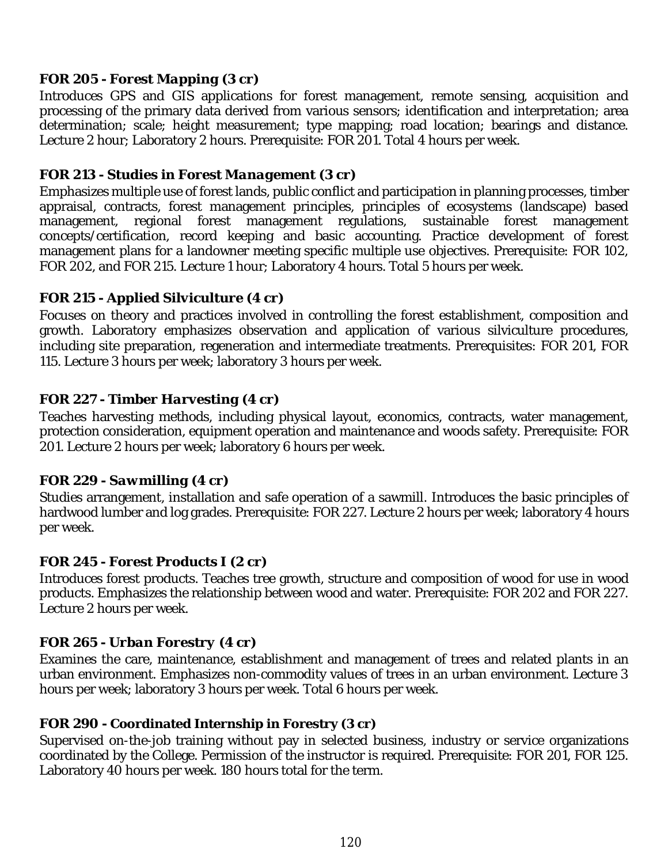## *FOR 205 - Forest Mapping (3 cr)*

Introduces GPS and GIS applications for forest management, remote sensing, acquisition and processing of the primary data derived from various sensors; identification and interpretation; area determination; scale; height measurement; type mapping; road location; bearings and distance. Lecture 2 hour; Laboratory 2 hours. Prerequisite: FOR 201. Total 4 hours per week.

#### *FOR 213 - Studies in Forest Management (3 cr)*

Emphasizes multiple use of forest lands, public conflict and participation in planning processes, timber appraisal, contracts, forest management principles, principles of ecosystems (landscape) based management, regional forest management regulations, sustainable forest management concepts/certification, record keeping and basic accounting. Practice development of forest management plans for a landowner meeting specific multiple use objectives. Prerequisite: FOR 102, FOR 202, and FOR 215. Lecture 1 hour; Laboratory 4 hours. Total 5 hours per week.

#### *FOR 215 - Applied Silviculture (4 cr)*

Focuses on theory and practices involved in controlling the forest establishment, composition and growth. Laboratory emphasizes observation and application of various silviculture procedures, including site preparation, regeneration and intermediate treatments. Prerequisites: FOR 201, FOR 115. Lecture 3 hours per week; laboratory 3 hours per week.

#### *FOR 227 - Timber Harvesting (4 cr)*

Teaches harvesting methods, including physical layout, economics, contracts, water management, protection consideration, equipment operation and maintenance and woods safety. Prerequisite: FOR 201. Lecture 2 hours per week; laboratory 6 hours per week.

#### *FOR 229 - Sawmilling (4 cr)*

Studies arrangement, installation and safe operation of a sawmill. Introduces the basic principles of hardwood lumber and log grades. Prerequisite: FOR 227. Lecture 2 hours per week; laboratory 4 hours per week.

#### *FOR 245 - Forest Products I (2 cr)*

Introduces forest products. Teaches tree growth, structure and composition of wood for use in wood products. Emphasizes the relationship between wood and water. Prerequisite: FOR 202 and FOR 227. Lecture 2 hours per week.

## *FOR 265 - Urban Forestry (4 cr)*

Examines the care, maintenance, establishment and management of trees and related plants in an urban environment. Emphasizes non-commodity values of trees in an urban environment. Lecture 3 hours per week; laboratory 3 hours per week. Total 6 hours per week.

#### **FOR 290 - Coordinated Internship in Forestry (3 cr)**

Supervised on-the-job training without pay in selected business, industry or service organizations coordinated by the College. Permission of the instructor is required. Prerequisite: FOR 201, FOR 125. Laboratory 40 hours per week. 180 hours total for the term.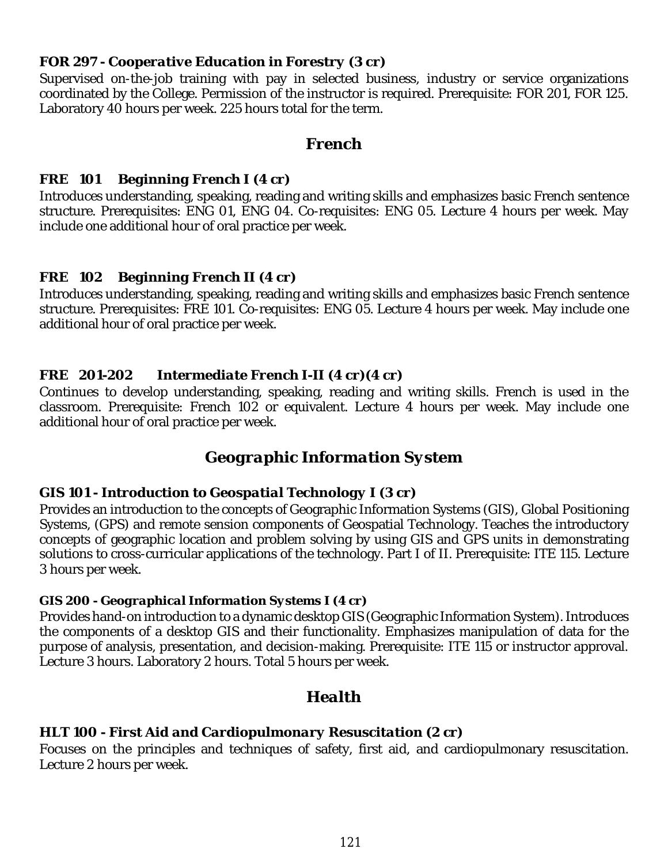#### *FOR 297 - Cooperative Education in Forestry (3 cr)*

Supervised on-the-job training with pay in selected business, industry or service organizations coordinated by the College. Permission of the instructor is required. Prerequisite: FOR 201, FOR 125. Laboratory 40 hours per week. 225 hours total for the term.

#### *French*

#### *FRE 101 Beginning French I (4 cr)*

Introduces understanding, speaking, reading and writing skills and emphasizes basic French sentence structure. Prerequisites: ENG 01, ENG 04. Co-requisites: ENG 05. Lecture 4 hours per week. May include one additional hour of oral practice per week.

## *FRE 102 Beginning French II (4 cr)*

Introduces understanding, speaking, reading and writing skills and emphasizes basic French sentence structure. Prerequisites: FRE 101. Co-requisites: ENG 05. Lecture 4 hours per week. May include one additional hour of oral practice per week.

## *FRE 201-202 Intermediate French I-II (4 cr)(4 cr)*

Continues to develop understanding, speaking, reading and writing skills. French is used in the classroom. Prerequisite: French 102 or equivalent. Lecture 4 hours per week. May include one additional hour of oral practice per week.

# *Geographic Information System*

#### *GIS 101 - Introduction to Geospatial Technology I (3 cr)*

Provides an introduction to the concepts of Geographic Information Systems (GIS), Global Positioning Systems, (GPS) and remote sension components of Geospatial Technology. Teaches the introductory concepts of geographic location and problem solving by using GIS and GPS units in demonstrating solutions to cross-curricular applications of the technology. Part I of II. Prerequisite: ITE 115. Lecture 3 hours per week.

#### *GIS 200 - Geographical Information Systems I (4 cr)*

Provides hand-on introduction to a dynamic desktop GIS (Geographic Information System). Introduces the components of a desktop GIS and their functionality. Emphasizes manipulation of data for the purpose of analysis, presentation, and decision-making. Prerequisite: ITE 115 or instructor approval. Lecture 3 hours. Laboratory 2 hours. Total 5 hours per week.

# *Health*

#### *HLT 100 - First Aid and Cardiopulmonary Resuscitation (2 cr)*

Focuses on the principles and techniques of safety, first aid, and cardiopulmonary resuscitation. Lecture 2 hours per week.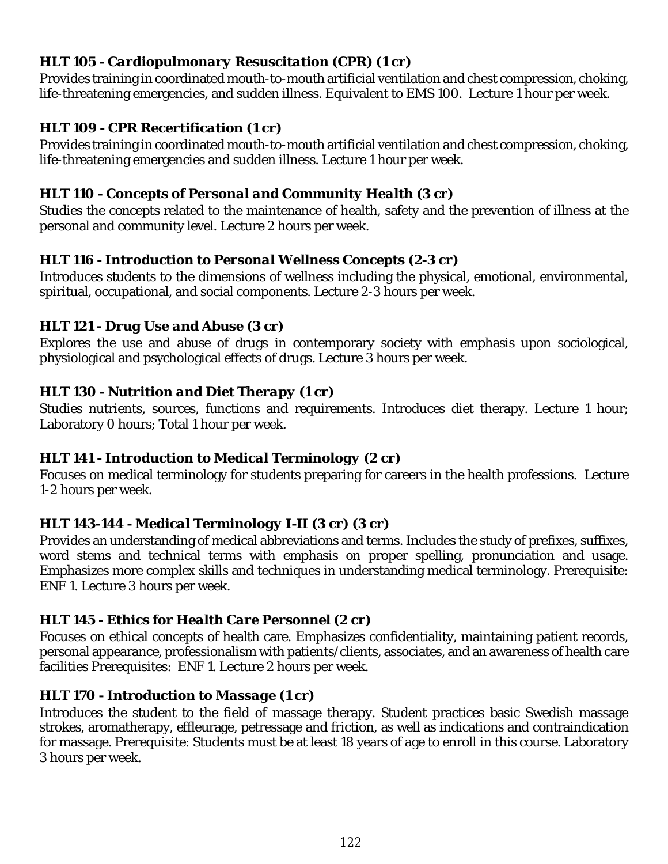## *HLT 105 - Cardiopulmonary Resuscitation (CPR) (1 cr)*

Provides training in coordinated mouth-to-mouth artificial ventilation and chest compression, choking, life-threatening emergencies, and sudden illness. Equivalent to EMS 100. Lecture 1 hour per week.

## *HLT 109 - CPR Recertification (1 cr)*

Provides training in coordinated mouth-to-mouth artificial ventilation and chest compression, choking, life-threatening emergencies and sudden illness. Lecture 1 hour per week.

## *HLT 110 - Concepts of Personal and Community Health (3 cr)*

Studies the concepts related to the maintenance of health, safety and the prevention of illness at the personal and community level. Lecture 2 hours per week.

## *HLT 116 - Introduction to Personal Wellness Concepts (2-3 cr)*

Introduces students to the dimensions of wellness including the physical, emotional, environmental, spiritual, occupational, and social components. Lecture 2-3 hours per week.

## *HLT 121 - Drug Use and Abuse (3 cr)*

Explores the use and abuse of drugs in contemporary society with emphasis upon sociological, physiological and psychological effects of drugs. Lecture 3 hours per week.

## *HLT 130 - Nutrition and Diet Therapy (1 cr)*

Studies nutrients, sources, functions and requirements. Introduces diet therapy. Lecture 1 hour; Laboratory 0 hours; Total 1 hour per week.

## *HLT 141 - Introduction to Medical Terminology (2 cr)*

Focuses on medical terminology for students preparing for careers in the health professions. Lecture 1-2 hours per week.

# *HLT 143-144 - Medical Terminology I-II (3 cr) (3 cr)*

Provides an understanding of medical abbreviations and terms. Includes the study of prefixes, suffixes, word stems and technical terms with emphasis on proper spelling, pronunciation and usage. Emphasizes more complex skills and techniques in understanding medical terminology. Prerequisite: ENF 1. Lecture 3 hours per week.

## *HLT 145 - Ethics for Health Care Personnel (2 cr)*

Focuses on ethical concepts of health care. Emphasizes confidentiality, maintaining patient records, personal appearance, professionalism with patients/clients, associates, and an awareness of health care facilities Prerequisites: ENF 1. Lecture 2 hours per week.

# *HLT 170 - Introduction to Massage (1 cr)*

Introduces the student to the field of massage therapy. Student practices basic Swedish massage strokes, aromatherapy, effleurage, petressage and friction, as well as indications and contraindication for massage. Prerequisite: Students must be at least 18 years of age to enroll in this course. Laboratory 3 hours per week.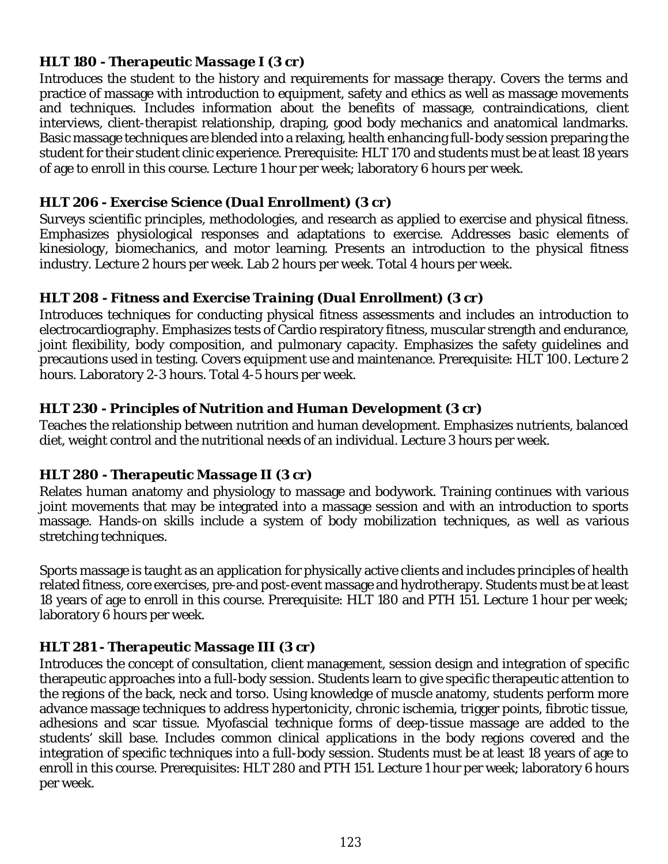## *HLT 180 - Therapeutic Massage I (3 cr)*

Introduces the student to the history and requirements for massage therapy. Covers the terms and practice of massage with introduction to equipment, safety and ethics as well as massage movements and techniques. Includes information about the benefits of massage, contraindications, client interviews, client-therapist relationship, draping, good body mechanics and anatomical landmarks. Basic massage techniques are blended into a relaxing, health enhancing full-body session preparing the student for their student clinic experience. Prerequisite: HLT 170 and students must be at least 18 years of age to enroll in this course. Lecture 1 hour per week; laboratory 6 hours per week.

## *HLT 206 - Exercise Science (Dual Enrollment) (3 cr)*

Surveys scientific principles, methodologies, and research as applied to exercise and physical fitness. Emphasizes physiological responses and adaptations to exercise. Addresses basic elements of kinesiology, biomechanics, and motor learning. Presents an introduction to the physical fitness industry. Lecture 2 hours per week. Lab 2 hours per week. Total 4 hours per week.

## *HLT 208 - Fitness and Exercise Training (Dual Enrollment) (3 cr)*

Introduces techniques for conducting physical fitness assessments and includes an introduction to electrocardiography. Emphasizes tests of Cardio respiratory fitness, muscular strength and endurance, joint flexibility, body composition, and pulmonary capacity. Emphasizes the safety quidelines and precautions used in testing. Covers equipment use and maintenance. Prerequisite: HLT 100. Lecture 2 hours. Laboratory 2-3 hours. Total 4-5 hours per week.

## *HLT 230 - Principles of Nutrition and Human Development (3 cr)*

Teaches the relationship between nutrition and human development. Emphasizes nutrients, balanced diet, weight control and the nutritional needs of an individual. Lecture 3 hours per week.

# *HLT 280 - Therapeutic Massage II (3 cr)*

Relates human anatomy and physiology to massage and bodywork. Training continues with various joint movements that may be integrated into a massage session and with an introduction to sports massage. Hands-on skills include a system of body mobilization techniques, as well as various stretching techniques.

Sports massage is taught as an application for physically active clients and includes principles of health related fitness, core exercises, pre-and post-event massage and hydrotherapy. Students must be at least 18 years of age to enroll in this course. Prerequisite: HLT 180 and PTH 151. Lecture 1 hour per week; laboratory 6 hours per week.

# *HLT 281 - Therapeutic Massage III (3 cr)*

Introduces the concept of consultation, client management, session design and integration of specific therapeutic approaches into a full-body session. Students learn to give specific therapeutic attention to the regions of the back, neck and torso. Using knowledge of muscle anatomy, students perform more advance massage techniques to address hypertonicity, chronic ischemia, trigger points, fibrotic tissue, adhesions and scar tissue. Myofascial technique forms of deep-tissue massage are added to the students' skill base. Includes common clinical applications in the body regions covered and the integration of specific techniques into a full-body session. Students must be at least 18 years of age to enroll in this course. Prerequisites: HLT 280 and PTH 151. Lecture 1 hour per week; laboratory 6 hours per week.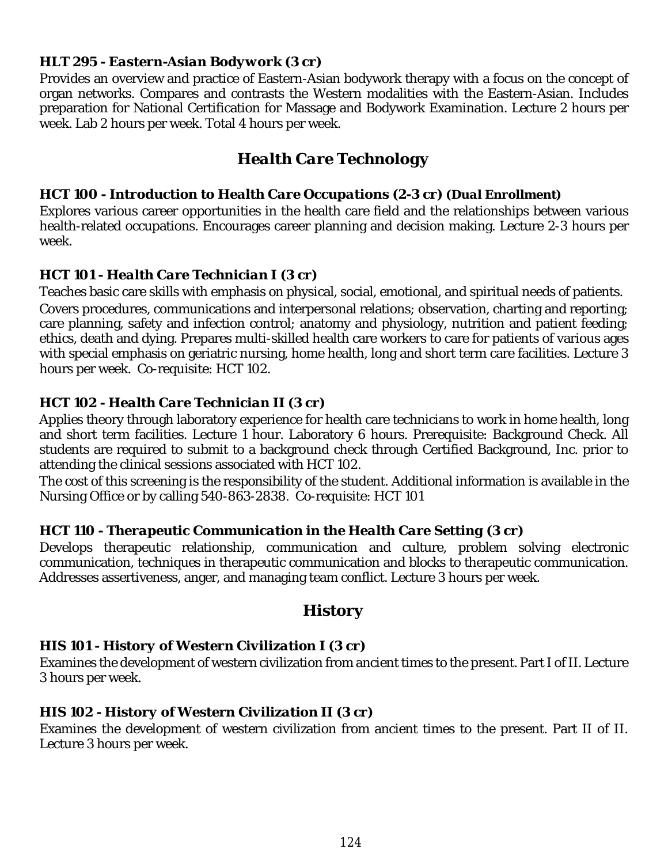#### *HLT 295 - Eastern-Asian Bodywork (3 cr)*

Provides an overview and practice of Eastern-Asian bodywork therapy with a focus on the concept of organ networks. Compares and contrasts the Western modalities with the Eastern-Asian. Includes preparation for National Certification for Massage and Bodywork Examination. Lecture 2 hours per week. Lab 2 hours per week. Total 4 hours per week.

# *Health Care Technology*

#### *HCT 100 - Introduction to Health Care Occupations (2-3 cr) (Dual Enrollment)*

Explores various career opportunities in the health care field and the relationships between various health-related occupations. Encourages career planning and decision making. Lecture 2-3 hours per week.

## *HCT 101 - Health Care Technician I (3 cr)*

Teaches basic care skills with emphasis on physical, social, emotional, and spiritual needs of patients. Covers procedures, communications and interpersonal relations; observation, charting and reporting; care planning, safety and infection control; anatomy and physiology, nutrition and patient feeding; ethics, death and dying. Prepares multi-skilled health care workers to care for patients of various ages with special emphasis on geriatric nursing, home health, long and short term care facilities. Lecture 3 hours per week. Co-requisite: HCT 102.

## *HCT 102 - Health Care Technician II (3 cr)*

Applies theory through laboratory experience for health care technicians to work in home health, long and short term facilities. Lecture 1 hour. Laboratory 6 hours. Prerequisite: Background Check. All students are required to submit to a background check through Certified Background, Inc. prior to attending the clinical sessions associated with HCT 102.

The cost of this screening is the responsibility of the student. Additional information is available in the Nursing Office or by calling 540-863-2838. Co-requisite: HCT 101

## *HCT 110 - Therapeutic Communication in the Health Care Setting (3 cr)*

Develops therapeutic relationship, communication and culture, problem solving electronic communication, techniques in therapeutic communication and blocks to therapeutic communication. Addresses assertiveness, anger, and managing team conflict. Lecture 3 hours per week.

# *History*

## *HIS 101 - History of Western Civilization I (3 cr)*

Examines the development of western civilization from ancient times to the present. Part I of II. Lecture 3 hours per week.

## *HIS 102 - History of Western Civilization II (3 cr)*

Examines the development of western civilization from ancient times to the present. Part II of II. Lecture 3 hours per week.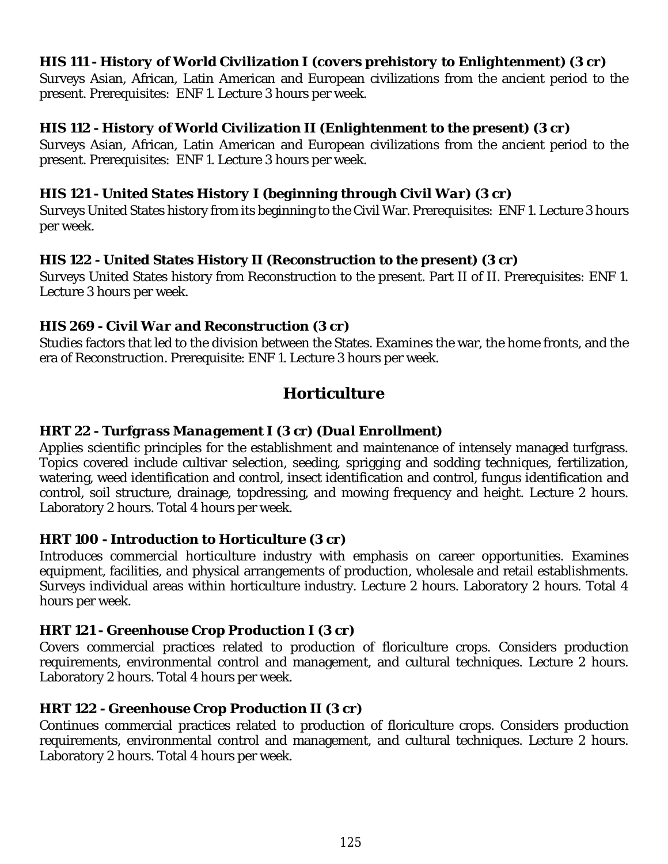## *HIS 111 - History of World Civilization I (covers prehistory to Enlightenment) (3 cr)*

Surveys Asian, African, Latin American and European civilizations from the ancient period to the present. Prerequisites: ENF 1. Lecture 3 hours per week.

#### *HIS 112 - History of World Civilization II (Enlightenment to the present) (3 cr)*

Surveys Asian, African, Latin American and European civilizations from the ancient period to the present. Prerequisites: ENF 1. Lecture 3 hours per week.

#### *HIS 121 - United States History I (beginning through Civil War) (3 cr)*

Surveys United States history from its beginning to the Civil War. Prerequisites: ENF 1. Lecture 3 hours per week.

#### **HIS 122 - United States History II (Reconstruction to the present) (3 cr)**

Surveys United States history from Reconstruction to the present. Part II of II. Prerequisites: ENF 1. Lecture 3 hours per week.

#### *HIS 269 - Civil War and Reconstruction (3 cr)*

Studies factors that led to the division between the States. Examines the war, the home fronts, and the era of Reconstruction. Prerequisite: ENF 1. Lecture 3 hours per week.

# *Horticulture*

#### *HRT 22 - Turfgrass Management I (3 cr) (Dual Enrollment)*

Applies scientific principles for the establishment and maintenance of intensely managed turfgrass. Topics covered include cultivar selection, seeding, sprigging and sodding techniques, fertilization, watering, weed identification and control, insect identification and control, fungus identification and control, soil structure, drainage, topdressing, and mowing frequency and height. Lecture 2 hours. Laboratory 2 hours. Total 4 hours per week.

## *HRT 100 - Introduction to Horticulture (3 cr)*

Introduces commercial horticulture industry with emphasis on career opportunities. Examines equipment, facilities, and physical arrangements of production, wholesale and retail establishments. Surveys individual areas within horticulture industry. Lecture 2 hours. Laboratory 2 hours. Total 4 hours per week.

#### *HRT 121 - Greenhouse Crop Production I (3 cr)*

Covers commercial practices related to production of floriculture crops. Considers production requirements, environmental control and management, and cultural techniques. Lecture 2 hours. Laboratory 2 hours. Total 4 hours per week.

## *HRT 122 - Greenhouse Crop Production II (3 cr)*

Continues commercial practices related to production of floriculture crops. Considers production requirements, environmental control and management, and cultural techniques. Lecture 2 hours. Laboratory 2 hours. Total 4 hours per week.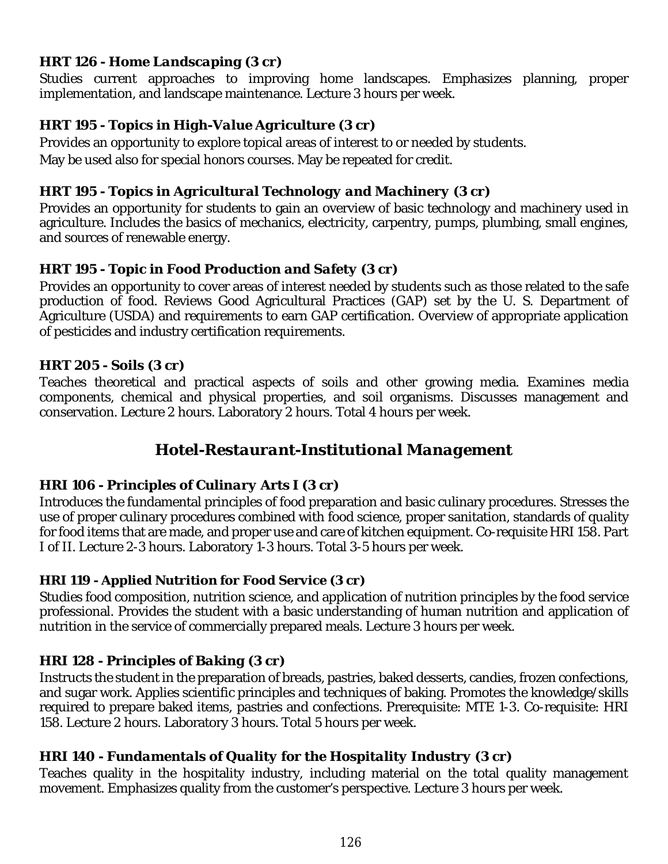## *HRT 126 - Home Landscaping (3 cr)*

Studies current approaches to improving home landscapes. Emphasizes planning, proper implementation, and landscape maintenance. Lecture 3 hours per week.

## *HRT 195 - Topics in High-Value Agriculture (3 cr)*

Provides an opportunity to explore topical areas of interest to or needed by students. May be used also for special honors courses. May be repeated for credit.

## *HRT 195 - Topics in Agricultural Technology and Machinery (3 cr)*

Provides an opportunity for students to gain an overview of basic technology and machinery used in agriculture. Includes the basics of mechanics, electricity, carpentry, pumps, plumbing, small engines, and sources of renewable energy.

## *HRT 195 - Topic in Food Production and Safety (3 cr)*

Provides an opportunity to cover areas of interest needed by students such as those related to the safe production of food. Reviews Good Agricultural Practices (GAP) set by the U. S. Department of Agriculture (USDA) and requirements to earn GAP certification. Overview of appropriate application of pesticides and industry certification requirements.

#### *HRT 205 - Soils (3 cr)*

Teaches theoretical and practical aspects of soils and other growing media. Examines media components, chemical and physical properties, and soil organisms. Discusses management and conservation. Lecture 2 hours. Laboratory 2 hours. Total 4 hours per week.

# *Hotel-Restaurant-Institutional Management*

## *HRI 106 - Principles of Culinary Arts I (3 cr)*

Introduces the fundamental principles of food preparation and basic culinary procedures. Stresses the use of proper culinary procedures combined with food science, proper sanitation, standards of quality for food items that are made, and proper use and care of kitchen equipment. Co-requisite HRI 158. Part I of II. Lecture 2-3 hours. Laboratory 1-3 hours. Total 3-5 hours per week.

## *HRI 119 - Applied Nutrition for Food Service (3 cr)*

Studies food composition, nutrition science, and application of nutrition principles by the food service professional. Provides the student with a basic understanding of human nutrition and application of nutrition in the service of commercially prepared meals. Lecture 3 hours per week.

## *HRI 128 - Principles of Baking (3 cr)*

Instructs the student in the preparation of breads, pastries, baked desserts, candies, frozen confections, and sugar work. Applies scientific principles and techniques of baking. Promotes the knowledge/skills required to prepare baked items, pastries and confections. Prerequisite: MTE 1-3. Co-requisite: HRI 158. Lecture 2 hours. Laboratory 3 hours. Total 5 hours per week.

## *HRI 140 - Fundamentals of Quality for the Hospitality Industry (3 cr)*

Teaches quality in the hospitality industry, including material on the total quality management movement. Emphasizes quality from the customer's perspective. Lecture 3 hours per week.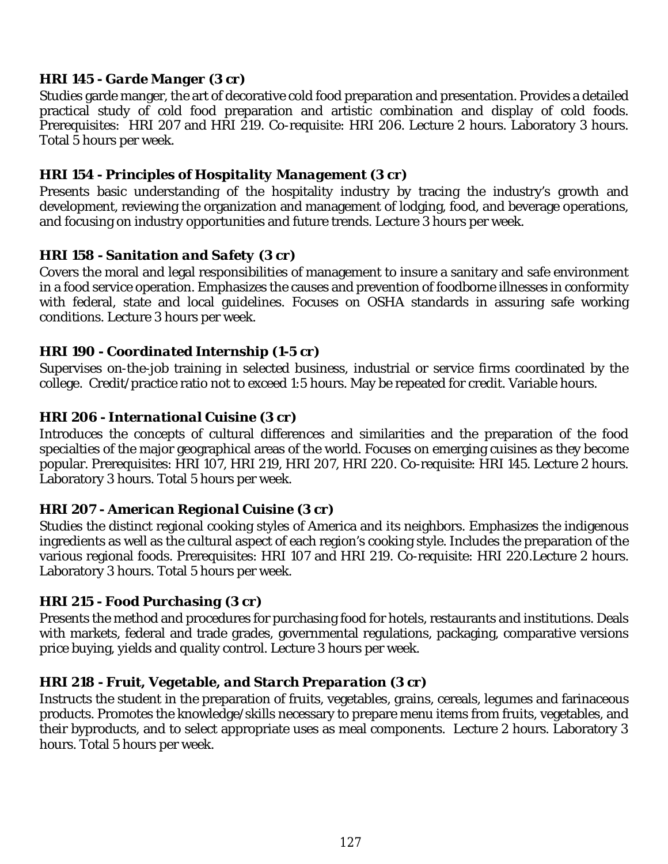## *HRI 145 - Garde Manger (3 cr)*

Studies garde manger, the art of decorative cold food preparation and presentation. Provides a detailed practical study of cold food preparation and artistic combination and display of cold foods. Prerequisites: HRI 207 and HRI 219. Co-requisite: HRI 206. Lecture 2 hours. Laboratory 3 hours. Total 5 hours per week.

#### *HRI 154 - Principles of Hospitality Management (3 cr)*

Presents basic understanding of the hospitality industry by tracing the industry's growth and development, reviewing the organization and management of lodging, food, and beverage operations, and focusing on industry opportunities and future trends. Lecture 3 hours per week.

#### *HRI 158 - Sanitation and Safety (3 cr)*

Covers the moral and legal responsibilities of management to insure a sanitary and safe environment in a food service operation. Emphasizes the causes and prevention of foodborne illnesses in conformity with federal, state and local guidelines. Focuses on OSHA standards in assuring safe working conditions. Lecture 3 hours per week.

#### *HRI 190 - Coordinated Internship (1-5 cr)*

Supervises on-the-job training in selected business, industrial or service firms coordinated by the college. Credit/practice ratio not to exceed 1:5 hours. May be repeated for credit. Variable hours.

#### *HRI 206 - International Cuisine (3 cr)*

Introduces the concepts of cultural differences and similarities and the preparation of the food specialties of the major geographical areas of the world. Focuses on emerging cuisines as they become popular. Prerequisites: HRI 107, HRI 219, HRI 207, HRI 220. Co-requisite: HRI 145. Lecture 2 hours. Laboratory 3 hours. Total 5 hours per week.

#### *HRI 207 - American Regional Cuisine (3 cr)*

Studies the distinct regional cooking styles of America and its neighbors. Emphasizes the indigenous ingredients as well as the cultural aspect of each region's cooking style. Includes the preparation of the various regional foods. Prerequisites: HRI 107 and HRI 219. Co-requisite: HRI 220.Lecture 2 hours. Laboratory 3 hours. Total 5 hours per week.

#### *HRI 215 - Food Purchasing (3 cr)*

Presents the method and procedures for purchasing food for hotels, restaurants and institutions. Deals with markets, federal and trade grades, governmental regulations, packaging, comparative versions price buying, yields and quality control. Lecture 3 hours per week.

#### *HRI 218 - Fruit, Vegetable, and Starch Preparation (3 cr)*

Instructs the student in the preparation of fruits, vegetables, grains, cereals, legumes and farinaceous products. Promotes the knowledge/skills necessary to prepare menu items from fruits, vegetables, and their byproducts, and to select appropriate uses as meal components. Lecture 2 hours. Laboratory 3 hours. Total 5 hours per week.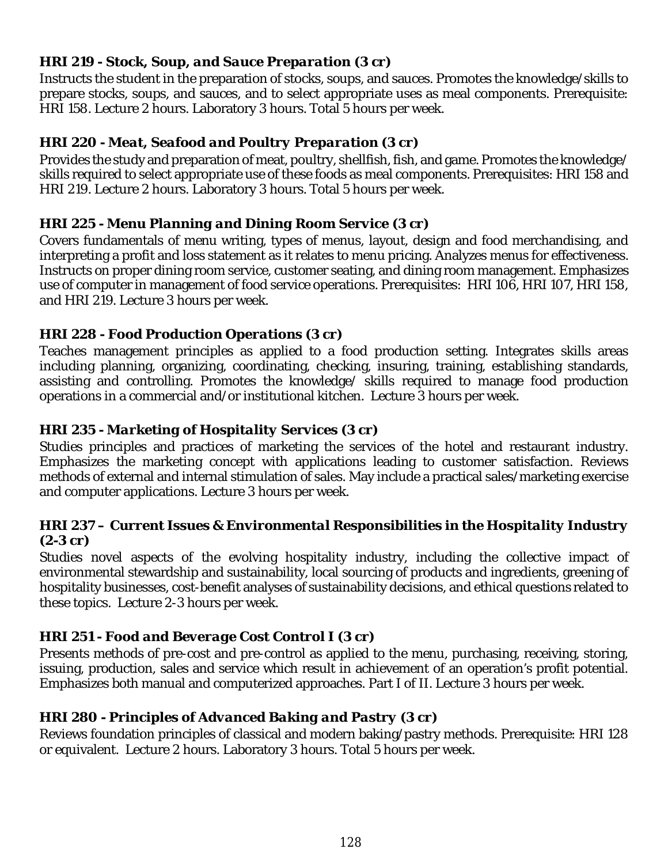## *HRI 219 - Stock, Soup, and Sauce Preparation (3 cr)*

Instructs the student in the preparation of stocks, soups, and sauces. Promotes the knowledge/skills to prepare stocks, soups, and sauces, and to select appropriate uses as meal components. Prerequisite: HRI 158. Lecture 2 hours. Laboratory 3 hours. Total 5 hours per week.

## *HRI 220 - Meat, Seafood and Poultry Preparation (3 cr)*

Provides the study and preparation of meat, poultry, shellfish, fish, and game. Promotes the knowledge/ skills required to select appropriate use of these foods as meal components. Prerequisites: HRI 158 and HRI 219. Lecture 2 hours. Laboratory 3 hours. Total 5 hours per week.

## *HRI 225 - Menu Planning and Dining Room Service (3 cr)*

Covers fundamentals of menu writing, types of menus, layout, design and food merchandising, and interpreting a profit and loss statement as it relates to menu pricing. Analyzes menus for effectiveness. Instructs on proper dining room service, customer seating, and dining room management. Emphasizes use of computer in management of food service operations. Prerequisites: HRI 106, HRI 107, HRI 158, and HRI 219. Lecture 3 hours per week.

## *HRI 228 - Food Production Operations (3 cr)*

Teaches management principles as applied to a food production setting. Integrates skills areas including planning, organizing, coordinating, checking, insuring, training, establishing standards, assisting and controlling. Promotes the knowledge/ skills required to manage food production operations in a commercial and/or institutional kitchen. Lecture 3 hours per week.

## *HRI 235 - Marketing of Hospitality Services (3 cr)*

Studies principles and practices of marketing the services of the hotel and restaurant industry. Emphasizes the marketing concept with applications leading to customer satisfaction. Reviews methods of external and internal stimulation of sales. May include a practical sales/marketing exercise and computer applications. Lecture 3 hours per week.

#### *HRI 237 – Current Issues & Environmental Responsibilities in the Hospitality Industry (2-3 cr)*

Studies novel aspects of the evolving hospitality industry, including the collective impact of environmental stewardship and sustainability, local sourcing of products and ingredients, greening of hospitality businesses, cost-benefit analyses of sustainability decisions, and ethical questions related to these topics. Lecture 2-3 hours per week.

# *HRI 251 - Food and Beverage Cost Control I (3 cr)*

Presents methods of pre-cost and pre-control as applied to the menu, purchasing, receiving, storing, issuing, production, sales and service which result in achievement of an operation's profit potential. Emphasizes both manual and computerized approaches. Part I of II. Lecture 3 hours per week.

## *HRI 280 - Principles of Advanced Baking and Pastry (3 cr)*

Reviews foundation principles of classical and modern baking/pastry methods. Prerequisite: HRI 128 or equivalent. Lecture 2 hours. Laboratory 3 hours. Total 5 hours per week.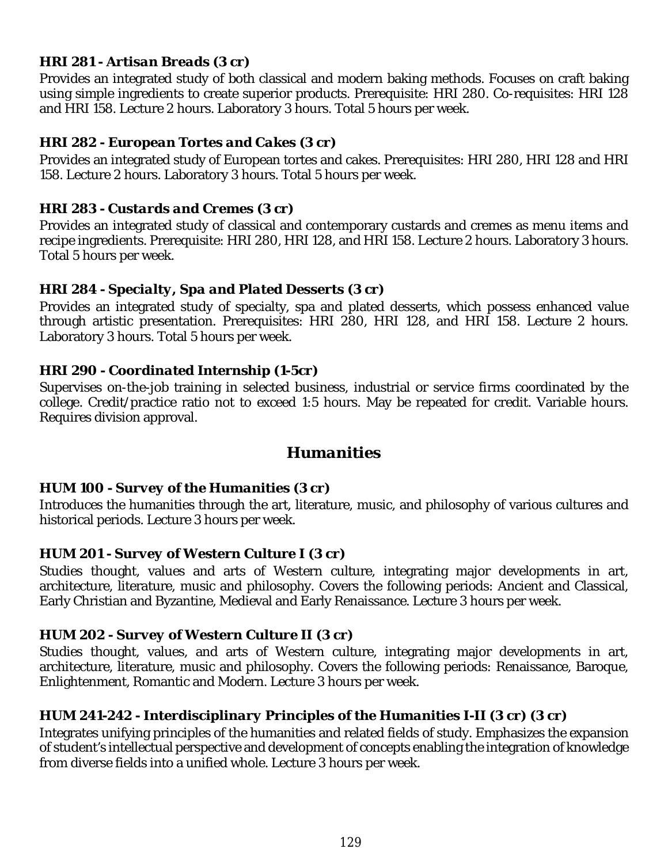#### *HRI 281 - Artisan Breads (3 cr)*

Provides an integrated study of both classical and modern baking methods. Focuses on craft baking using simple ingredients to create superior products. Prerequisite: HRI 280. Co-requisites: HRI 128 and HRI 158. Lecture 2 hours. Laboratory 3 hours. Total 5 hours per week.

#### *HRI 282 - European Tortes and Cakes (3 cr)*

Provides an integrated study of European tortes and cakes. Prerequisites: HRI 280, HRI 128 and HRI 158. Lecture 2 hours. Laboratory 3 hours. Total 5 hours per week.

#### *HRI 283 - Custards and Cremes (3 cr)*

Provides an integrated study of classical and contemporary custards and cremes as menu items and recipe ingredients. Prerequisite: HRI 280, HRI 128, and HRI 158. Lecture 2 hours. Laboratory 3 hours. Total 5 hours per week.

#### *HRI 284 - Specialty, Spa and Plated Desserts (3 cr)*

Provides an integrated study of specialty, spa and plated desserts, which possess enhanced value through artistic presentation. Prerequisites: HRI 280, HRI 128, and HRI 158. Lecture 2 hours. Laboratory 3 hours. Total 5 hours per week.

#### *HRI 290 - Coordinated Internship (1-5cr)*

Supervises on-the-job training in selected business, industrial or service firms coordinated by the college. Credit/practice ratio not to exceed 1:5 hours. May be repeated for credit. Variable hours. Requires division approval.

# *Humanities*

#### *HUM 100 - Survey of the Humanities (3 cr)*

Introduces the humanities through the art, literature, music, and philosophy of various cultures and historical periods. Lecture 3 hours per week.

#### *HUM 201 - Survey of Western Culture I (3 cr)*

Studies thought, values and arts of Western culture, integrating major developments in art, architecture, literature, music and philosophy. Covers the following periods: Ancient and Classical, Early Christian and Byzantine, Medieval and Early Renaissance. Lecture 3 hours per week.

## *HUM 202 - Survey of Western Culture II (3 cr)*

Studies thought, values, and arts of Western culture, integrating major developments in art, architecture, literature, music and philosophy. Covers the following periods: Renaissance, Baroque, Enlightenment, Romantic and Modern. Lecture 3 hours per week.

## *HUM 241-242 - Interdisciplinary Principles of the Humanities I-II (3 cr) (3 cr)*

Integrates unifying principles of the humanities and related fields of study. Emphasizes the expansion of student's intellectual perspective and development of concepts enabling the integration of knowledge from diverse fields into a unified whole. Lecture 3 hours per week.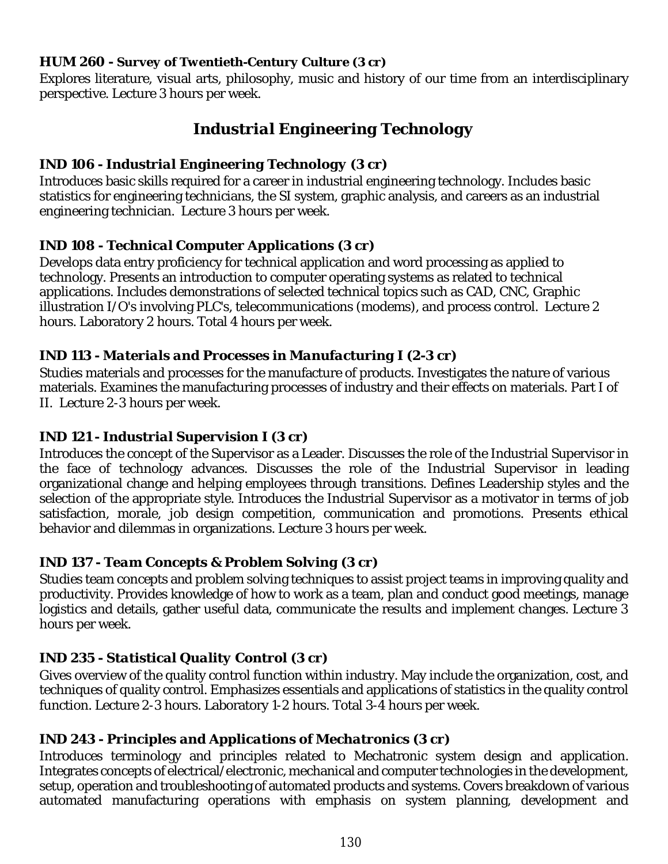#### *HUM 260 - Survey of Twentieth-Century Culture (3 cr)*

Explores literature, visual arts, philosophy, music and history of our time from an interdisciplinary perspective. Lecture 3 hours per week.

# *Industrial Engineering Technology*

# *IND 106 - Industrial Engineering Technology (3 cr)*

Introduces basic skills required for a career in industrial engineering technology. Includes basic statistics for engineering technicians, the SI system, graphic analysis, and careers as an industrial engineering technician. Lecture 3 hours per week.

## *IND 108 - Technical Computer Applications (3 cr)*

Develops data entry proficiency for technical application and word processing as applied to technology. Presents an introduction to computer operating systems as related to technical applications. Includes demonstrations of selected technical topics such as CAD, CNC, Graphic illustration I/O's involving PLC's, telecommunications (modems), and process control. Lecture 2 hours. Laboratory 2 hours. Total 4 hours per week.

## *IND 113 - Materials and Processes in Manufacturing I (2-3 cr)*

Studies materials and processes for the manufacture of products. Investigates the nature of various materials. Examines the manufacturing processes of industry and their effects on materials. Part I of II. Lecture 2-3 hours per week.

## *IND 121 - Industrial Supervision I (3 cr)*

Introduces the concept of the Supervisor as a Leader. Discusses the role of the Industrial Supervisor in the face of technology advances. Discusses the role of the Industrial Supervisor in leading organizational change and helping employees through transitions. Defines Leadership styles and the selection of the appropriate style. Introduces the Industrial Supervisor as a motivator in terms of job satisfaction, morale, job design competition, communication and promotions. Presents ethical behavior and dilemmas in organizations. Lecture 3 hours per week.

# *IND 137 - Team Concepts & Problem Solving (3 cr)*

Studies team concepts and problem solving techniques to assist project teams in improving quality and productivity. Provides knowledge of how to work as a team, plan and conduct good meetings, manage logistics and details, gather useful data, communicate the results and implement changes. Lecture 3 hours per week.

# *IND 235 - Statistical Quality Control (3 cr)*

Gives overview of the quality control function within industry. May include the organization, cost, and techniques of quality control. Emphasizes essentials and applications of statistics in the quality control function. Lecture 2-3 hours. Laboratory 1-2 hours. Total 3-4 hours per week.

## *IND 243 - Principles and Applications of Mechatronics (3 cr)*

Introduces terminology and principles related to Mechatronic system design and application. Integrates concepts of electrical/electronic, mechanical and computer technologies in the development, setup, operation and troubleshooting of automated products and systems. Covers breakdown of various automated manufacturing operations with emphasis on system planning, development and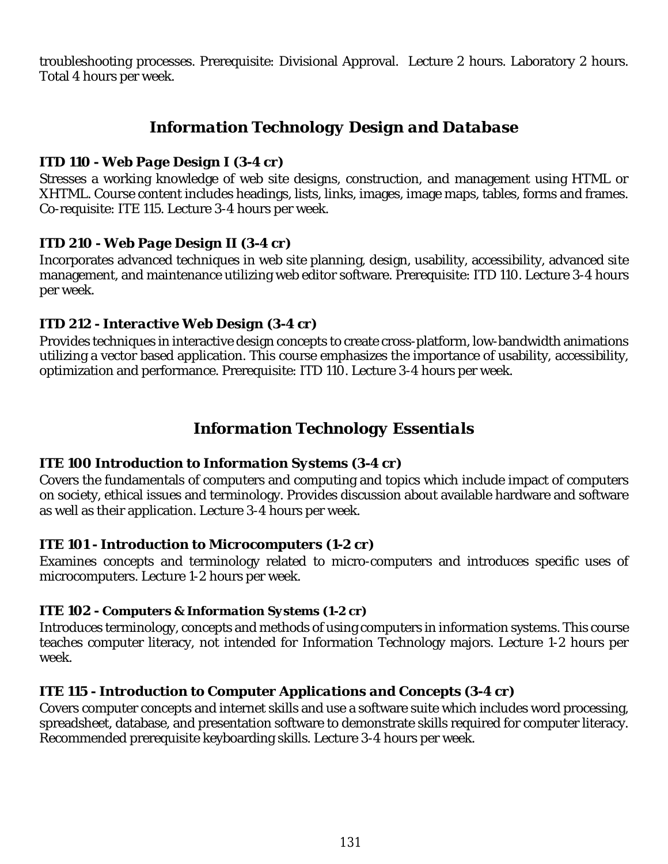troubleshooting processes. Prerequisite: Divisional Approval. Lecture 2 hours. Laboratory 2 hours. Total 4 hours per week.

# *Information Technology Design and Database*

#### *ITD 110 - Web Page Design I (3-4 cr)*

Stresses a working knowledge of web site designs, construction, and management using HTML or XHTML. Course content includes headings, lists, links, images, image maps, tables, forms and frames. Co-requisite: ITE 115. Lecture 3-4 hours per week.

#### *ITD 210 - Web Page Design II (3-4 cr)*

Incorporates advanced techniques in web site planning, design, usability, accessibility, advanced site management, and maintenance utilizing web editor software. Prerequisite: ITD 110. Lecture 3-4 hours per week.

#### *ITD 212 - Interactive Web Design (3-4 cr)*

Provides techniques in interactive design concepts to create cross-platform, low-bandwidth animations utilizing a vector based application. This course emphasizes the importance of usability, accessibility, optimization and performance. Prerequisite: ITD 110. Lecture 3-4 hours per week.

# *Information Technology Essentials*

## *ITE 100 Introduction to Information Systems (3-4 cr)*

Covers the fundamentals of computers and computing and topics which include impact of computers on society, ethical issues and terminology. Provides discussion about available hardware and software as well as their application. Lecture 3-4 hours per week.

## *ITE 101 - Introduction to Microcomputers (1-2 cr)*

Examines concepts and terminology related to micro-computers and introduces specific uses of microcomputers. Lecture 1-2 hours per week.

#### *ITE 102 - Computers & Information Systems (1-2 cr)*

Introduces terminology, concepts and methods of using computers in information systems. This course teaches computer literacy, not intended for Information Technology majors. Lecture 1-2 hours per week.

## *ITE 115 - Introduction to Computer Applications and Concepts (3-4 cr)*

Covers computer concepts and internet skills and use a software suite which includes word processing, spreadsheet, database, and presentation software to demonstrate skills required for computer literacy. Recommended prerequisite keyboarding skills. Lecture 3-4 hours per week.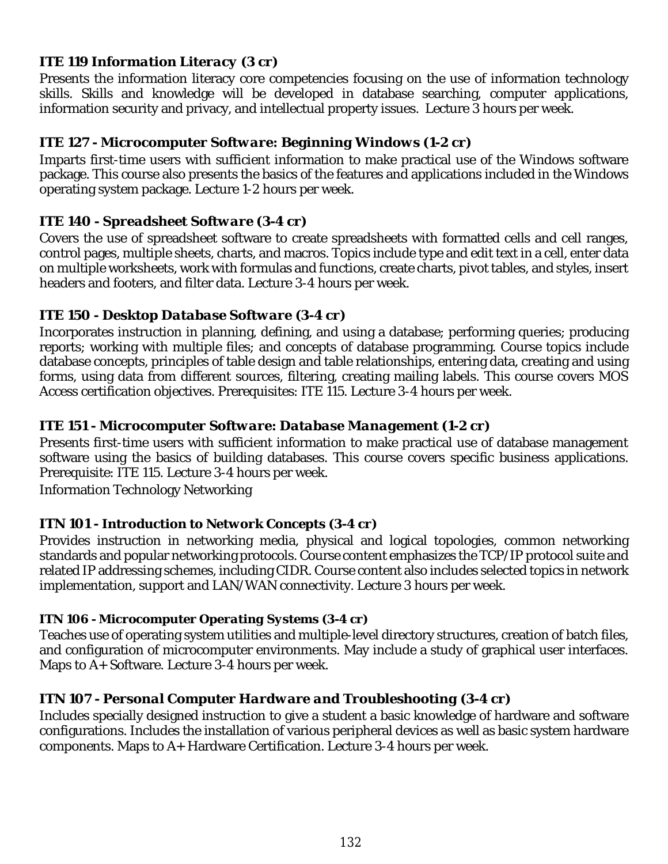## *ITE 119 Information Literacy (3 cr)*

Presents the information literacy core competencies focusing on the use of information technology skills. Skills and knowledge will be developed in database searching, computer applications, information security and privacy, and intellectual property issues. Lecture 3 hours per week.

## *ITE 127 - Microcomputer Software: Beginning Windows (1-2 cr)*

Imparts first-time users with sufficient information to make practical use of the Windows software package. This course also presents the basics of the features and applications included in the Windows operating system package. Lecture 1-2 hours per week.

## *ITE 140 - Spreadsheet Software (3-4 cr)*

Covers the use of spreadsheet software to create spreadsheets with formatted cells and cell ranges, control pages, multiple sheets, charts, and macros. Topics include type and edit text in a cell, enter data on multiple worksheets, work with formulas and functions, create charts, pivot tables, and styles, insert headers and footers, and filter data. Lecture 3-4 hours per week.

## *ITE 150 - Desktop Database Software (3-4 cr)*

Incorporates instruction in planning, defining, and using a database; performing queries; producing reports; working with multiple files; and concepts of database programming. Course topics include database concepts, principles of table design and table relationships, entering data, creating and using forms, using data from different sources, filtering, creating mailing labels. This course covers MOS Access certification objectives. Prerequisites: ITE 115. Lecture 3-4 hours per week.

# *ITE 151 - Microcomputer Software: Database Management (1-2 cr)*

Presents first-time users with sufficient information to make practical use of database management software using the basics of building databases. This course covers specific business applications. Prerequisite: ITE 115. Lecture 3-4 hours per week.

Information Technology Networking

## *ITN 101 - Introduction to Network Concepts (3-4 cr)*

Provides instruction in networking media, physical and logical topologies, common networking standards and popular networking protocols. Course content emphasizes the TCP/IP protocol suite and related IP addressing schemes, including CIDR. Course content also includes selected topics in network implementation, support and LAN/WAN connectivity. Lecture 3 hours per week.

## *ITN 106 - Microcomputer Operating Systems (3-4 cr)*

Teaches use of operating system utilities and multiple-level directory structures, creation of batch files, and configuration of microcomputer environments. May include a study of graphical user interfaces. Maps to A+ Software. Lecture 3-4 hours per week.

## *ITN 107 - Personal Computer Hardware and Troubleshooting (3-4 cr)*

Includes specially designed instruction to give a student a basic knowledge of hardware and software configurations. Includes the installation of various peripheral devices as well as basic system hardware components. Maps to A+ Hardware Certification. Lecture 3-4 hours per week.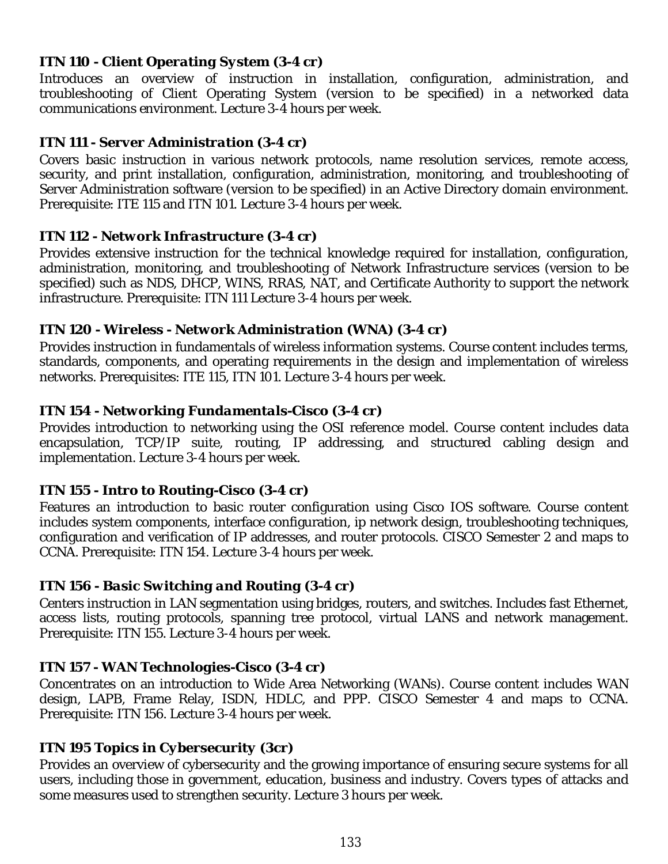#### *ITN 110 - Client Operating System (3-4 cr)*

Introduces an overview of instruction in installation, configuration, administration, and troubleshooting of Client Operating System (version to be specified) in a networked data communications environment. Lecture 3-4 hours per week.

## *ITN 111 - Server Administration (3-4 cr)*

Covers basic instruction in various network protocols, name resolution services, remote access, security, and print installation, configuration, administration, monitoring, and troubleshooting of Server Administration software (version to be specified) in an Active Directory domain environment. Prerequisite: ITE 115 and ITN 101. Lecture 3-4 hours per week.

#### *ITN 112 - Network Infrastructure (3-4 cr)*

Provides extensive instruction for the technical knowledge required for installation, configuration, administration, monitoring, and troubleshooting of Network Infrastructure services (version to be specified) such as NDS, DHCP, WINS, RRAS, NAT, and Certificate Authority to support the network infrastructure. Prerequisite: ITN 111 Lecture 3-4 hours per week.

## *ITN 120 - Wireless - Network Administration (WNA) (3-4 cr)*

Provides instruction in fundamentals of wireless information systems. Course content includes terms, standards, components, and operating requirements in the design and implementation of wireless networks. Prerequisites: ITE 115, ITN 101. Lecture 3-4 hours per week.

## *ITN 154 - Networking Fundamentals-Cisco (3-4 cr)*

Provides introduction to networking using the OSI reference model. Course content includes data encapsulation, TCP/IP suite, routing, IP addressing, and structured cabling design and implementation. Lecture 3-4 hours per week.

## *ITN 155 - Intro to Routing-Cisco (3-4 cr)*

Features an introduction to basic router configuration using Cisco IOS software. Course content includes system components, interface configuration, ip network design, troubleshooting techniques, configuration and verification of IP addresses, and router protocols. CISCO Semester 2 and maps to CCNA. Prerequisite: ITN 154. Lecture 3-4 hours per week.

#### *ITN 156 - Basic Switching and Routing (3-4 cr)*

Centers instruction in LAN segmentation using bridges, routers, and switches. Includes fast Ethernet, access lists, routing protocols, spanning tree protocol, virtual LANS and network management. Prerequisite: ITN 155. Lecture 3-4 hours per week.

## *ITN 157 - WAN Technologies-Cisco (3-4 cr)*

Concentrates on an introduction to Wide Area Networking (WANs). Course content includes WAN design, LAPB, Frame Relay, ISDN, HDLC, and PPP. CISCO Semester 4 and maps to CCNA. Prerequisite: ITN 156. Lecture 3-4 hours per week.

## *ITN 195 Topics in Cybersecurity (3cr)*

Provides an overview of cybersecurity and the growing importance of ensuring secure systems for all users, including those in government, education, business and industry. Covers types of attacks and some measures used to strengthen security. Lecture 3 hours per week.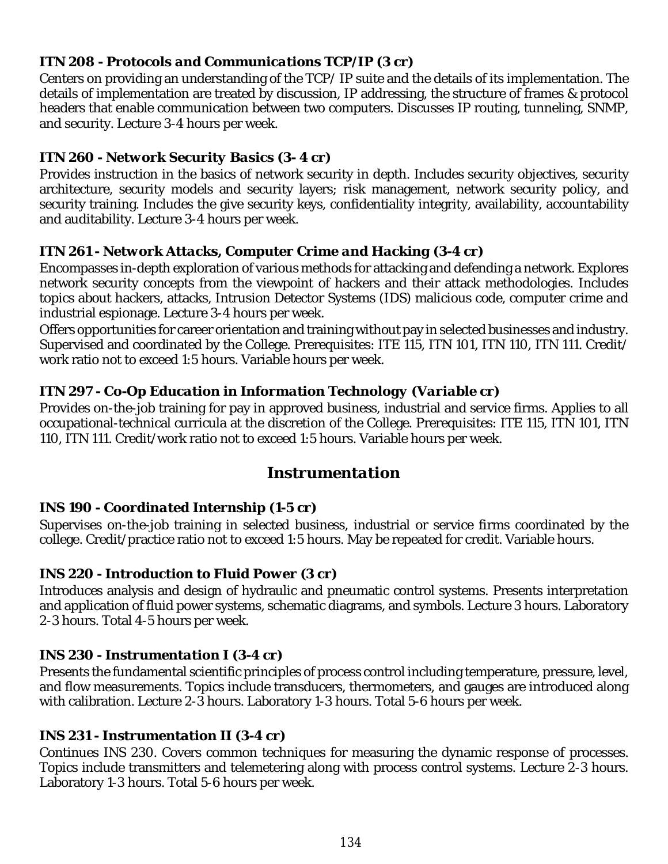## *ITN 208 - Protocols and Communications TCP/IP (3 cr)*

Centers on providing an understanding of the TCP/ IP suite and the details of its implementation. The details of implementation are treated by discussion, IP addressing, the structure of frames & protocol headers that enable communication between two computers. Discusses IP routing, tunneling, SNMP, and security. Lecture 3-4 hours per week.

# *ITN 260 - Network Security Basics (3- 4 cr)*

Provides instruction in the basics of network security in depth. Includes security objectives, security architecture, security models and security layers; risk management, network security policy, and security training. Includes the give security keys, confidentiality integrity, availability, accountability and auditability. Lecture 3-4 hours per week.

## *ITN 261 - Network Attacks, Computer Crime and Hacking (3-4 cr)*

Encompasses in-depth exploration of various methods for attacking and defending a network. Explores network security concepts from the viewpoint of hackers and their attack methodologies. Includes topics about hackers, attacks, Intrusion Detector Systems (IDS) malicious code, computer crime and industrial espionage. Lecture 3-4 hours per week.

Offers opportunities for career orientation and training without pay in selected businesses and industry. Supervised and coordinated by the College. Prerequisites: ITE 115, ITN 101, ITN 110, ITN 111. Credit/ work ratio not to exceed 1:5 hours. Variable hours per week.

## *ITN 297 - Co-Op Education in Information Technology (Variable cr)*

Provides on-the-job training for pay in approved business, industrial and service firms. Applies to all occupational-technical curricula at the discretion of the College. Prerequisites: ITE 115, ITN 101, ITN 110, ITN 111. Credit/work ratio not to exceed 1:5 hours. Variable hours per week.

# *Instrumentation*

## *INS 190 - Coordinated Internship (1-5 cr)*

Supervises on-the-job training in selected business, industrial or service firms coordinated by the college. Credit/practice ratio not to exceed 1:5 hours. May be repeated for credit. Variable hours.

## *INS 220 - Introduction to Fluid Power (3 cr)*

Introduces analysis and design of hydraulic and pneumatic control systems. Presents interpretation and application of fluid power systems, schematic diagrams, and symbols. Lecture 3 hours. Laboratory 2-3 hours. Total 4-5 hours per week.

## *INS 230 - Instrumentation I (3-4 cr)*

Presents the fundamental scientific principles of process control including temperature, pressure, level, and flow measurements. Topics include transducers, thermometers, and gauges are introduced along with calibration. Lecture 2-3 hours. Laboratory 1-3 hours. Total 5-6 hours per week.

## *INS 231 - Instrumentation II (3-4 cr)*

Continues INS 230. Covers common techniques for measuring the dynamic response of processes. Topics include transmitters and telemetering along with process control systems. Lecture 2-3 hours. Laboratory 1-3 hours. Total 5-6 hours per week.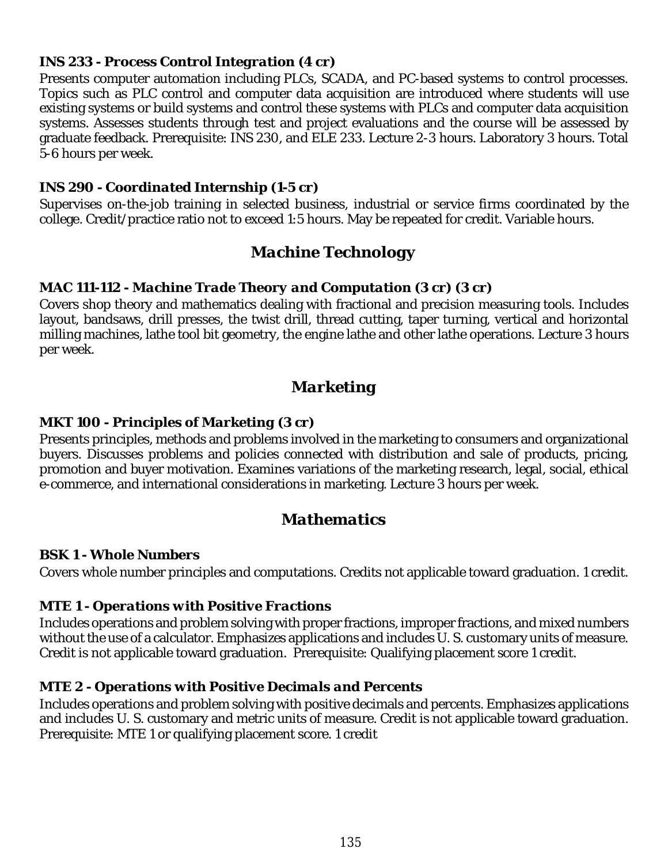#### *INS 233 - Process Control Integration (4 cr)*

Presents computer automation including PLCs, SCADA, and PC-based systems to control processes. Topics such as PLC control and computer data acquisition are introduced where students will use existing systems or build systems and control these systems with PLCs and computer data acquisition systems. Assesses students through test and project evaluations and the course will be assessed by graduate feedback. Prerequisite: INS 230, and ELE 233. Lecture 2-3 hours. Laboratory 3 hours. Total 5-6 hours per week.

#### *INS 290 - Coordinated Internship (1-5 cr)*

Supervises on-the-job training in selected business, industrial or service firms coordinated by the college. Credit/practice ratio not to exceed 1:5 hours. May be repeated for credit. Variable hours.

# *Machine Technology*

#### *MAC 111-112 - Machine Trade Theory and Computation (3 cr) (3 cr)*

Covers shop theory and mathematics dealing with fractional and precision measuring tools. Includes layout, bandsaws, drill presses, the twist drill, thread cutting, taper turning, vertical and horizontal milling machines, lathe tool bit geometry, the engine lathe and other lathe operations. Lecture 3 hours per week.

# *Marketing*

#### *MKT 100 - Principles of Marketing (3 cr)*

Presents principles, methods and problems involved in the marketing to consumers and organizational buyers. Discusses problems and policies connected with distribution and sale of products, pricing, promotion and buyer motivation. Examines variations of the marketing research, legal, social, ethical e-commerce, and international considerations in marketing. Lecture 3 hours per week.

# *Mathematics*

#### *BSK 1 - Whole Numbers*

Covers whole number principles and computations. Credits not applicable toward graduation. 1 credit.

#### *MTE 1 - Operations with Positive Fractions*

Includes operations and problem solving with proper fractions, improper fractions, and mixed numbers without the use of a calculator. Emphasizes applications and includes U. S. customary units of measure. Credit is not applicable toward graduation. Prerequisite: Qualifying placement score 1 credit.

#### *MTE 2 - Operations with Positive Decimals and Percents*

Includes operations and problem solving with positive decimals and percents. Emphasizes applications and includes U. S. customary and metric units of measure. Credit is not applicable toward graduation. Prerequisite: MTE 1 or qualifying placement score. 1 credit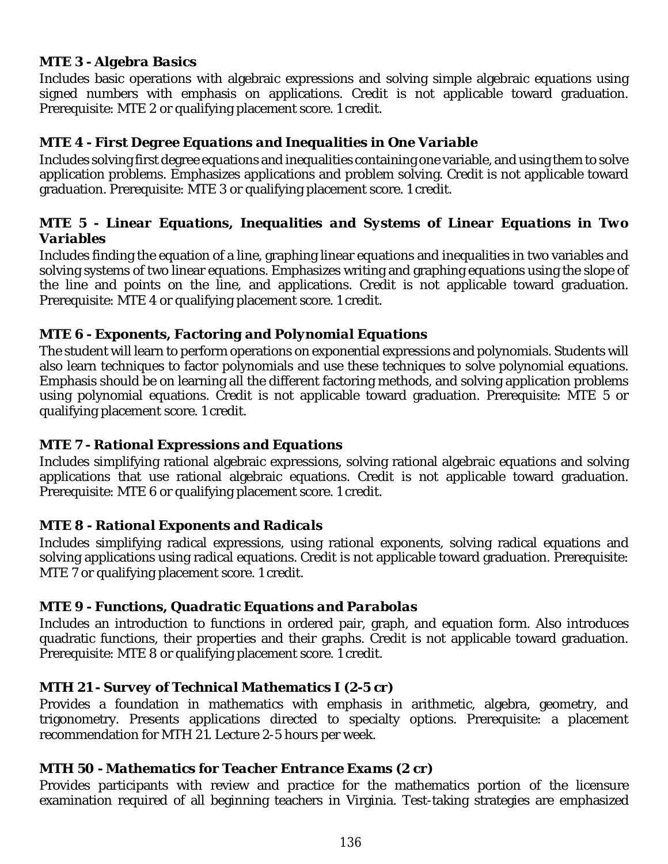#### *MTE 3 - Algebra Basics*

Includes basic operations with algebraic expressions and solving simple algebraic equations using signed numbers with emphasis on applications. Credit is not applicable toward graduation. Prerequisite: MTE 2 or qualifying placement score. 1 credit.

#### *MTE 4 - First Degree Equations and Inequalities in One Variable*

Includes solving first degree equations and inequalities containing one variable, and using them to solve application problems. Emphasizes applications and problem solving. Credit is not applicable toward graduation. Prerequisite: MTE 3 or qualifying placement score. 1 credit.

#### *MTE 5 - Linear Equations, Inequalities and Systems of Linear Equations in Two Variables*

Includes finding the equation of a line, graphing linear equations and inequalities in two variables and solving systems of two linear equations. Emphasizes writing and graphing equations using the slope of the line and points on the line, and applications. Credit is not applicable toward graduation. Prerequisite: MTE 4 or qualifying placement score. 1 credit.

#### *MTE 6 - Exponents, Factoring and Polynomial Equations*

The student will learn to perform operations on exponential expressions and polynomials. Students will also learn techniques to factor polynomials and use these techniques to solve polynomial equations. Emphasis should be on learning all the different factoring methods, and solving application problems using polynomial equations. Credit is not applicable toward graduation. Prerequisite: MTE 5 or qualifying placement score. 1 credit.

## *MTE 7 - Rational Expressions and Equations*

Includes simplifying rational algebraic expressions, solving rational algebraic equations and solving applications that use rational algebraic equations. Credit is not applicable toward graduation. Prerequisite: MTE 6 or qualifying placement score. 1 credit.

#### *MTE 8 - Rational Exponents and Radicals*

Includes simplifying radical expressions, using rational exponents, solving radical equations and solving applications using radical equations. Credit is not applicable toward graduation. Prerequisite: MTE 7 or qualifying placement score. 1 credit.

## *MTE 9 - Functions, Quadratic Equations and Parabolas*

Includes an introduction to functions in ordered pair, graph, and equation form. Also introduces quadratic functions, their properties and their graphs. Credit is not applicable toward graduation. Prerequisite: MTE 8 or qualifying placement score. 1 credit.

#### *MTH 21 - Survey of Technical Mathematics I (2-5 cr)*

Provides a foundation in mathematics with emphasis in arithmetic, algebra, geometry, and trigonometry. Presents applications directed to specialty options. Prerequisite: a placement recommendation for MTH 21. Lecture 2-5 hours per week.

#### *MTH 50 - Mathematics for Teacher Entrance Exams (2 cr)*

Provides participants with review and practice for the mathematics portion of the licensure examination required of all beginning teachers in Virginia. Test-taking strategies are emphasized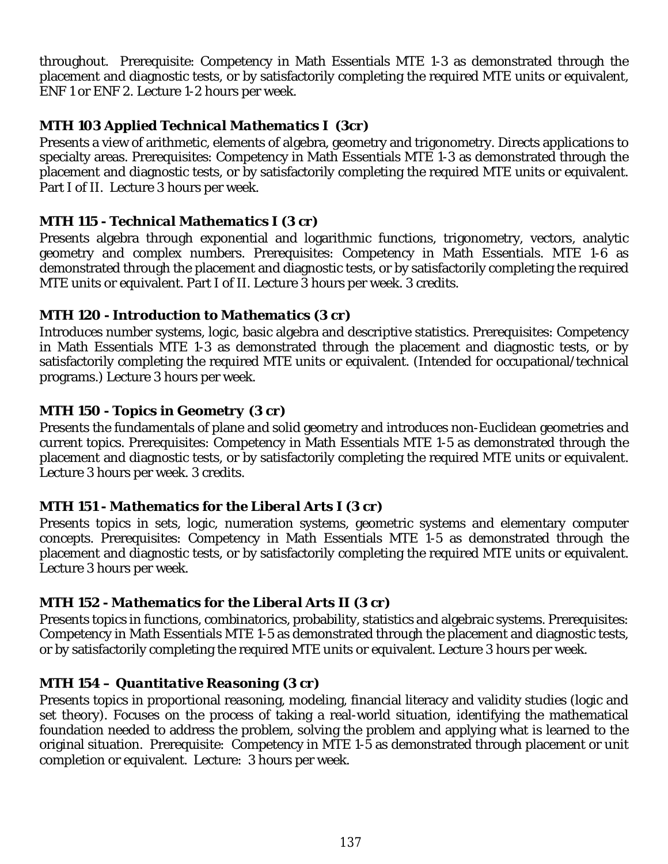throughout. Prerequisite: Competency in Math Essentials MTE 1-3 as demonstrated through the placement and diagnostic tests, or by satisfactorily completing the required MTE units or equivalent, ENF 1 or ENF 2. Lecture 1-2 hours per week.

# *MTH 103 Applied Technical Mathematics I (3cr)*

Presents a view of arithmetic, elements of algebra, geometry and trigonometry. Directs applications to specialty areas. Prerequisites: Competency in Math Essentials MTE 1-3 as demonstrated through the placement and diagnostic tests, or by satisfactorily completing the required MTE units or equivalent. Part I of II. Lecture 3 hours per week.

## *MTH 115 - Technical Mathematics I (3 cr)*

Presents algebra through exponential and logarithmic functions, trigonometry, vectors, analytic geometry and complex numbers. Prerequisites: Competency in Math Essentials. MTE 1-6 as demonstrated through the placement and diagnostic tests, or by satisfactorily completing the required MTE units or equivalent. Part I of II. Lecture 3 hours per week. 3 credits.

## *MTH 120 - Introduction to Mathematics (3 cr)*

Introduces number systems, logic, basic algebra and descriptive statistics. Prerequisites: Competency in Math Essentials MTE 1-3 as demonstrated through the placement and diagnostic tests, or by satisfactorily completing the required MTE units or equivalent. (Intended for occupational/technical programs.) Lecture 3 hours per week.

## *MTH 150 - Topics in Geometry (3 cr)*

Presents the fundamentals of plane and solid geometry and introduces non-Euclidean geometries and current topics. Prerequisites: Competency in Math Essentials MTE 1-5 as demonstrated through the placement and diagnostic tests, or by satisfactorily completing the required MTE units or equivalent. Lecture 3 hours per week. 3 credits.

## *MTH 151 - Mathematics for the Liberal Arts I (3 cr)*

Presents topics in sets, logic, numeration systems, geometric systems and elementary computer concepts. Prerequisites: Competency in Math Essentials MTE 1-5 as demonstrated through the placement and diagnostic tests, or by satisfactorily completing the required MTE units or equivalent. Lecture 3 hours per week.

## *MTH 152 - Mathematics for the Liberal Arts II (3 cr)*

Presents topics in functions, combinatorics, probability, statistics and algebraic systems. Prerequisites: Competency in Math Essentials MTE 1-5 as demonstrated through the placement and diagnostic tests, or by satisfactorily completing the required MTE units or equivalent. Lecture 3 hours per week.

## *MTH 154 – Quantitative Reasoning (3 cr)*

Presents topics in proportional reasoning, modeling, financial literacy and validity studies (logic and set theory). Focuses on the process of taking a real-world situation, identifying the mathematical foundation needed to address the problem, solving the problem and applying what is learned to the original situation. Prerequisite: Competency in MTE 1-5 as demonstrated through placement or unit completion or equivalent. Lecture: 3 hours per week.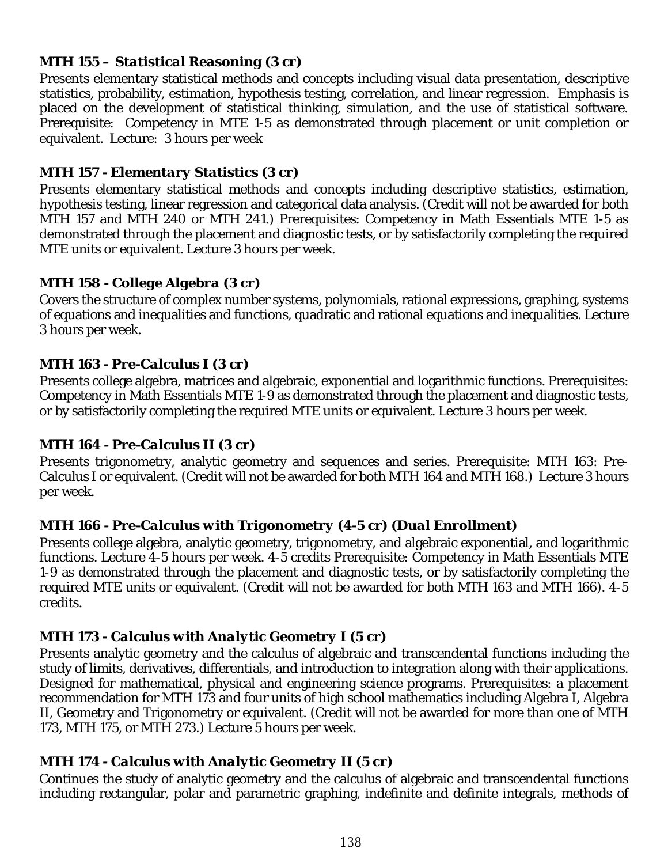## *MTH 155 – Statistical Reasoning (3 cr)*

Presents elementary statistical methods and concepts including visual data presentation, descriptive statistics, probability, estimation, hypothesis testing, correlation, and linear regression. Emphasis is placed on the development of statistical thinking, simulation, and the use of statistical software. Prerequisite: Competency in MTE 1-5 as demonstrated through placement or unit completion or equivalent. Lecture: 3 hours per week

## *MTH 157 - Elementary Statistics (3 cr)*

Presents elementary statistical methods and concepts including descriptive statistics, estimation, hypothesis testing, linear regression and categorical data analysis. (Credit will not be awarded for both MTH 157 and MTH 240 or MTH 241.) Prerequisites: Competency in Math Essentials MTE 1-5 as demonstrated through the placement and diagnostic tests, or by satisfactorily completing the required MTE units or equivalent. Lecture 3 hours per week.

# *MTH 158 - College Algebra (3 cr)*

Covers the structure of complex number systems, polynomials, rational expressions, graphing, systems of equations and inequalities and functions, quadratic and rational equations and inequalities. Lecture 3 hours per week.

## *MTH 163 - Pre-Calculus I (3 cr)*

Presents college algebra, matrices and algebraic, exponential and logarithmic functions. Prerequisites: Competency in Math Essentials MTE 1-9 as demonstrated through the placement and diagnostic tests, or by satisfactorily completing the required MTE units or equivalent. Lecture 3 hours per week.

## *MTH 164 - Pre-Calculus II (3 cr)*

Presents trigonometry, analytic geometry and sequences and series. Prerequisite: MTH 163: Pre-Calculus I or equivalent. (Credit will not be awarded for both MTH 164 and MTH 168.) Lecture 3 hours per week.

# *MTH 166 - Pre-Calculus with Trigonometry (4-5 cr) (Dual Enrollment)*

Presents college algebra, analytic geometry, trigonometry, and algebraic exponential, and logarithmic functions. Lecture 4-5 hours per week. 4-5 credits Prerequisite: Competency in Math Essentials MTE 1-9 as demonstrated through the placement and diagnostic tests, or by satisfactorily completing the required MTE units or equivalent. (Credit will not be awarded for both MTH 163 and MTH 166). 4-5 credits.

# *MTH 173 - Calculus with Analytic Geometry I (5 cr)*

Presents analytic geometry and the calculus of algebraic and transcendental functions including the study of limits, derivatives, differentials, and introduction to integration along with their applications. Designed for mathematical, physical and engineering science programs. Prerequisites: a placement recommendation for MTH 173 and four units of high school mathematics including Algebra I, Algebra II, Geometry and Trigonometry or equivalent. (Credit will not be awarded for more than one of MTH 173, MTH 175, or MTH 273.) Lecture 5 hours per week.

## *MTH 174 - Calculus with Analytic Geometry II (5 cr)*

Continues the study of analytic geometry and the calculus of algebraic and transcendental functions including rectangular, polar and parametric graphing, indefinite and definite integrals, methods of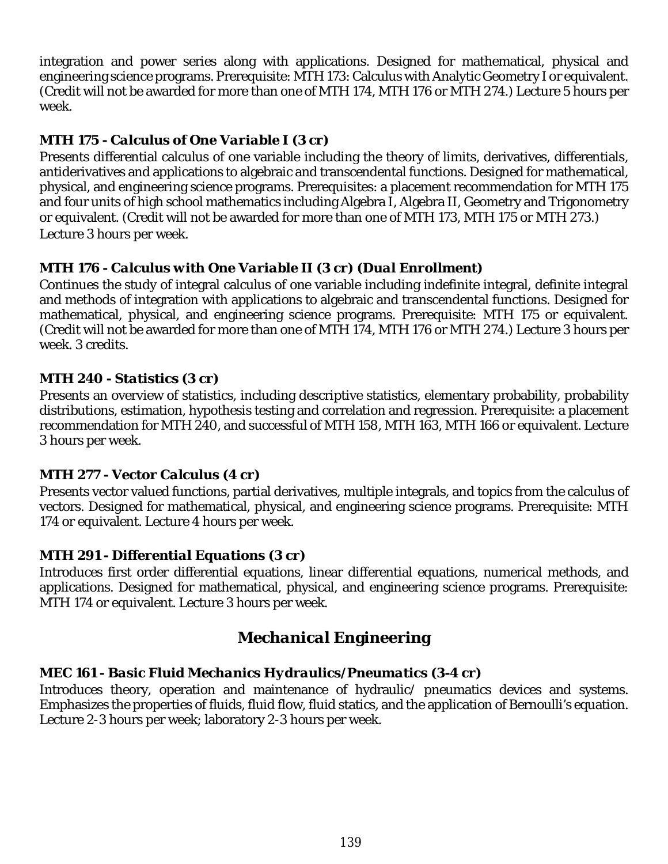integration and power series along with applications. Designed for mathematical, physical and engineering science programs. Prerequisite: MTH 173: Calculus with Analytic Geometry I or equivalent. (Credit will not be awarded for more than one of MTH 174, MTH 176 or MTH 274.) Lecture 5 hours per week.

# *MTH 175 - Calculus of One Variable I (3 cr)*

Presents differential calculus of one variable including the theory of limits, derivatives, differentials, antiderivatives and applications to algebraic and transcendental functions. Designed for mathematical, physical, and engineering science programs. Prerequisites: a placement recommendation for MTH 175 and four units of high school mathematics including Algebra I, Algebra II, Geometry and Trigonometry or equivalent. (Credit will not be awarded for more than one of MTH 173, MTH 175 or MTH 273.) Lecture 3 hours per week.

# *MTH 176 - Calculus with One Variable II (3 cr) (Dual Enrollment)*

Continues the study of integral calculus of one variable including indefinite integral, definite integral and methods of integration with applications to algebraic and transcendental functions. Designed for mathematical, physical, and engineering science programs. Prerequisite: MTH 175 or equivalent. (Credit will not be awarded for more than one of MTH 174, MTH 176 or MTH 274.) Lecture 3 hours per week. 3 credits.

## *MTH 240 - Statistics (3 cr)*

Presents an overview of statistics, including descriptive statistics, elementary probability, probability distributions, estimation, hypothesis testing and correlation and regression. Prerequisite: a placement recommendation for MTH 240, and successful of MTH 158, MTH 163, MTH 166 or equivalent. Lecture 3 hours per week.

## *MTH 277 - Vector Calculus (4 cr)*

Presents vector valued functions, partial derivatives, multiple integrals, and topics from the calculus of vectors. Designed for mathematical, physical, and engineering science programs. Prerequisite: MTH 174 or equivalent. Lecture 4 hours per week.

## *MTH 291 - Differential Equations (3 cr)*

Introduces first order differential equations, linear differential equations, numerical methods, and applications. Designed for mathematical, physical, and engineering science programs. Prerequisite: MTH 174 or equivalent. Lecture 3 hours per week.

# *Mechanical* **Engineering**

## *MEC 161 - Basic Fluid Mechanics Hydraulics/Pneumatics (3-4 cr)*

Introduces theory, operation and maintenance of hydraulic/ pneumatics devices and systems. Emphasizes the properties of fluids, fluid flow, fluid statics, and the application of Bernoulli's equation. Lecture 2-3 hours per week; laboratory 2-3 hours per week.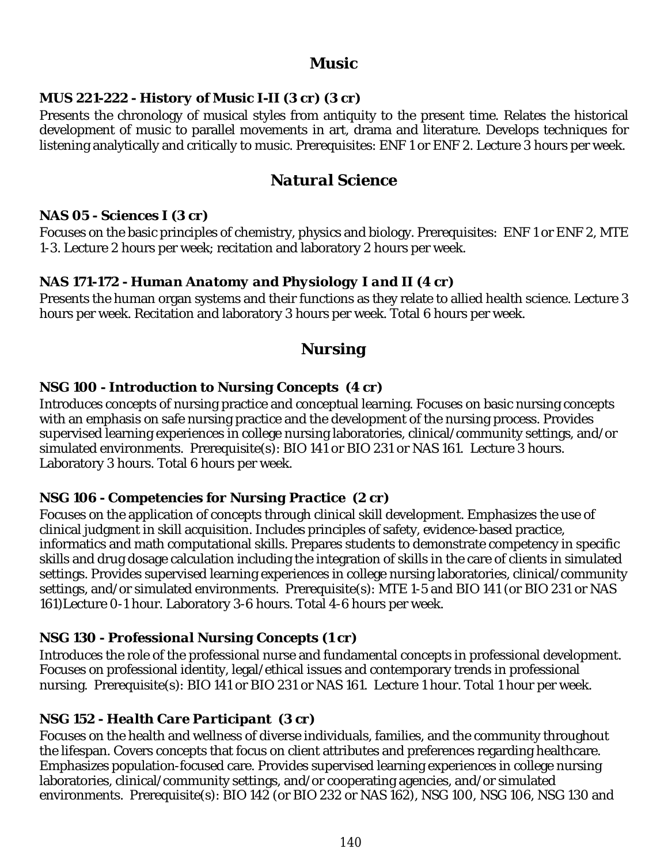## *Music*

## *MUS 221-222 - History of Music I-II (3 cr) (3 cr)*

Presents the chronology of musical styles from antiquity to the present time. Relates the historical development of music to parallel movements in art, drama and literature. Develops techniques for listening analytically and critically to music. Prerequisites: ENF 1 or ENF 2. Lecture 3 hours per week.

# *Natural Science*

#### *NAS 05 - Sciences I (3 cr)*

Focuses on the basic principles of chemistry, physics and biology. Prerequisites: ENF 1 or ENF 2, MTE 1-3. Lecture 2 hours per week; recitation and laboratory 2 hours per week.

## *NAS 171-172 - Human Anatomy and Physiology I and II (4 cr)*

Presents the human organ systems and their functions as they relate to allied health science. Lecture 3 hours per week. Recitation and laboratory 3 hours per week. Total 6 hours per week.

# *Nursing*

## *NSG 100 - Introduction to Nursing Concepts (4 cr)*

Introduces concepts of nursing practice and conceptual learning. Focuses on basic nursing concepts with an emphasis on safe nursing practice and the development of the nursing process. Provides supervised learning experiences in college nursing laboratories, clinical/community settings, and/or simulated environments. Prerequisite(s): BIO 141 or BIO 231 or NAS 161. Lecture 3 hours. Laboratory 3 hours. Total 6 hours per week.

## *NSG 106 - Competencies for Nursing Practice (2 cr)*

Focuses on the application of concepts through clinical skill development. Emphasizes the use of clinical judgment in skill acquisition. Includes principles of safety, evidence-based practice, informatics and math computational skills. Prepares students to demonstrate competency in specific skills and drug dosage calculation including the integration of skills in the care of clients in simulated settings. Provides supervised learning experiences in college nursing laboratories, clinical/community settings, and/or simulated environments. Prerequisite(s): MTE 1-5 and BIO 141 (or BIO 231 or NAS 161)Lecture 0-1 hour. Laboratory 3-6 hours. Total 4-6 hours per week.

## *NSG 130 - Professional Nursing Concepts (1 cr)*

Introduces the role of the professional nurse and fundamental concepts in professional development. Focuses on professional identity, legal/ethical issues and contemporary trends in professional nursing. Prerequisite(s): BIO 141 or BIO 231 or NAS 161. Lecture 1 hour. Total 1 hour per week.

## *NSG 152 - Health Care Participant (3 cr)*

Focuses on the health and wellness of diverse individuals, families, and the community throughout the lifespan. Covers concepts that focus on client attributes and preferences regarding healthcare. Emphasizes population-focused care. Provides supervised learning experiences in college nursing laboratories, clinical/community settings, and/or cooperating agencies, and/or simulated environments. Prerequisite(s): BIO 142 (or BIO 232 or NAS 162), NSG 100, NSG 106, NSG 130 and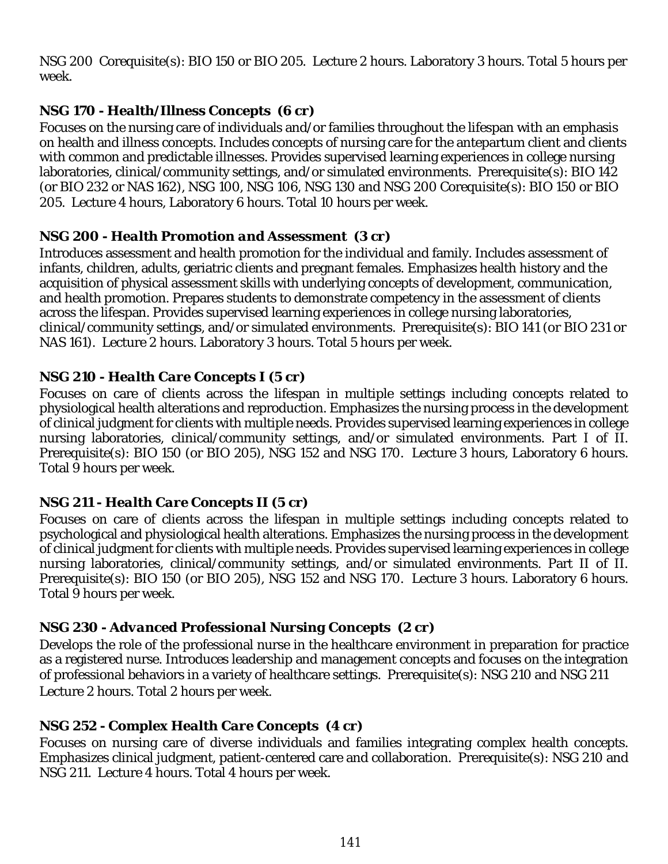NSG 200 Corequisite(s): BIO 150 or BIO 205. Lecture 2 hours. Laboratory 3 hours. Total 5 hours per week.

# *NSG 170 - Health/Illness Concepts (6 cr)*

Focuses on the nursing care of individuals and/or families throughout the lifespan with an emphasis on health and illness concepts. Includes concepts of nursing care for the antepartum client and clients with common and predictable illnesses. Provides supervised learning experiences in college nursing laboratories, clinical/community settings, and/or simulated environments. Prerequisite(s): BIO 142 (or BIO 232 or NAS 162), NSG 100, NSG 106, NSG 130 and NSG 200 Corequisite(s): BIO 150 or BIO 205. Lecture 4 hours, Laboratory 6 hours. Total 10 hours per week.

#### *NSG 200 - Health Promotion and Assessment (3 cr)*

Introduces assessment and health promotion for the individual and family. Includes assessment of infants, children, adults, geriatric clients and pregnant females. Emphasizes health history and the acquisition of physical assessment skills with underlying concepts of development, communication, and health promotion. Prepares students to demonstrate competency in the assessment of clients across the lifespan. Provides supervised learning experiences in college nursing laboratories, clinical/community settings, and/or simulated environments. Prerequisite(s): BIO 141 (or BIO 231 or NAS 161). Lecture 2 hours. Laboratory 3 hours. Total 5 hours per week.

## *NSG 210 - Health Care Concepts I (5 cr)*

Focuses on care of clients across the lifespan in multiple settings including concepts related to physiological health alterations and reproduction. Emphasizes the nursing process in the development of clinical judgment for clients with multiple needs. Provides supervised learning experiences in college nursing laboratories, clinical/community settings, and/or simulated environments. Part I of II. Prerequisite(s): BIO 150 (or BIO 205), NSG 152 and NSG 170. Lecture 3 hours, Laboratory 6 hours. Total 9 hours per week.

## *NSG 211 - Health Care Concepts II (5 cr)*

Focuses on care of clients across the lifespan in multiple settings including concepts related to psychological and physiological health alterations. Emphasizes the nursing process in the development of clinical judgment for clients with multiple needs. Provides supervised learning experiences in college nursing laboratories, clinical/community settings, and/or simulated environments. Part II of II. Prerequisite(s): BIO 150 (or BIO 205), NSG 152 and NSG 170. Lecture 3 hours. Laboratory 6 hours. Total 9 hours per week.

## *NSG 230 - Advanced Professional Nursing Concepts (2 cr)*

Develops the role of the professional nurse in the healthcare environment in preparation for practice as a registered nurse. Introduces leadership and management concepts and focuses on the integration of professional behaviors in a variety of healthcare settings. Prerequisite(s): NSG 210 and NSG 211 Lecture 2 hours. Total 2 hours per week.

## *NSG 252 - Complex Health Care Concepts (4 cr)*

Focuses on nursing care of diverse individuals and families integrating complex health concepts. Emphasizes clinical judgment, patient-centered care and collaboration. Prerequisite(s): NSG 210 and NSG 211. Lecture 4 hours. Total 4 hours per week.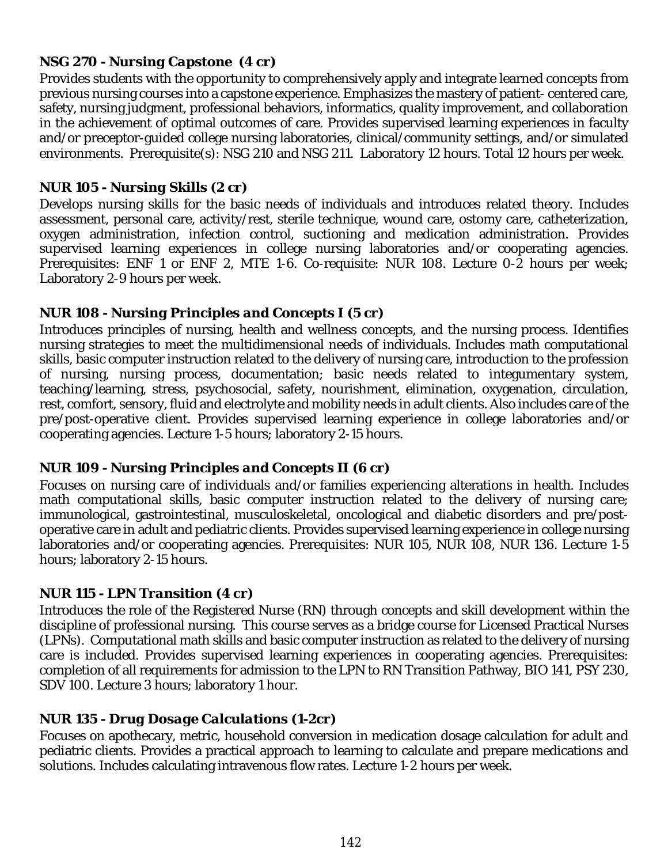## *NSG 270 - Nursing Capstone (4 cr)*

Provides students with the opportunity to comprehensively apply and integrate learned concepts from previous nursing courses into a capstone experience. Emphasizes the mastery of patient- centered care, safety, nursing judgment, professional behaviors, informatics, quality improvement, and collaboration in the achievement of optimal outcomes of care. Provides supervised learning experiences in faculty and/or preceptor-guided college nursing laboratories, clinical/community settings, and/or simulated environments. Prerequisite(s): NSG 210 and NSG 211. Laboratory 12 hours. Total 12 hours per week.

#### *NUR 105 - Nursing Skills (2 cr)*

Develops nursing skills for the basic needs of individuals and introduces related theory. Includes assessment, personal care, activity/rest, sterile technique, wound care, ostomy care, catheterization, oxygen administration, infection control, suctioning and medication administration. Provides supervised learning experiences in college nursing laboratories and/or cooperating agencies. Prerequisites: ENF 1 or ENF 2, MTE 1-6. Co-requisite: NUR 108. Lecture 0-2 hours per week; Laboratory 2-9 hours per week.

## *NUR 108 - Nursing Principles and Concepts I (5 cr)*

Introduces principles of nursing, health and wellness concepts, and the nursing process. Identifies nursing strategies to meet the multidimensional needs of individuals. Includes math computational skills, basic computer instruction related to the delivery of nursing care, introduction to the profession of nursing, nursing process, documentation; basic needs related to integumentary system, teaching/learning, stress, psychosocial, safety, nourishment, elimination, oxygenation, circulation, rest, comfort, sensory, fluid and electrolyte and mobility needs in adult clients. Also includes care of the pre/post-operative client. Provides supervised learning experience in college laboratories and/or cooperating agencies. Lecture 1-5 hours; laboratory 2-15 hours.

## *NUR 109 - Nursing Principles and Concepts II (6 cr)*

Focuses on nursing care of individuals and/or families experiencing alterations in health. Includes math computational skills, basic computer instruction related to the delivery of nursing care; immunological, gastrointestinal, musculoskeletal, oncological and diabetic disorders and pre/postoperative care in adult and pediatric clients. Provides supervised learning experience in college nursing laboratories and/or cooperating agencies. Prerequisites: NUR 105, NUR 108, NUR 136. Lecture 1-5 hours; laboratory 2-15 hours.

## *NUR 115 - LPN Transition (4 cr)*

Introduces the role of the Registered Nurse (RN) through concepts and skill development within the discipline of professional nursing. This course serves as a bridge course for Licensed Practical Nurses (LPNs). Computational math skills and basic computer instruction as related to the delivery of nursing care is included. Provides supervised learning experiences in cooperating agencies. Prerequisites: completion of all requirements for admission to the LPN to RN Transition Pathway, BIO 141, PSY 230, SDV 100. Lecture 3 hours; laboratory 1 hour.

## *NUR 135 - Drug Dosage Calculations (1-2cr)*

Focuses on apothecary, metric, household conversion in medication dosage calculation for adult and pediatric clients. Provides a practical approach to learning to calculate and prepare medications and solutions. Includes calculating intravenous flow rates. Lecture 1-2 hours per week.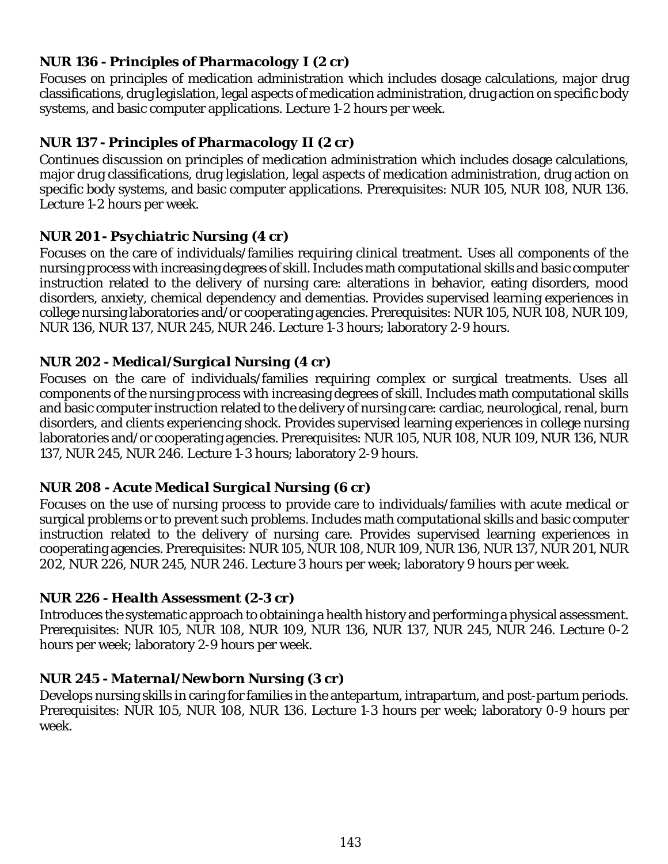## *NUR 136 - Principles of Pharmacology I (2 cr)*

Focuses on principles of medication administration which includes dosage calculations, major drug classifications, drug legislation, legal aspects of medication administration, drug action on specific body systems, and basic computer applications. Lecture 1-2 hours per week.

# *NUR 137 - Principles of Pharmacology II (2 cr)*

Continues discussion on principles of medication administration which includes dosage calculations, major drug classifications, drug legislation, legal aspects of medication administration, drug action on specific body systems, and basic computer applications. Prerequisites: NUR 105, NUR 108, NUR 136. Lecture 1-2 hours per week.

## *NUR 201 - Psychiatric Nursing (4 cr)*

Focuses on the care of individuals/families requiring clinical treatment. Uses all components of the nursing process with increasing degrees of skill. Includes math computational skills and basic computer instruction related to the delivery of nursing care: alterations in behavior, eating disorders, mood disorders, anxiety, chemical dependency and dementias. Provides supervised learning experiences in college nursing laboratories and/or cooperating agencies. Prerequisites: NUR 105, NUR 108, NUR 109, NUR 136, NUR 137, NUR 245, NUR 246. Lecture 1-3 hours; laboratory 2-9 hours.

## *NUR 202 - Medical/Surgical Nursing (4 cr)*

Focuses on the care of individuals/families requiring complex or surgical treatments. Uses all components of the nursing process with increasing degrees of skill. Includes math computational skills and basic computer instruction related to the delivery of nursing care: cardiac, neurological, renal, burn disorders, and clients experiencing shock. Provides supervised learning experiences in college nursing laboratories and/or cooperating agencies. Prerequisites: NUR 105, NUR 108, NUR 109, NUR 136, NUR 137, NUR 245, NUR 246. Lecture 1-3 hours; laboratory 2-9 hours.

## *NUR 208 - Acute Medical Surgical Nursing (6 cr)*

Focuses on the use of nursing process to provide care to individuals/families with acute medical or surgical problems or to prevent such problems. Includes math computational skills and basic computer instruction related to the delivery of nursing care. Provides supervised learning experiences in cooperating agencies. Prerequisites: NUR 105, NUR 108, NUR 109, NUR 136, NUR 137, NUR 201, NUR 202, NUR 226, NUR 245, NUR 246. Lecture 3 hours per week; laboratory 9 hours per week.

## *NUR 226 - Health Assessment (2-3 cr)*

Introduces the systematic approach to obtaining a health history and performing a physical assessment. Prerequisites: NUR 105, NUR 108, NUR 109, NUR 136, NUR 137, NUR 245, NUR 246. Lecture 0-2 hours per week; laboratory 2-9 hours per week.

## *NUR 245 - Maternal/Newborn Nursing (3 cr)*

Develops nursing skills in caring for families in the antepartum, intrapartum, and post-partum periods. Prerequisites: NUR 105, NUR 108, NUR 136. Lecture 1-3 hours per week; laboratory 0-9 hours per week.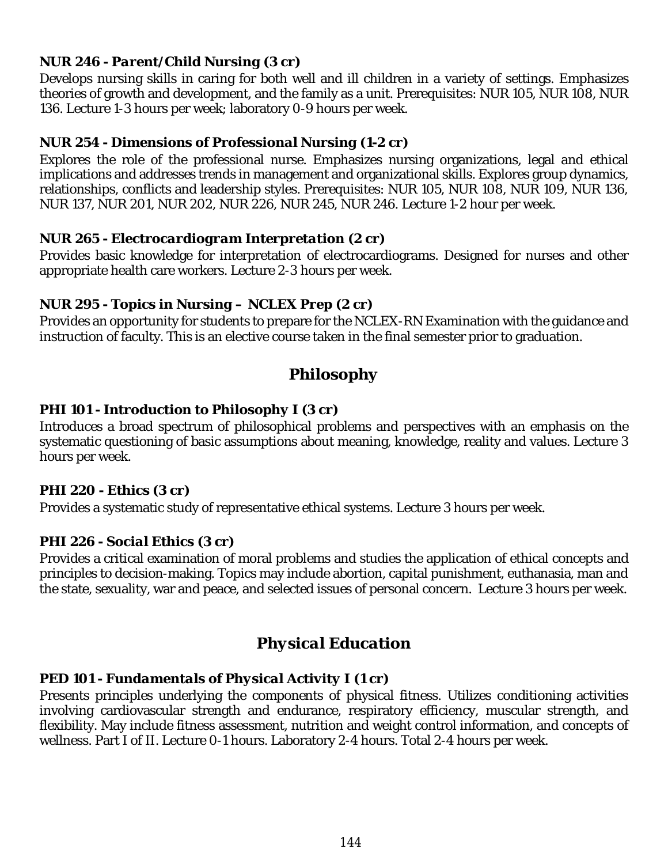## *NUR 246 - Parent/Child Nursing (3 cr)*

Develops nursing skills in caring for both well and ill children in a variety of settings. Emphasizes theories of growth and development, and the family as a unit. Prerequisites: NUR 105, NUR 108, NUR 136. Lecture 1-3 hours per week; laboratory 0-9 hours per week.

#### *NUR 254 - Dimensions of Professional Nursing (1-2 cr)*

Explores the role of the professional nurse. Emphasizes nursing organizations, legal and ethical implications and addresses trends in management and organizational skills. Explores group dynamics, relationships, conflicts and leadership styles. Prerequisites: NUR 105, NUR 108, NUR 109, NUR 136, NUR 137, NUR 201, NUR 202, NUR 226, NUR 245, NUR 246. Lecture 1-2 hour per week.

#### *NUR 265 - Electrocardiogram Interpretation (2 cr)*

Provides basic knowledge for interpretation of electrocardiograms. Designed for nurses and other appropriate health care workers. Lecture 2-3 hours per week.

#### *NUR 295 - Topics in Nursing – NCLEX Prep (2 cr)*

Provides an opportunity for students to prepare for the NCLEX-RN Examination with the guidance and instruction of faculty. This is an elective course taken in the final semester prior to graduation.

# *Philosophy*

## *PHI 101 - Introduction to Philosophy I (3 cr)*

Introduces a broad spectrum of philosophical problems and perspectives with an emphasis on the systematic questioning of basic assumptions about meaning, knowledge, reality and values. Lecture 3 hours per week.

#### *PHI 220 - Ethics (3 cr)*

Provides a systematic study of representative ethical systems. Lecture 3 hours per week.

## *PHI 226 - Social Ethics (3 cr)*

Provides a critical examination of moral problems and studies the application of ethical concepts and principles to decision-making. Topics may include abortion, capital punishment, euthanasia, man and the state, sexuality, war and peace, and selected issues of personal concern. Lecture 3 hours per week.

# *Physical Education*

#### *PED 101 - Fundamentals of Physical Activity I (1 cr)*

Presents principles underlying the components of physical fitness. Utilizes conditioning activities involving cardiovascular strength and endurance, respiratory efficiency, muscular strength, and flexibility. May include fitness assessment, nutrition and weight control information, and concepts of wellness. Part I of II. Lecture 0-1 hours. Laboratory 2-4 hours. Total 2-4 hours per week.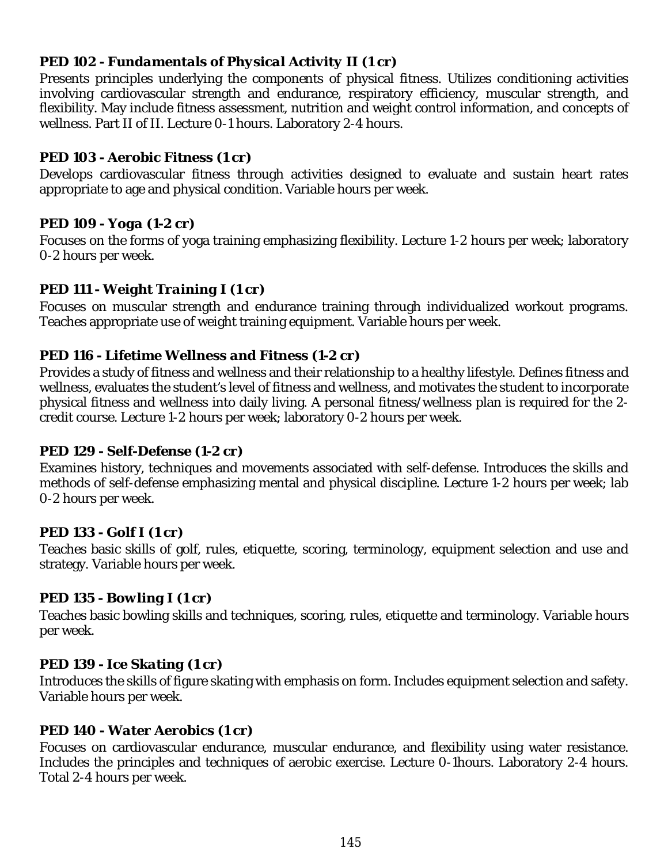#### *PED 102 - Fundamentals of Physical Activity II (1 cr)*

Presents principles underlying the components of physical fitness. Utilizes conditioning activities involving cardiovascular strength and endurance, respiratory efficiency, muscular strength, and flexibility. May include fitness assessment, nutrition and weight control information, and concepts of wellness. Part II of II. Lecture 0-1 hours. Laboratory 2-4 hours.

#### *PED 103 - Aerobic Fitness (1 cr)*

Develops cardiovascular fitness through activities designed to evaluate and sustain heart rates appropriate to age and physical condition. Variable hours per week.

#### *PED 109 - Yoga (1-2 cr)*

Focuses on the forms of yoga training emphasizing flexibility. Lecture 1-2 hours per week; laboratory 0-2 hours per week.

#### *PED 111 - Weight Training I (1 cr)*

Focuses on muscular strength and endurance training through individualized workout programs. Teaches appropriate use of weight training equipment. Variable hours per week.

#### *PED 116 - Lifetime Wellness and Fitness (1-2 cr)*

Provides a study of fitness and wellness and their relationship to a healthy lifestyle. Defines fitness and wellness, evaluates the student's level of fitness and wellness, and motivates the student to incorporate physical fitness and wellness into daily living. A personal fitness/wellness plan is required for the 2 credit course. Lecture 1-2 hours per week; laboratory 0-2 hours per week.

#### *PED 129 - Self-Defense (1-2 cr)*

Examines history, techniques and movements associated with self-defense. Introduces the skills and methods of self-defense emphasizing mental and physical discipline. Lecture 1-2 hours per week; lab 0-2 hours per week.

#### *PED 133 - Golf I (1 cr)*

Teaches basic skills of golf, rules, etiquette, scoring, terminology, equipment selection and use and strategy. Variable hours per week.

#### *PED 135 - Bowling I (1 cr)*

Teaches basic bowling skills and techniques, scoring, rules, etiquette and terminology. Variable hours per week.

#### *PED 139 - Ice Skating (1 cr)*

Introduces the skills of figure skating with emphasis on form. Includes equipment selection and safety. Variable hours per week.

#### *PED 140 - Water Aerobics (1 cr)*

Focuses on cardiovascular endurance, muscular endurance, and flexibility using water resistance. Includes the principles and techniques of aerobic exercise. Lecture 0-1hours. Laboratory 2-4 hours. Total 2-4 hours per week.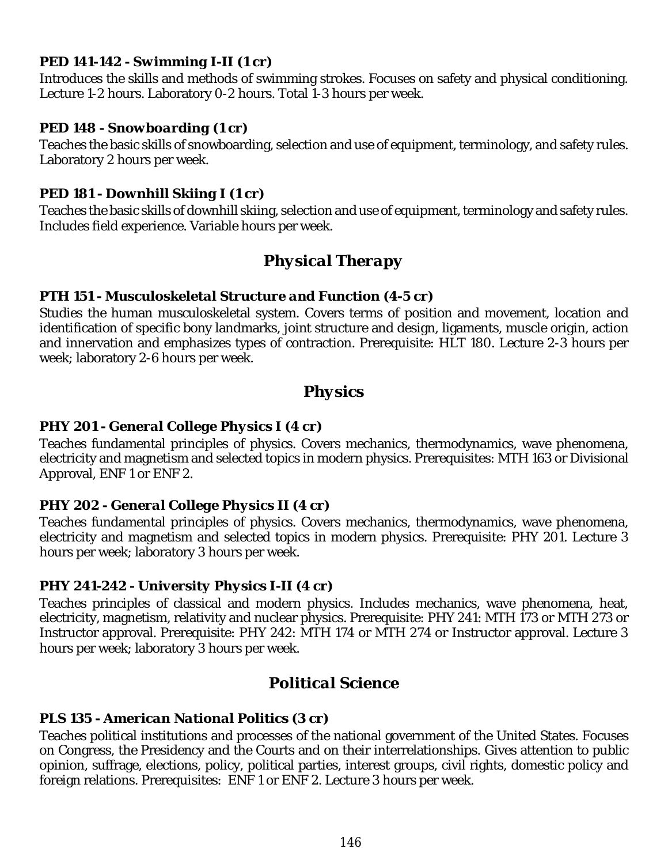#### *PED 141-142 - Swimming I-II (1 cr)*

Introduces the skills and methods of swimming strokes. Focuses on safety and physical conditioning. Lecture 1-2 hours. Laboratory 0-2 hours. Total 1-3 hours per week.

#### *PED 148 - Snowboarding (1 cr)*

Teaches the basic skills of snowboarding, selection and use of equipment, terminology, and safety rules. Laboratory 2 hours per week.

## *PED 181 - Downhill Skiing I (1 cr)*

Teaches the basic skills of downhill skiing, selection and use of equipment, terminology and safety rules. Includes field experience. Variable hours per week.

# *Physical Therapy*

#### *PTH 151 - Musculoskeletal Structure and Function (4-5 cr)*

Studies the human musculoskeletal system. Covers terms of position and movement, location and identification of specific bony landmarks, joint structure and design, ligaments, muscle origin, action and innervation and emphasizes types of contraction. Prerequisite: HLT 180. Lecture 2-3 hours per week; laboratory 2-6 hours per week.

# *Physics*

## *PHY 201 - General College Physics I (4 cr)*

Teaches fundamental principles of physics. Covers mechanics, thermodynamics, wave phenomena, electricity and magnetism and selected topics in modern physics. Prerequisites: MTH 163 or Divisional Approval, ENF 1 or ENF 2.

#### *PHY 202 - General College Physics II (4 cr)*

Teaches fundamental principles of physics. Covers mechanics, thermodynamics, wave phenomena, electricity and magnetism and selected topics in modern physics. Prerequisite: PHY 201. Lecture 3 hours per week; laboratory 3 hours per week.

#### *PHY 241-242 - University Physics I-II (4 cr)*

Teaches principles of classical and modern physics. Includes mechanics, wave phenomena, heat, electricity, magnetism, relativity and nuclear physics. Prerequisite: PHY 241: MTH 173 or MTH 273 or Instructor approval. Prerequisite: PHY 242: MTH 174 or MTH 274 or Instructor approval. Lecture 3 hours per week; laboratory 3 hours per week.

# *Political Science*

#### *PLS 135 - American National Politics (3 cr)*

Teaches political institutions and processes of the national government of the United States. Focuses on Congress, the Presidency and the Courts and on their interrelationships. Gives attention to public opinion, suffrage, elections, policy, political parties, interest groups, civil rights, domestic policy and foreign relations. Prerequisites: ENF 1 or ENF 2. Lecture 3 hours per week.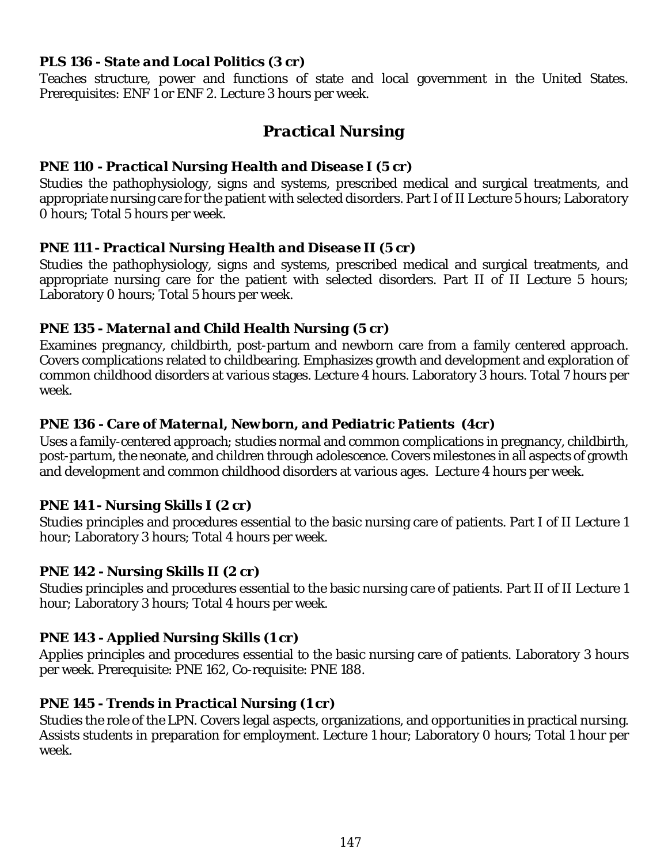#### *PLS 136 - State and Local Politics (3 cr)*

Teaches structure, power and functions of state and local government in the United States. Prerequisites: ENF 1 or ENF 2. Lecture 3 hours per week.

# *Practical Nursing*

#### *PNE 110 - Practical Nursing Health and Disease I (5 cr)*

Studies the pathophysiology, signs and systems, prescribed medical and surgical treatments, and appropriate nursing care for the patient with selected disorders. Part I of II Lecture 5 hours; Laboratory 0 hours; Total 5 hours per week.

#### *PNE 111 - Practical Nursing Health and Disease II (5 cr)*

Studies the pathophysiology, signs and systems, prescribed medical and surgical treatments, and appropriate nursing care for the patient with selected disorders. Part II of II Lecture 5 hours; Laboratory 0 hours; Total 5 hours per week.

#### *PNE 135 - Maternal and Child Health Nursing (5 cr)*

Examines pregnancy, childbirth, post-partum and newborn care from a family centered approach. Covers complications related to childbearing. Emphasizes growth and development and exploration of common childhood disorders at various stages. Lecture 4 hours. Laboratory 3 hours. Total 7 hours per week.

## *PNE 136 - Care of Maternal, Newborn, and Pediatric Patients (4cr)*

Uses a family-centered approach; studies normal and common complications in pregnancy, childbirth, post-partum, the neonate, and children through adolescence. Covers milestones in all aspects of growth and development and common childhood disorders at various ages. Lecture 4 hours per week.

## *PNE 141 - Nursing Skills I (2 cr)*

Studies principles and procedures essential to the basic nursing care of patients. Part I of II Lecture 1 hour; Laboratory 3 hours; Total 4 hours per week.

## *PNE 142 - Nursing Skills II (2 cr)*

Studies principles and procedures essential to the basic nursing care of patients. Part II of II Lecture 1 hour; Laboratory 3 hours; Total 4 hours per week.

## *PNE 143 - Applied Nursing Skills (1 cr)*

Applies principles and procedures essential to the basic nursing care of patients. Laboratory 3 hours per week. Prerequisite: PNE 162, Co-requisite: PNE 188.

## *PNE 145 - Trends in Practical Nursing (1 cr)*

Studies the role of the LPN. Covers legal aspects, organizations, and opportunities in practical nursing. Assists students in preparation for employment. Lecture 1 hour; Laboratory 0 hours; Total 1 hour per week.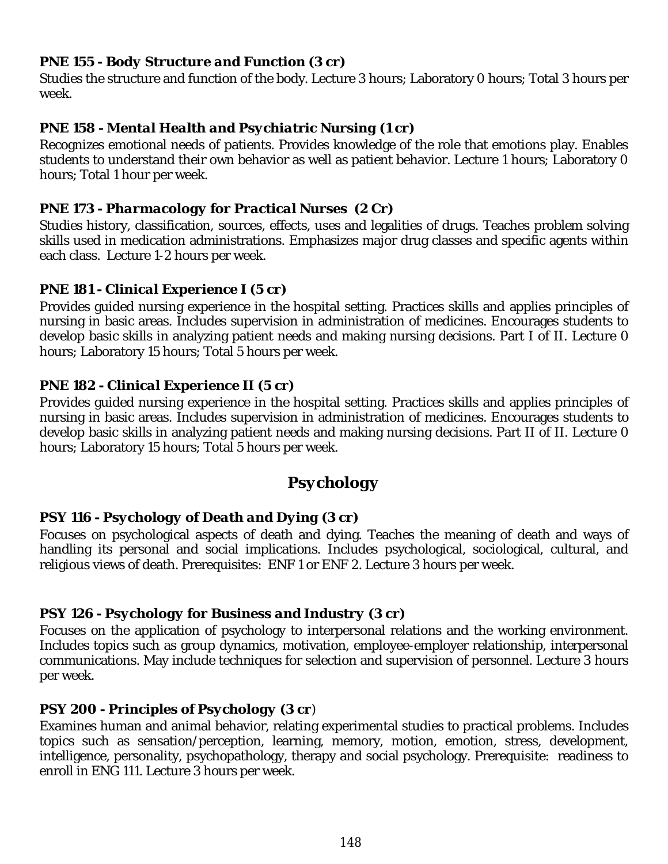#### *PNE 155 - Body Structure and Function (3 cr)*

Studies the structure and function of the body. Lecture 3 hours; Laboratory 0 hours; Total 3 hours per week.

#### *PNE 158 - Mental Health and Psychiatric Nursing (1 cr)*

Recognizes emotional needs of patients. Provides knowledge of the role that emotions play. Enables students to understand their own behavior as well as patient behavior. Lecture 1 hours; Laboratory 0 hours; Total 1 hour per week.

#### *PNE 173 - Pharmacology for Practical Nurses (2 Cr)*

Studies history, classification, sources, effects, uses and legalities of drugs. Teaches problem solving skills used in medication administrations. Emphasizes major drug classes and specific agents within each class. Lecture 1-2 hours per week.

#### *PNE 181 - Clinical Experience I (5 cr)*

Provides guided nursing experience in the hospital setting. Practices skills and applies principles of nursing in basic areas. Includes supervision in administration of medicines. Encourages students to develop basic skills in analyzing patient needs and making nursing decisions. Part I of II. Lecture 0 hours; Laboratory 15 hours; Total 5 hours per week.

#### *PNE 182 - Clinical Experience II (5 cr)*

Provides guided nursing experience in the hospital setting. Practices skills and applies principles of nursing in basic areas. Includes supervision in administration of medicines. Encourages students to develop basic skills in analyzing patient needs and making nursing decisions. Part II of II. Lecture 0 hours; Laboratory 15 hours; Total 5 hours per week.

# *Psychology*

## *PSY 116 - Psychology of Death and Dying (3 cr)*

Focuses on psychological aspects of death and dying. Teaches the meaning of death and ways of handling its personal and social implications. Includes psychological, sociological, cultural, and religious views of death. Prerequisites: ENF 1 or ENF 2. Lecture 3 hours per week.

## *PSY 126 - Psychology for Business and Industry (3 cr)*

Focuses on the application of psychology to interpersonal relations and the working environment. Includes topics such as group dynamics, motivation, employee-employer relationship, interpersonal communications. May include techniques for selection and supervision of personnel. Lecture 3 hours per week.

## *PSY 200 - Principles of Psychology (3 cr)*

Examines human and animal behavior, relating experimental studies to practical problems. Includes topics such as sensation/perception, learning, memory, motion, emotion, stress, development, intelligence, personality, psychopathology, therapy and social psychology. Prerequisite: readiness to enroll in ENG 111. Lecture 3 hours per week.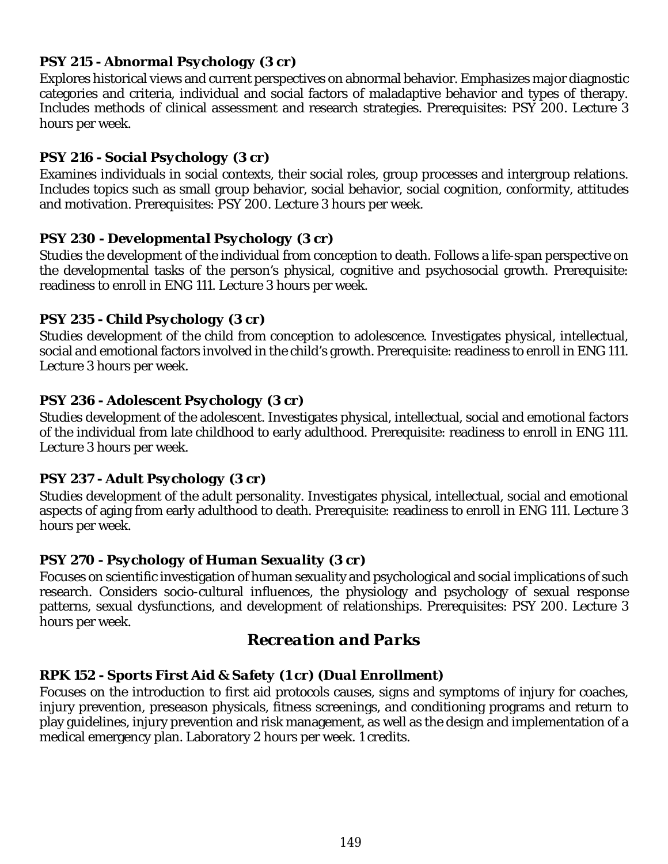## *PSY 215 - Abnormal Psychology (3 cr)*

Explores historical views and current perspectives on abnormal behavior. Emphasizes major diagnostic categories and criteria, individual and social factors of maladaptive behavior and types of therapy. Includes methods of clinical assessment and research strategies. Prerequisites: PSY 200. Lecture 3 hours per week.

## *PSY 216 - Social Psychology (3 cr)*

Examines individuals in social contexts, their social roles, group processes and intergroup relations. Includes topics such as small group behavior, social behavior, social cognition, conformity, attitudes and motivation. Prerequisites: PSY 200. Lecture 3 hours per week.

## *PSY 230 - Developmental Psychology (3 cr)*

Studies the development of the individual from conception to death. Follows a life-span perspective on the developmental tasks of the person's physical, cognitive and psychosocial growth. Prerequisite: readiness to enroll in ENG 111. Lecture 3 hours per week.

## *PSY 235 - Child Psychology (3 cr)*

Studies development of the child from conception to adolescence. Investigates physical, intellectual, social and emotional factors involved in the child's growth. Prerequisite: readiness to enroll in ENG 111. Lecture 3 hours per week.

## *PSY 236 - Adolescent Psychology (3 cr)*

Studies development of the adolescent. Investigates physical, intellectual, social and emotional factors of the individual from late childhood to early adulthood. Prerequisite: readiness to enroll in ENG 111. Lecture 3 hours per week.

## *PSY 237 - Adult Psychology (3 cr)*

Studies development of the adult personality. Investigates physical, intellectual, social and emotional aspects of aging from early adulthood to death. Prerequisite: readiness to enroll in ENG 111. Lecture 3 hours per week.

## *PSY 270 - Psychology of Human Sexuality (3 cr)*

Focuses on scientific investigation of human sexuality and psychological and social implications of such research. Considers socio-cultural influences, the physiology and psychology of sexual response patterns, sexual dysfunctions, and development of relationships. Prerequisites: PSY 200. Lecture 3 hours per week.

# *Recreation and Parks*

## *RPK 152 - Sports First Aid & Safety (1 cr) (Dual Enrollment)*

Focuses on the introduction to first aid protocols causes, signs and symptoms of injury for coaches, injury prevention, preseason physicals, fitness screenings, and conditioning programs and return to play guidelines, injury prevention and risk management, as well as the design and implementation of a medical emergency plan. Laboratory 2 hours per week. 1 credits.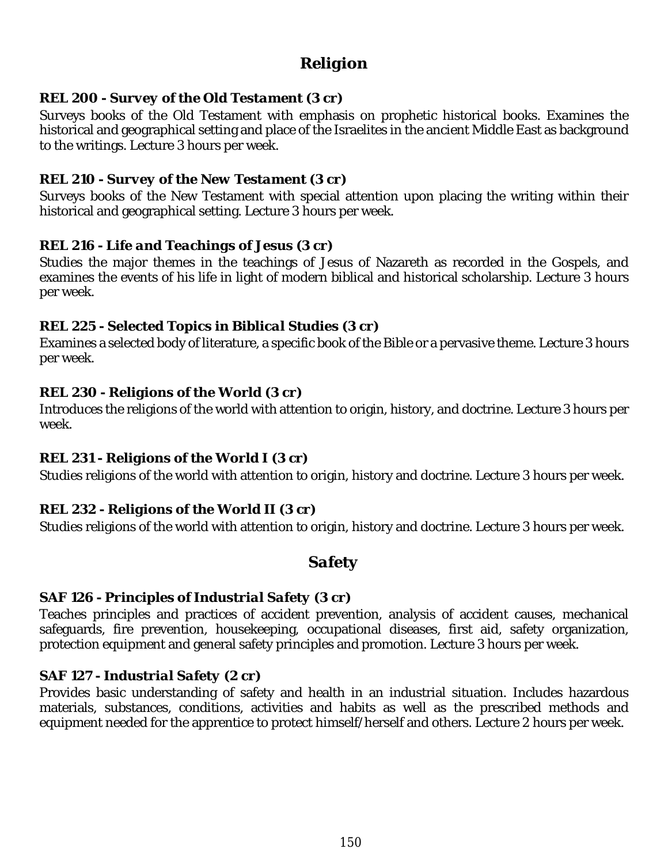# *Religion*

#### *REL 200 - Survey of the Old Testament (3 cr)*

Surveys books of the Old Testament with emphasis on prophetic historical books. Examines the historical and geographical setting and place of the Israelites in the ancient Middle East as background to the writings. Lecture 3 hours per week.

#### *REL 210 - Survey of the New Testament (3 cr)*

Surveys books of the New Testament with special attention upon placing the writing within their historical and geographical setting. Lecture 3 hours per week.

#### *REL 216 - Life and Teachings of Jesus (3 cr)*

Studies the major themes in the teachings of Jesus of Nazareth as recorded in the Gospels, and examines the events of his life in light of modern biblical and historical scholarship. Lecture 3 hours per week.

#### *REL 225 - Selected Topics in Biblical Studies (3 cr)*

Examines a selected body of literature, a specific book of the Bible or a pervasive theme. Lecture 3 hours per week.

#### *REL 230 - Religions of the World (3 cr)*

Introduces the religions of the world with attention to origin, history, and doctrine. Lecture 3 hours per week.

## *REL 231 - Religions of the World I (3 cr)*

Studies religions of the world with attention to origin, history and doctrine. Lecture 3 hours per week.

## *REL 232 - Religions of the World II (3 cr)*

Studies religions of the world with attention to origin, history and doctrine. Lecture 3 hours per week.

# *Safety*

#### *SAF 126 - Principles of Industrial Safety (3 cr)*

Teaches principles and practices of accident prevention, analysis of accident causes, mechanical safeguards, fire prevention, housekeeping, occupational diseases, first aid, safety organization, protection equipment and general safety principles and promotion. Lecture 3 hours per week.

#### *SAF 127 - Industrial Safety (2 cr)*

Provides basic understanding of safety and health in an industrial situation. Includes hazardous materials, substances, conditions, activities and habits as well as the prescribed methods and equipment needed for the apprentice to protect himself/herself and others. Lecture 2 hours per week.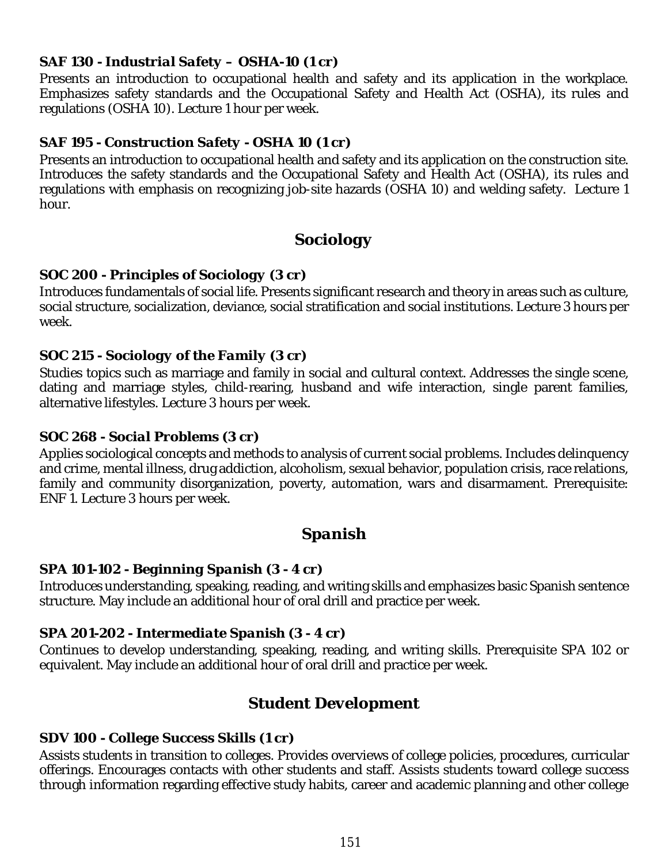#### *SAF 130 - Industrial Safety – OSHA-10 (1 cr)*

Presents an introduction to occupational health and safety and its application in the workplace. Emphasizes safety standards and the Occupational Safety and Health Act (OSHA), its rules and regulations (OSHA 10). Lecture 1 hour per week.

## *SAF 195 - Construction Safety - OSHA 10 (1 cr)*

Presents an introduction to occupational health and safety and its application on the construction site. Introduces the safety standards and the Occupational Safety and Health Act (OSHA), its rules and regulations with emphasis on recognizing job-site hazards (OSHA 10) and welding safety. Lecture 1 hour.

# *Sociology*

## *SOC 200 - Principles of Sociology (3 cr)*

Introduces fundamentals of social life. Presents significant research and theory in areas such as culture, social structure, socialization, deviance, social stratification and social institutions. Lecture 3 hours per week.

## *SOC 215 - Sociology of the Family (3 cr)*

Studies topics such as marriage and family in social and cultural context. Addresses the single scene, dating and marriage styles, child-rearing, husband and wife interaction, single parent families, alternative lifestyles. Lecture 3 hours per week.

#### *SOC 268 - Social Problems (3 cr)*

Applies sociological concepts and methods to analysis of current social problems. Includes delinquency and crime, mental illness, drug addiction, alcoholism, sexual behavior, population crisis, race relations, family and community disorganization, poverty, automation, wars and disarmament. Prerequisite: ENF 1. Lecture 3 hours per week.

# *Spanish*

## *SPA 101-102 - Beginning Spanish (3 - 4 cr)*

Introduces understanding, speaking, reading, and writing skills and emphasizes basic Spanish sentence structure. May include an additional hour of oral drill and practice per week.

## *SPA 201-202 - Intermediate Spanish (3 - 4 cr)*

Continues to develop understanding, speaking, reading, and writing skills. Prerequisite SPA 102 or equivalent. May include an additional hour of oral drill and practice per week.

# *Student Development*

## *SDV 100 - College Success Skills (1 cr)*

Assists students in transition to colleges. Provides overviews of college policies, procedures, curricular offerings. Encourages contacts with other students and staff. Assists students toward college success through information regarding effective study habits, career and academic planning and other college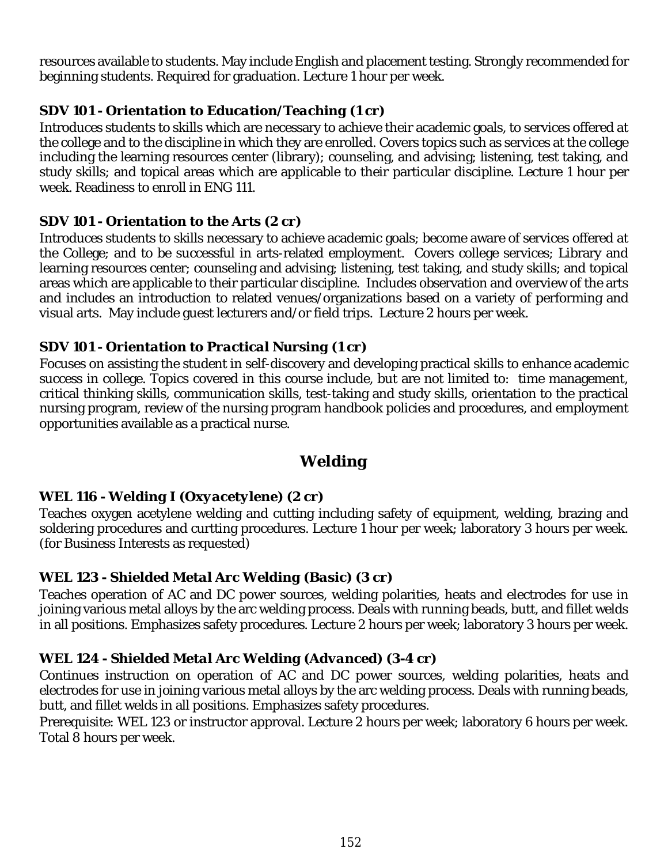resources available to students. May include English and placement testing. Strongly recommended for beginning students. Required for graduation. Lecture 1 hour per week.

# *SDV 101 - Orientation to Education/Teaching (1 cr)*

Introduces students to skills which are necessary to achieve their academic goals, to services offered at the college and to the discipline in which they are enrolled. Covers topics such as services at the college including the learning resources center (library); counseling, and advising; listening, test taking, and study skills; and topical areas which are applicable to their particular discipline. Lecture 1 hour per week. Readiness to enroll in ENG 111.

## *SDV 101 - Orientation to the Arts (2 cr)*

Introduces students to skills necessary to achieve academic goals; become aware of services offered at the College; and to be successful in arts-related employment. Covers college services; Library and learning resources center; counseling and advising; listening, test taking, and study skills; and topical areas which are applicable to their particular discipline. Includes observation and overview of the arts and includes an introduction to related venues/organizations based on a variety of performing and visual arts. May include guest lecturers and/or field trips. Lecture 2 hours per week.

#### *SDV 101 - Orientation to Practical Nursing (1 cr)*

Focuses on assisting the student in self-discovery and developing practical skills to enhance academic success in college. Topics covered in this course include, but are not limited to: time management, critical thinking skills, communication skills, test-taking and study skills, orientation to the practical nursing program, review of the nursing program handbook policies and procedures, and employment opportunities available as a practical nurse.

# *Welding*

## *WEL 116 - Welding I (Oxyacetylene) (2 cr)*

Teaches oxygen acetylene welding and cutting including safety of equipment, welding, brazing and soldering procedures and curtting procedures. Lecture 1 hour per week; laboratory 3 hours per week. (for Business Interests as requested)

## *WEL 123 - Shielded Metal Arc Welding (Basic) (3 cr)*

Teaches operation of AC and DC power sources, welding polarities, heats and electrodes for use in joining various metal alloys by the arc welding process. Deals with running beads, butt, and fillet welds in all positions. Emphasizes safety procedures. Lecture 2 hours per week; laboratory 3 hours per week.

## *WEL 124 - Shielded Metal Arc Welding (Advanced) (3-4 cr)*

Continues instruction on operation of AC and DC power sources, welding polarities, heats and electrodes for use in joining various metal alloys by the arc welding process. Deals with running beads, butt, and fillet welds in all positions. Emphasizes safety procedures.

Prerequisite: WEL 123 or instructor approval. Lecture 2 hours per week; laboratory 6 hours per week. Total 8 hours per week.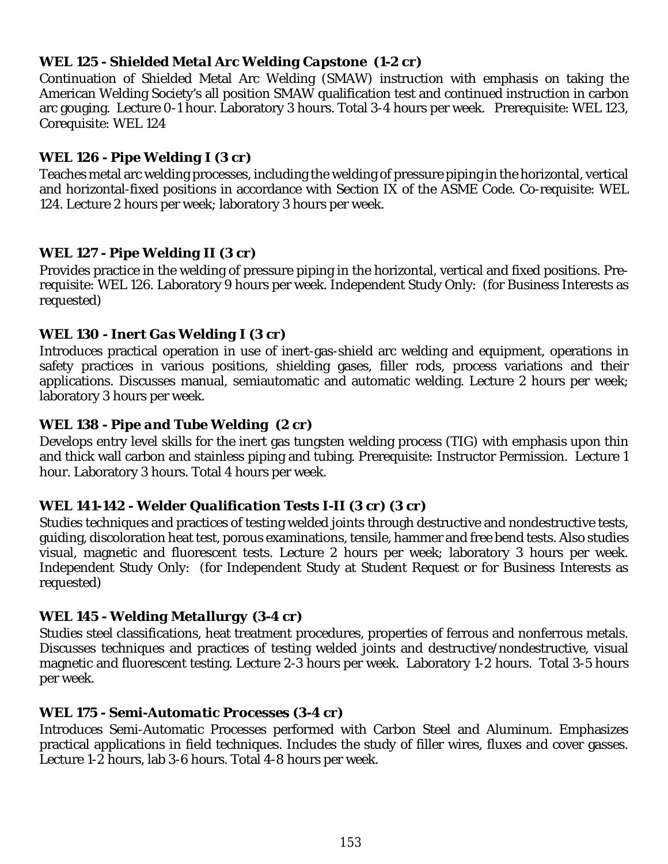## *WEL 125 - Shielded Metal Arc Welding Capstone (1-2 cr)*

Continuation of Shielded Metal Arc Welding (SMAW) instruction with emphasis on taking the American Welding Society's all position SMAW qualification test and continued instruction in carbon arc gouging. Lecture 0-1 hour. Laboratory 3 hours. Total 3-4 hours per week. Prerequisite: WEL 123, Corequisite: WEL 124

#### *WEL 126 - Pipe Welding I (3 cr)*

Teaches metal arc welding processes, including the welding of pressure piping in the horizontal, vertical and horizontal-fixed positions in accordance with Section IX of the ASME Code. Co-requisite: WEL 124. Lecture 2 hours per week; laboratory 3 hours per week.

#### *WEL 127 - Pipe Welding II (3 cr)*

Provides practice in the welding of pressure piping in the horizontal, vertical and fixed positions. Prerequisite: WEL 126. Laboratory 9 hours per week. Independent Study Only: (for Business Interests as requested)

#### *WEL 130 - Inert Gas Welding I (3 cr)*

Introduces practical operation in use of inert-gas-shield arc welding and equipment, operations in safety practices in various positions, shielding gases, filler rods, process variations and their applications. Discusses manual, semiautomatic and automatic welding. Lecture 2 hours per week; laboratory 3 hours per week.

#### *WEL 138 - Pipe and Tube Welding (2 cr)*

Develops entry level skills for the inert gas tungsten welding process (TIG) with emphasis upon thin and thick wall carbon and stainless piping and tubing. Prerequisite: Instructor Permission. Lecture 1 hour. Laboratory 3 hours. Total 4 hours per week.

## *WEL 141-142 - Welder Qualification Tests I-II (3 cr) (3 cr)*

Studies techniques and practices of testing welded joints through destructive and nondestructive tests, guiding, discoloration heat test, porous examinations, tensile, hammer and free bend tests. Also studies visual, magnetic and fluorescent tests. Lecture 2 hours per week; laboratory 3 hours per week. Independent Study Only: (for Independent Study at Student Request or for Business Interests as requested)

## *WEL 145 - Welding Metallurgy (3-4 cr)*

Studies steel classifications, heat treatment procedures, properties of ferrous and nonferrous metals. Discusses techniques and practices of testing welded joints and destructive/nondestructive, visual magnetic and fluorescent testing. Lecture 2-3 hours per week. Laboratory 1-2 hours. Total 3-5 hours per week.

#### *WEL 175 - Semi-Automatic Processes (3-4 cr)*

Introduces Semi-Automatic Processes performed with Carbon Steel and Aluminum. Emphasizes practical applications in field techniques. Includes the study of filler wires, fluxes and cover gasses. Lecture 1-2 hours, lab 3-6 hours. Total 4-8 hours per week.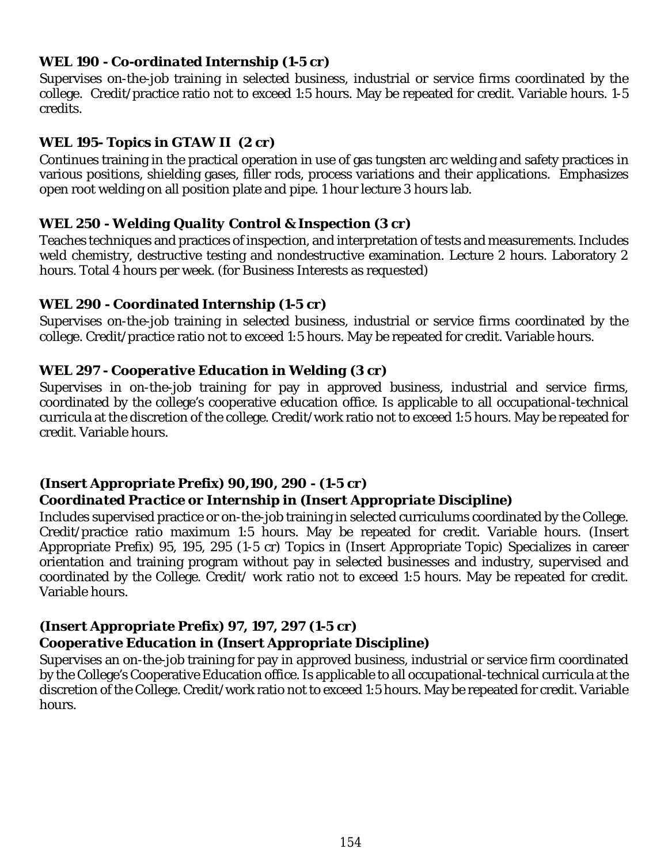#### *WEL 190 - Co-ordinated Internship (1-5 cr)*

Supervises on-the-job training in selected business, industrial or service firms coordinated by the college. Credit/practice ratio not to exceed 1:5 hours. May be repeated for credit. Variable hours. 1-5 credits.

## *WEL 195- Topics in GTAW II (2 cr)*

Continues training in the practical operation in use of gas tungsten arc welding and safety practices in various positions, shielding gases, filler rods, process variations and their applications. Emphasizes open root welding on all position plate and pipe. 1 hour lecture 3 hours lab.

## *WEL 250 - Welding Quality Control & Inspection (3 cr)*

Teaches techniques and practices of inspection, and interpretation of tests and measurements. Includes weld chemistry, destructive testing and nondestructive examination. Lecture 2 hours. Laboratory 2 hours. Total 4 hours per week. (for Business Interests as requested)

#### *WEL 290 - Coordinated Internship (1-5 cr)*

Supervises on-the-job training in selected business, industrial or service firms coordinated by the college. Credit/practice ratio not to exceed 1:5 hours. May be repeated for credit. Variable hours.

#### *WEL 297 - Cooperative Education in Welding (3 cr)*

Supervises in on-the-job training for pay in approved business, industrial and service firms, coordinated by the college's cooperative education office. Is applicable to all occupational-technical curricula at the discretion of the college. Credit/work ratio not to exceed 1:5 hours. May be repeated for credit. Variable hours.

## *(Insert Appropriate Prefix) 90,190, 290 - (1-5 cr)*

## *Coordinated Practice or Internship in (Insert Appropriate Discipline)*

Includes supervised practice or on-the-job training in selected curriculums coordinated by the College. Credit/practice ratio maximum 1:5 hours. May be repeated for credit. Variable hours. (Insert Appropriate Prefix) 95, 195, 295 (1-5 cr) Topics in (Insert Appropriate Topic) Specializes in career orientation and training program without pay in selected businesses and industry, supervised and coordinated by the College. Credit/ work ratio not to exceed 1:5 hours. May be repeated for credit. Variable hours.

## *(Insert Appropriate Prefix) 97, 197, 297 (1-5 cr)*

## *Cooperative Education in (Insert Appropriate Discipline)*

Supervises an on-the-job training for pay in approved business, industrial or service firm coordinated by the College's Cooperative Education office. Is applicable to all occupational-technical curricula at the discretion of the College. Credit/work ratio not to exceed 1:5 hours. May be repeated for credit. Variable hours.